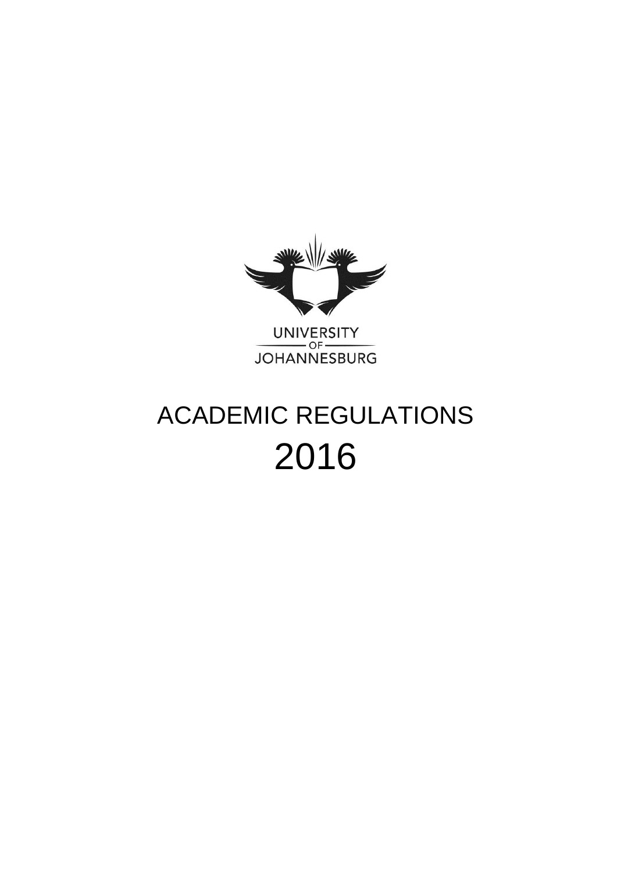

UNIVERSITY<br>JOHANNESBURG

# ACADEMIC REGULATIONS 2016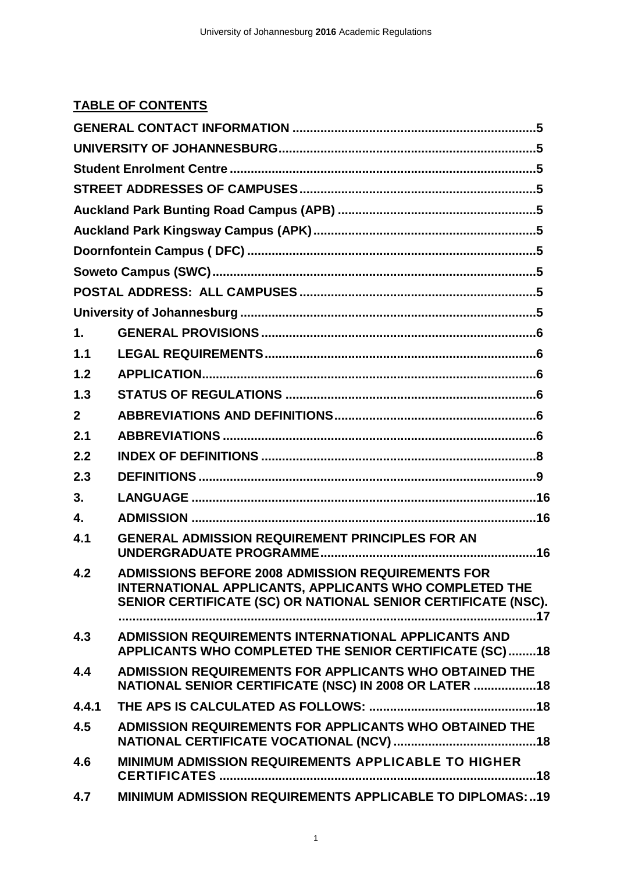# **TABLE OF CONTENTS**

| 1.             |                                                                                                                                                                                     |
|----------------|-------------------------------------------------------------------------------------------------------------------------------------------------------------------------------------|
| 1.1            |                                                                                                                                                                                     |
| 1.2            |                                                                                                                                                                                     |
| 1.3            |                                                                                                                                                                                     |
| $\overline{2}$ |                                                                                                                                                                                     |
| 2.1            |                                                                                                                                                                                     |
| 2.2            |                                                                                                                                                                                     |
| 2.3            |                                                                                                                                                                                     |
| 3.             |                                                                                                                                                                                     |
| 4.             |                                                                                                                                                                                     |
| 4.1            | <b>GENERAL ADMISSION REQUIREMENT PRINCIPLES FOR AN</b>                                                                                                                              |
| 4.2            | <b>ADMISSIONS BEFORE 2008 ADMISSION REQUIREMENTS FOR</b><br>INTERNATIONAL APPLICANTS, APPLICANTS WHO COMPLETED THE<br>SENIOR CERTIFICATE (SC) OR NATIONAL SENIOR CERTIFICATE (NSC). |
| 4.3            | ADMISSION REQUIREMENTS INTERNATIONAL APPLICANTS AND<br>APPLICANTS WHO COMPLETED THE SENIOR CERTIFICATE (SC)18                                                                       |
| 4.4            | ADMISSION REQUIREMENTS FOR APPLICANTS WHO OBTAINED THE<br>NATIONAL SENIOR CERTIFICATE (NSC) IN 2008 OR LATER 18                                                                     |
| 4.4.1          |                                                                                                                                                                                     |
| 4.5            | ADMISSION REQUIREMENTS FOR APPLICANTS WHO OBTAINED THE                                                                                                                              |
| 4.6            | <b>MINIMUM ADMISSION REQUIREMENTS APPLICABLE TO HIGHER</b>                                                                                                                          |
| 4.7            | MINIMUM ADMISSION REQUIREMENTS APPLICABLE TO DIPLOMAS:  19                                                                                                                          |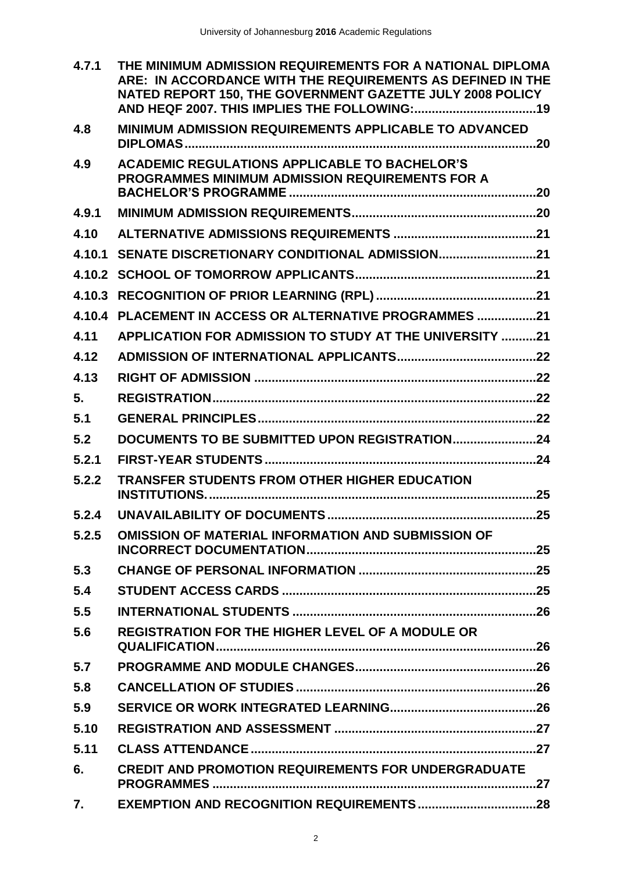| 4.7.1  | THE MINIMUM ADMISSION REQUIREMENTS FOR A NATIONAL DIPLOMA<br>ARE: IN ACCORDANCE WITH THE REQUIREMENTS AS DEFINED IN THE<br>NATED REPORT 150, THE GOVERNMENT GAZETTE JULY 2008 POLICY |
|--------|--------------------------------------------------------------------------------------------------------------------------------------------------------------------------------------|
| 4.8    | <b>MINIMUM ADMISSION REQUIREMENTS APPLICABLE TO ADVANCED</b>                                                                                                                         |
| 4.9    | <b>ACADEMIC REGULATIONS APPLICABLE TO BACHELOR'S</b><br><b>PROGRAMMES MINIMUM ADMISSION REQUIREMENTS FOR A</b>                                                                       |
| 4.9.1  |                                                                                                                                                                                      |
| 4.10   |                                                                                                                                                                                      |
| 4.10.1 | SENATE DISCRETIONARY CONDITIONAL ADMISSION21                                                                                                                                         |
|        |                                                                                                                                                                                      |
|        |                                                                                                                                                                                      |
|        | 4.10.4 PLACEMENT IN ACCESS OR ALTERNATIVE PROGRAMMES 21                                                                                                                              |
| 4.11   | APPLICATION FOR ADMISSION TO STUDY AT THE UNIVERSITY 21                                                                                                                              |
| 4.12   |                                                                                                                                                                                      |
| 4.13   |                                                                                                                                                                                      |
| 5.     |                                                                                                                                                                                      |
| 5.1    |                                                                                                                                                                                      |
| 5.2    | DOCUMENTS TO BE SUBMITTED UPON REGISTRATION24                                                                                                                                        |
| 5.2.1  |                                                                                                                                                                                      |
| 5.2.2  | <b>TRANSFER STUDENTS FROM OTHER HIGHER EDUCATION</b>                                                                                                                                 |
| 5.2.4  |                                                                                                                                                                                      |
| 5.2.5  | <b>OMISSION OF MATERIAL INFORMATION AND SUBMISSION OF</b>                                                                                                                            |
| 5.3    |                                                                                                                                                                                      |
| 5.4    |                                                                                                                                                                                      |
| 5.5    |                                                                                                                                                                                      |
| 5.6    | <b>REGISTRATION FOR THE HIGHER LEVEL OF A MODULE OR</b>                                                                                                                              |
| 5.7    |                                                                                                                                                                                      |
| 5.8    |                                                                                                                                                                                      |
| 5.9    |                                                                                                                                                                                      |
| 5.10   |                                                                                                                                                                                      |
| 5.11   |                                                                                                                                                                                      |
| 6.     | <b>CREDIT AND PROMOTION REQUIREMENTS FOR UNDERGRADUATE</b>                                                                                                                           |
| 7.     |                                                                                                                                                                                      |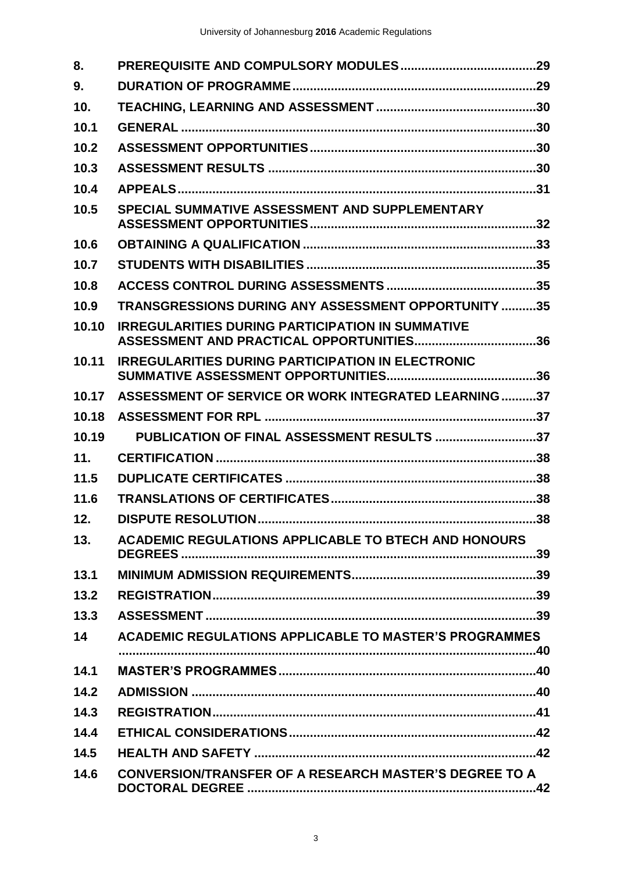| 8.    |                                                                                                     |
|-------|-----------------------------------------------------------------------------------------------------|
| 9.    |                                                                                                     |
| 10.   |                                                                                                     |
| 10.1  |                                                                                                     |
| 10.2  |                                                                                                     |
| 10.3  |                                                                                                     |
| 10.4  |                                                                                                     |
| 10.5  | SPECIAL SUMMATIVE ASSESSMENT AND SUPPLEMENTARY                                                      |
| 10.6  |                                                                                                     |
| 10.7  |                                                                                                     |
| 10.8  |                                                                                                     |
| 10.9  | TRANSGRESSIONS DURING ANY ASSESSMENT OPPORTUNITY 35                                                 |
| 10.10 | <b>IRREGULARITIES DURING PARTICIPATION IN SUMMATIVE</b><br>ASSESSMENT AND PRACTICAL OPPORTUNITIES36 |
| 10.11 | <b>IRREGULARITIES DURING PARTICIPATION IN ELECTRONIC</b>                                            |
| 10.17 | ASSESSMENT OF SERVICE OR WORK INTEGRATED LEARNING37                                                 |
| 10.18 |                                                                                                     |
| 10.19 | PUBLICATION OF FINAL ASSESSMENT RESULTS 37                                                          |
| 11.   |                                                                                                     |
| 11.5  |                                                                                                     |
| 11.6  |                                                                                                     |
| 12.   |                                                                                                     |
| 13.   | ACADEMIC REGULATIONS APPLICABLE TO BTECH AND HONOURS                                                |
| 13.1  |                                                                                                     |
| 13.2  |                                                                                                     |
| 13.3  |                                                                                                     |
| 14    | <b>ACADEMIC REGULATIONS APPLICABLE TO MASTER'S PROGRAMMES</b>                                       |
| 14.1  |                                                                                                     |
| 14.2  |                                                                                                     |
| 14.3  |                                                                                                     |
| 14.4  |                                                                                                     |
| 14.5  |                                                                                                     |
| 14.6  | <b>CONVERSION/TRANSFER OF A RESEARCH MASTER'S DEGREE TO A</b>                                       |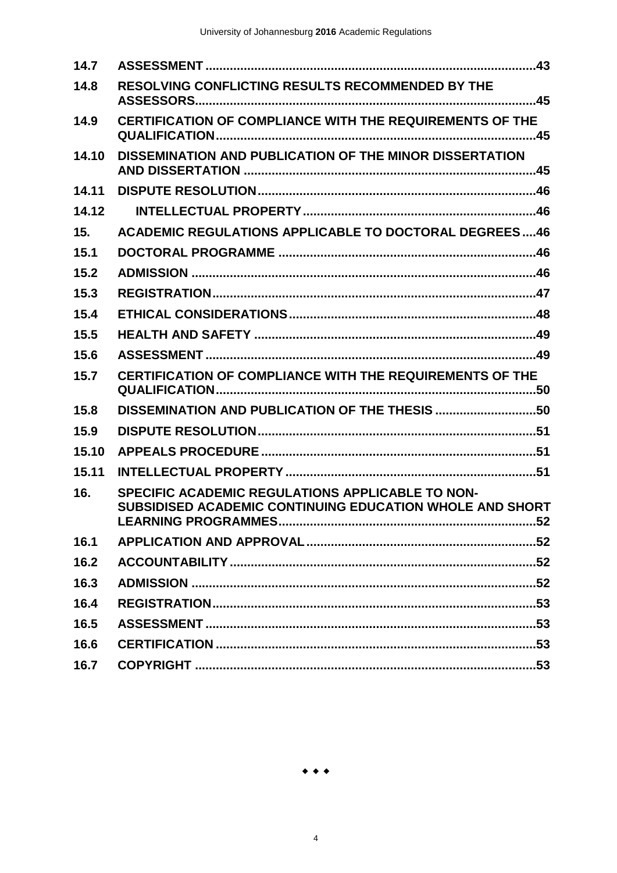| 14.7  |                                                                                                                            |
|-------|----------------------------------------------------------------------------------------------------------------------------|
| 14.8  | RESOLVING CONFLICTING RESULTS RECOMMENDED BY THE                                                                           |
| 14.9  | CERTIFICATION OF COMPLIANCE WITH THE REQUIREMENTS OF THE                                                                   |
| 14.10 | DISSEMINATION AND PUBLICATION OF THE MINOR DISSERTATION                                                                    |
| 14.11 |                                                                                                                            |
| 14.12 |                                                                                                                            |
| 15.   | <b>ACADEMIC REGULATIONS APPLICABLE TO DOCTORAL DEGREES46</b>                                                               |
| 15.1  |                                                                                                                            |
| 15.2  |                                                                                                                            |
| 15.3  |                                                                                                                            |
| 15.4  |                                                                                                                            |
| 15.5  |                                                                                                                            |
| 15.6  |                                                                                                                            |
| 15.7  | CERTIFICATION OF COMPLIANCE WITH THE REQUIREMENTS OF THE                                                                   |
| 15.8  | DISSEMINATION AND PUBLICATION OF THE THESIS 50                                                                             |
| 15.9  |                                                                                                                            |
| 15.10 |                                                                                                                            |
| 15.11 |                                                                                                                            |
| 16.   | <b>SPECIFIC ACADEMIC REGULATIONS APPLICABLE TO NON-</b><br>SUBSIDISED ACADEMIC CONTINUING EDUCATION WHOLE AND SHORT<br>.52 |
| 16.1  |                                                                                                                            |
| 16.2  |                                                                                                                            |
| 16.3  |                                                                                                                            |
| 16.4  |                                                                                                                            |
| 16.5  |                                                                                                                            |
| 16.6  |                                                                                                                            |
| 16.7  |                                                                                                                            |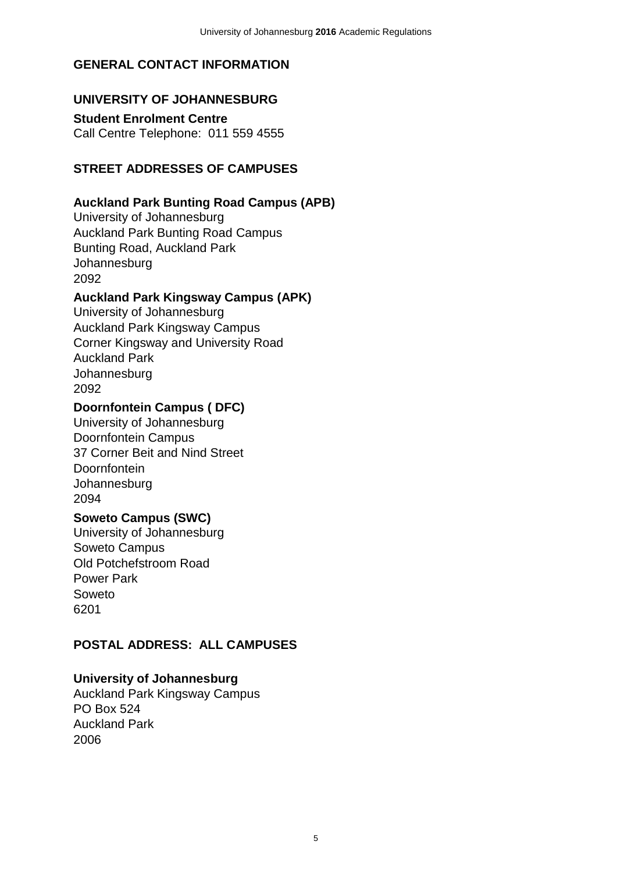### <span id="page-5-0"></span>**GENERAL CONTACT INFORMATION**

### <span id="page-5-1"></span>**UNIVERSITY OF JOHANNESBURG**

<span id="page-5-2"></span>**Student Enrolment Centre** Call Centre Telephone: 011 559 4555

### <span id="page-5-3"></span>**STREET ADDRESSES OF CAMPUSES**

#### <span id="page-5-4"></span>**Auckland Park Bunting Road Campus (APB)**

University of Johannesburg Auckland Park Bunting Road Campus Bunting Road, Auckland Park **Johannesburg** 2092

#### <span id="page-5-5"></span>**Auckland Park Kingsway Campus (APK)**

University of Johannesburg Auckland Park Kingsway Campus Corner Kingsway and University Road Auckland Park **Johannesburg** 2092

#### <span id="page-5-6"></span>**Doornfontein Campus ( DFC)**

University of Johannesburg Doornfontein Campus 37 Corner Beit and Nind Street **Doornfontein Johannesburg** 2094

## <span id="page-5-7"></span>**Soweto Campus (SWC)**

University of Johannesburg Soweto Campus Old Potchefstroom Road Power Park Soweto 6201

#### <span id="page-5-8"></span>**POSTAL ADDRESS: ALL CAMPUSES**

#### <span id="page-5-9"></span>**University of Johannesburg**

Auckland Park Kingsway Campus PO Box 524 Auckland Park 2006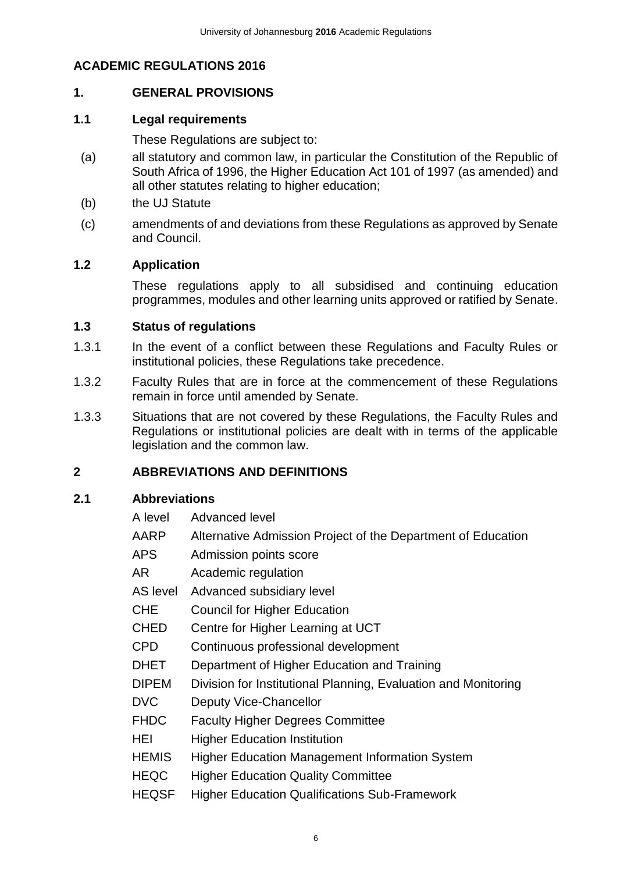## **ACADEMIC REGULATIONS 2016**

## <span id="page-6-0"></span>**1. GENERAL PROVISIONS**

#### <span id="page-6-1"></span>**1.1 Legal requirements**

These Regulations are subject to:

- (a) all statutory and common law, in particular the Constitution of the Republic of South Africa of 1996, the Higher Education Act 101 of 1997 (as amended) and all other statutes relating to higher education;
- (b) the UJ Statute
- (c) amendments of and deviations from these Regulations as approved by Senate and Council.

## <span id="page-6-2"></span>**1.2 Application**

These regulations apply to all subsidised and continuing education programmes, modules and other learning units approved or ratified by Senate.

#### <span id="page-6-3"></span>**1.3 Status of regulations**

- 1.3.1 In the event of a conflict between these Regulations and Faculty Rules or institutional policies, these Regulations take precedence.
- 1.3.2 Faculty Rules that are in force at the commencement of these Regulations remain in force until amended by Senate.
- 1.3.3 Situations that are not covered by these Regulations, the Faculty Rules and Regulations or institutional policies are dealt with in terms of the applicable legislation and the common law.

#### <span id="page-6-4"></span>**2 ABBREVIATIONS AND DEFINITIONS**

#### <span id="page-6-5"></span>**2.1 Abbreviations**

- A level Advanced level
- AARP Alternative Admission Project of the Department of Education
- APS Admission points score
- AR Academic regulation

AS level Advanced subsidiary level

CHE Council for Higher Education

CHED Centre for Higher Learning at UCT

CPD Continuous professional development

DHET Department of Higher Education and Training

DIPEM Division for Institutional Planning, Evaluation and Monitoring

DVC Deputy Vice-Chancellor

FHDC Faculty Higher Degrees Committee

HEI Higher Education Institution

- HEMIS Higher Education Management Information System
- HEQC Higher Education Quality Committee
- HEQSF Higher Education Qualifications Sub-Framework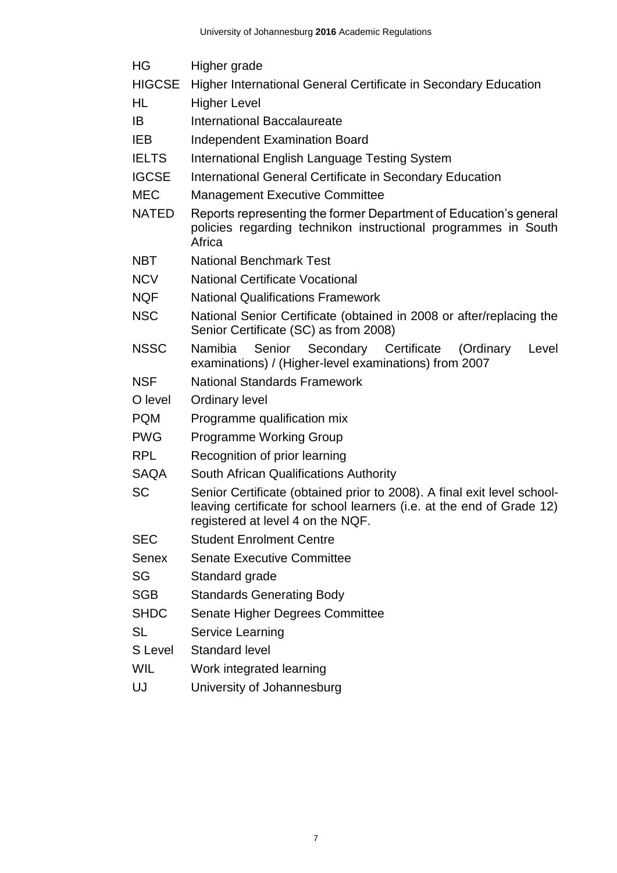| HG            | Higher grade                                                                                                                                                                          |  |  |  |
|---------------|---------------------------------------------------------------------------------------------------------------------------------------------------------------------------------------|--|--|--|
| <b>HIGCSE</b> | Higher International General Certificate in Secondary Education                                                                                                                       |  |  |  |
| HL            | <b>Higher Level</b>                                                                                                                                                                   |  |  |  |
| IB            | International Baccalaureate                                                                                                                                                           |  |  |  |
| <b>IEB</b>    | <b>Independent Examination Board</b>                                                                                                                                                  |  |  |  |
| <b>IELTS</b>  | International English Language Testing System                                                                                                                                         |  |  |  |
| <b>IGCSE</b>  | International General Certificate in Secondary Education                                                                                                                              |  |  |  |
| <b>MEC</b>    | <b>Management Executive Committee</b>                                                                                                                                                 |  |  |  |
| <b>NATED</b>  | Reports representing the former Department of Education's general<br>policies regarding technikon instructional programmes in South<br>Africa                                         |  |  |  |
| <b>NBT</b>    | <b>National Benchmark Test</b>                                                                                                                                                        |  |  |  |
| <b>NCV</b>    | <b>National Certificate Vocational</b>                                                                                                                                                |  |  |  |
| <b>NQF</b>    | <b>National Qualifications Framework</b>                                                                                                                                              |  |  |  |
| <b>NSC</b>    | National Senior Certificate (obtained in 2008 or after/replacing the<br>Senior Certificate (SC) as from 2008)                                                                         |  |  |  |
| <b>NSSC</b>   | Senior Secondary Certificate<br>Namibia<br>(Ordinary<br>Level<br>examinations) / (Higher-level examinations) from 2007                                                                |  |  |  |
| <b>NSF</b>    | <b>National Standards Framework</b>                                                                                                                                                   |  |  |  |
| O level       | <b>Ordinary level</b>                                                                                                                                                                 |  |  |  |
| <b>PQM</b>    | Programme qualification mix                                                                                                                                                           |  |  |  |
| <b>PWG</b>    | <b>Programme Working Group</b>                                                                                                                                                        |  |  |  |
| <b>RPL</b>    | Recognition of prior learning                                                                                                                                                         |  |  |  |
| <b>SAQA</b>   | South African Qualifications Authority                                                                                                                                                |  |  |  |
| <b>SC</b>     | Senior Certificate (obtained prior to 2008). A final exit level school-<br>leaving certificate for school learners (i.e. at the end of Grade 12)<br>registered at level 4 on the NQF. |  |  |  |
| <b>SEC</b>    | <b>Student Enrolment Centre</b>                                                                                                                                                       |  |  |  |
| <b>Senex</b>  | <b>Senate Executive Committee</b>                                                                                                                                                     |  |  |  |
| SG            | Standard grade                                                                                                                                                                        |  |  |  |
| <b>SGB</b>    | <b>Standards Generating Body</b>                                                                                                                                                      |  |  |  |
| <b>SHDC</b>   | Senate Higher Degrees Committee                                                                                                                                                       |  |  |  |
| <b>SL</b>     | <b>Service Learning</b>                                                                                                                                                               |  |  |  |
| S Level       | <b>Standard level</b>                                                                                                                                                                 |  |  |  |
| <b>WIL</b>    | Work integrated learning                                                                                                                                                              |  |  |  |
|               |                                                                                                                                                                                       |  |  |  |

UJ University of Johannesburg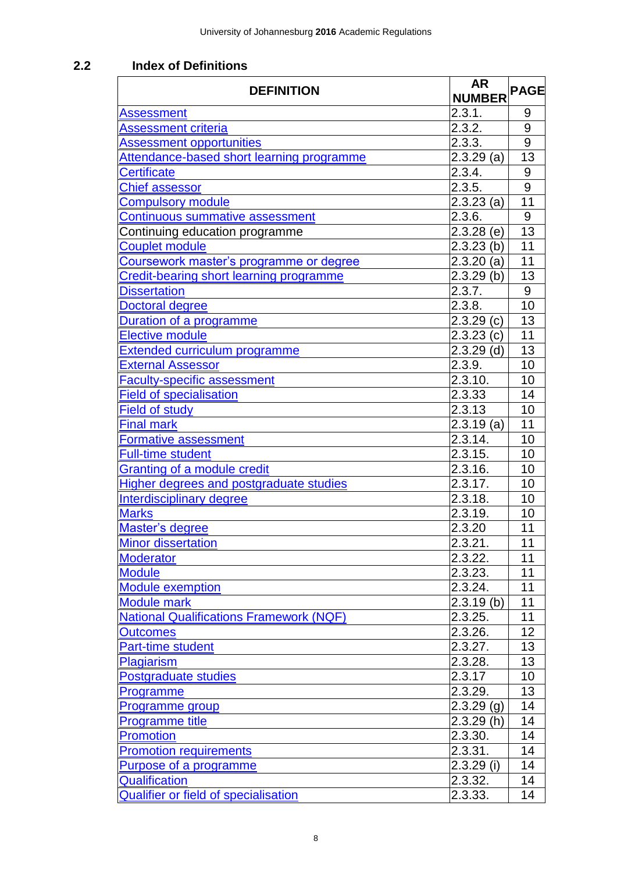# <span id="page-8-0"></span>**2.2 Index of Definitions**

<span id="page-8-1"></span>

| 2.3.1.<br><b>Assessment</b><br>9<br>2.3.2.<br>9<br><b>Assessment criteria</b><br>$\overline{9}$<br>2.3.3.<br><b>Assessment opportunities</b><br>13<br>Attendance-based short learning programme<br>$2.3.29$ (a)<br>2.3.4.<br>9<br><b>Certificate</b><br>9<br><b>Chief assessor</b><br>2.3.5.<br>2.3.23(a)<br>11<br><b>Compulsory module</b><br>$\boldsymbol{9}$<br>2.3.6.<br>Continuous summative assessment<br>13<br>Continuing education programme<br>$2.3.28$ (e)<br>11<br><b>Couplet module</b><br>$2.3.23$ (b)<br>11<br>Coursework master's programme or degree<br>$2.3.20$ (a)<br>13<br>Credit-bearing short learning programme<br>$2.3.29$ (b)<br>$9\,$<br>2.3.7.<br><b>Dissertation</b><br>2.3.8.<br>10<br>Doctoral degree<br>13<br>2.3.29(c)<br><b>Duration of a programme</b><br>11<br><b>Elective module</b><br>2.3.23(c)<br>13<br>$2.3.29$ (d)<br><b>Extended curriculum programme</b><br>10<br>2.3.9.<br><b>External Assessor</b><br>2.3.10.<br>10<br><b>Faculty-specific assessment</b><br>14<br>2.3.33<br><b>Field of specialisation</b><br>10<br><b>Field of study</b><br>2.3.13<br>11<br><b>Final mark</b><br>$2.3.19$ (a)<br>2.3.14.<br>10<br>Formative assessment<br>10<br>2.3.15.<br>Full-time student<br>Granting of a module credit<br>2.3.16.<br>10<br>10<br>2.3.17.<br><b>Higher degrees and postgraduate studies</b><br>2.3.18.<br>10<br><b>Interdisciplinary degree</b><br>2.3.19.<br>10<br><b>Marks</b><br>11<br>2.3.20<br>Master's degree<br>2.3.21.<br>11<br><b>Minor dissertation</b><br>11<br>2.3.22.<br><b>Moderator</b><br>11<br><b>Module</b><br>2.3.23.<br>11<br>2.3.24.<br><b>Module exemption</b><br>11<br>$2.3.19$ (b)<br><b>Module mark</b><br><b>National Qualifications Framework (NQF)</b><br>2.3.25.<br>11<br>12<br>2.3.26.<br><b>Outcomes</b><br>13<br>2.3.27.<br><b>Part-time student</b><br>13<br>2.3.28.<br>Plagiarism<br>10<br><b>Postgraduate studies</b><br>2.3.17<br>13<br>2.3.29.<br><b>Programme</b><br>14<br>$2.3.29$ (g)<br><b>Programme group</b><br>14<br>2.3.29(h)<br><b>Programme title</b><br>2.3.30.<br><b>Promotion</b><br>14<br>2.3.31.<br>14<br><b>Promotion requirements</b><br>$2.3.29$ (i)<br>14<br>Purpose of a programme<br>Qualification<br>2.3.32.<br>14<br>14<br><b>Qualifier or field of specialisation</b><br>2.3.33. | <b>DEFINITION</b> | <b>AR</b>     | <b>PAGE</b> |
|-------------------------------------------------------------------------------------------------------------------------------------------------------------------------------------------------------------------------------------------------------------------------------------------------------------------------------------------------------------------------------------------------------------------------------------------------------------------------------------------------------------------------------------------------------------------------------------------------------------------------------------------------------------------------------------------------------------------------------------------------------------------------------------------------------------------------------------------------------------------------------------------------------------------------------------------------------------------------------------------------------------------------------------------------------------------------------------------------------------------------------------------------------------------------------------------------------------------------------------------------------------------------------------------------------------------------------------------------------------------------------------------------------------------------------------------------------------------------------------------------------------------------------------------------------------------------------------------------------------------------------------------------------------------------------------------------------------------------------------------------------------------------------------------------------------------------------------------------------------------------------------------------------------------------------------------------------------------------------------------------------------------------------------------------------------------------------------------------------------------------------------------------------------------------------------------------------------------------------------------------------------------------------------------------|-------------------|---------------|-------------|
|                                                                                                                                                                                                                                                                                                                                                                                                                                                                                                                                                                                                                                                                                                                                                                                                                                                                                                                                                                                                                                                                                                                                                                                                                                                                                                                                                                                                                                                                                                                                                                                                                                                                                                                                                                                                                                                                                                                                                                                                                                                                                                                                                                                                                                                                                                 |                   | <b>NUMBER</b> |             |
|                                                                                                                                                                                                                                                                                                                                                                                                                                                                                                                                                                                                                                                                                                                                                                                                                                                                                                                                                                                                                                                                                                                                                                                                                                                                                                                                                                                                                                                                                                                                                                                                                                                                                                                                                                                                                                                                                                                                                                                                                                                                                                                                                                                                                                                                                                 |                   |               |             |
|                                                                                                                                                                                                                                                                                                                                                                                                                                                                                                                                                                                                                                                                                                                                                                                                                                                                                                                                                                                                                                                                                                                                                                                                                                                                                                                                                                                                                                                                                                                                                                                                                                                                                                                                                                                                                                                                                                                                                                                                                                                                                                                                                                                                                                                                                                 |                   |               |             |
|                                                                                                                                                                                                                                                                                                                                                                                                                                                                                                                                                                                                                                                                                                                                                                                                                                                                                                                                                                                                                                                                                                                                                                                                                                                                                                                                                                                                                                                                                                                                                                                                                                                                                                                                                                                                                                                                                                                                                                                                                                                                                                                                                                                                                                                                                                 |                   |               |             |
|                                                                                                                                                                                                                                                                                                                                                                                                                                                                                                                                                                                                                                                                                                                                                                                                                                                                                                                                                                                                                                                                                                                                                                                                                                                                                                                                                                                                                                                                                                                                                                                                                                                                                                                                                                                                                                                                                                                                                                                                                                                                                                                                                                                                                                                                                                 |                   |               |             |
|                                                                                                                                                                                                                                                                                                                                                                                                                                                                                                                                                                                                                                                                                                                                                                                                                                                                                                                                                                                                                                                                                                                                                                                                                                                                                                                                                                                                                                                                                                                                                                                                                                                                                                                                                                                                                                                                                                                                                                                                                                                                                                                                                                                                                                                                                                 |                   |               |             |
|                                                                                                                                                                                                                                                                                                                                                                                                                                                                                                                                                                                                                                                                                                                                                                                                                                                                                                                                                                                                                                                                                                                                                                                                                                                                                                                                                                                                                                                                                                                                                                                                                                                                                                                                                                                                                                                                                                                                                                                                                                                                                                                                                                                                                                                                                                 |                   |               |             |
|                                                                                                                                                                                                                                                                                                                                                                                                                                                                                                                                                                                                                                                                                                                                                                                                                                                                                                                                                                                                                                                                                                                                                                                                                                                                                                                                                                                                                                                                                                                                                                                                                                                                                                                                                                                                                                                                                                                                                                                                                                                                                                                                                                                                                                                                                                 |                   |               |             |
|                                                                                                                                                                                                                                                                                                                                                                                                                                                                                                                                                                                                                                                                                                                                                                                                                                                                                                                                                                                                                                                                                                                                                                                                                                                                                                                                                                                                                                                                                                                                                                                                                                                                                                                                                                                                                                                                                                                                                                                                                                                                                                                                                                                                                                                                                                 |                   |               |             |
|                                                                                                                                                                                                                                                                                                                                                                                                                                                                                                                                                                                                                                                                                                                                                                                                                                                                                                                                                                                                                                                                                                                                                                                                                                                                                                                                                                                                                                                                                                                                                                                                                                                                                                                                                                                                                                                                                                                                                                                                                                                                                                                                                                                                                                                                                                 |                   |               |             |
|                                                                                                                                                                                                                                                                                                                                                                                                                                                                                                                                                                                                                                                                                                                                                                                                                                                                                                                                                                                                                                                                                                                                                                                                                                                                                                                                                                                                                                                                                                                                                                                                                                                                                                                                                                                                                                                                                                                                                                                                                                                                                                                                                                                                                                                                                                 |                   |               |             |
|                                                                                                                                                                                                                                                                                                                                                                                                                                                                                                                                                                                                                                                                                                                                                                                                                                                                                                                                                                                                                                                                                                                                                                                                                                                                                                                                                                                                                                                                                                                                                                                                                                                                                                                                                                                                                                                                                                                                                                                                                                                                                                                                                                                                                                                                                                 |                   |               |             |
|                                                                                                                                                                                                                                                                                                                                                                                                                                                                                                                                                                                                                                                                                                                                                                                                                                                                                                                                                                                                                                                                                                                                                                                                                                                                                                                                                                                                                                                                                                                                                                                                                                                                                                                                                                                                                                                                                                                                                                                                                                                                                                                                                                                                                                                                                                 |                   |               |             |
|                                                                                                                                                                                                                                                                                                                                                                                                                                                                                                                                                                                                                                                                                                                                                                                                                                                                                                                                                                                                                                                                                                                                                                                                                                                                                                                                                                                                                                                                                                                                                                                                                                                                                                                                                                                                                                                                                                                                                                                                                                                                                                                                                                                                                                                                                                 |                   |               |             |
|                                                                                                                                                                                                                                                                                                                                                                                                                                                                                                                                                                                                                                                                                                                                                                                                                                                                                                                                                                                                                                                                                                                                                                                                                                                                                                                                                                                                                                                                                                                                                                                                                                                                                                                                                                                                                                                                                                                                                                                                                                                                                                                                                                                                                                                                                                 |                   |               |             |
|                                                                                                                                                                                                                                                                                                                                                                                                                                                                                                                                                                                                                                                                                                                                                                                                                                                                                                                                                                                                                                                                                                                                                                                                                                                                                                                                                                                                                                                                                                                                                                                                                                                                                                                                                                                                                                                                                                                                                                                                                                                                                                                                                                                                                                                                                                 |                   |               |             |
|                                                                                                                                                                                                                                                                                                                                                                                                                                                                                                                                                                                                                                                                                                                                                                                                                                                                                                                                                                                                                                                                                                                                                                                                                                                                                                                                                                                                                                                                                                                                                                                                                                                                                                                                                                                                                                                                                                                                                                                                                                                                                                                                                                                                                                                                                                 |                   |               |             |
|                                                                                                                                                                                                                                                                                                                                                                                                                                                                                                                                                                                                                                                                                                                                                                                                                                                                                                                                                                                                                                                                                                                                                                                                                                                                                                                                                                                                                                                                                                                                                                                                                                                                                                                                                                                                                                                                                                                                                                                                                                                                                                                                                                                                                                                                                                 |                   |               |             |
|                                                                                                                                                                                                                                                                                                                                                                                                                                                                                                                                                                                                                                                                                                                                                                                                                                                                                                                                                                                                                                                                                                                                                                                                                                                                                                                                                                                                                                                                                                                                                                                                                                                                                                                                                                                                                                                                                                                                                                                                                                                                                                                                                                                                                                                                                                 |                   |               |             |
|                                                                                                                                                                                                                                                                                                                                                                                                                                                                                                                                                                                                                                                                                                                                                                                                                                                                                                                                                                                                                                                                                                                                                                                                                                                                                                                                                                                                                                                                                                                                                                                                                                                                                                                                                                                                                                                                                                                                                                                                                                                                                                                                                                                                                                                                                                 |                   |               |             |
|                                                                                                                                                                                                                                                                                                                                                                                                                                                                                                                                                                                                                                                                                                                                                                                                                                                                                                                                                                                                                                                                                                                                                                                                                                                                                                                                                                                                                                                                                                                                                                                                                                                                                                                                                                                                                                                                                                                                                                                                                                                                                                                                                                                                                                                                                                 |                   |               |             |
|                                                                                                                                                                                                                                                                                                                                                                                                                                                                                                                                                                                                                                                                                                                                                                                                                                                                                                                                                                                                                                                                                                                                                                                                                                                                                                                                                                                                                                                                                                                                                                                                                                                                                                                                                                                                                                                                                                                                                                                                                                                                                                                                                                                                                                                                                                 |                   |               |             |
|                                                                                                                                                                                                                                                                                                                                                                                                                                                                                                                                                                                                                                                                                                                                                                                                                                                                                                                                                                                                                                                                                                                                                                                                                                                                                                                                                                                                                                                                                                                                                                                                                                                                                                                                                                                                                                                                                                                                                                                                                                                                                                                                                                                                                                                                                                 |                   |               |             |
|                                                                                                                                                                                                                                                                                                                                                                                                                                                                                                                                                                                                                                                                                                                                                                                                                                                                                                                                                                                                                                                                                                                                                                                                                                                                                                                                                                                                                                                                                                                                                                                                                                                                                                                                                                                                                                                                                                                                                                                                                                                                                                                                                                                                                                                                                                 |                   |               |             |
|                                                                                                                                                                                                                                                                                                                                                                                                                                                                                                                                                                                                                                                                                                                                                                                                                                                                                                                                                                                                                                                                                                                                                                                                                                                                                                                                                                                                                                                                                                                                                                                                                                                                                                                                                                                                                                                                                                                                                                                                                                                                                                                                                                                                                                                                                                 |                   |               |             |
|                                                                                                                                                                                                                                                                                                                                                                                                                                                                                                                                                                                                                                                                                                                                                                                                                                                                                                                                                                                                                                                                                                                                                                                                                                                                                                                                                                                                                                                                                                                                                                                                                                                                                                                                                                                                                                                                                                                                                                                                                                                                                                                                                                                                                                                                                                 |                   |               |             |
|                                                                                                                                                                                                                                                                                                                                                                                                                                                                                                                                                                                                                                                                                                                                                                                                                                                                                                                                                                                                                                                                                                                                                                                                                                                                                                                                                                                                                                                                                                                                                                                                                                                                                                                                                                                                                                                                                                                                                                                                                                                                                                                                                                                                                                                                                                 |                   |               |             |
|                                                                                                                                                                                                                                                                                                                                                                                                                                                                                                                                                                                                                                                                                                                                                                                                                                                                                                                                                                                                                                                                                                                                                                                                                                                                                                                                                                                                                                                                                                                                                                                                                                                                                                                                                                                                                                                                                                                                                                                                                                                                                                                                                                                                                                                                                                 |                   |               |             |
|                                                                                                                                                                                                                                                                                                                                                                                                                                                                                                                                                                                                                                                                                                                                                                                                                                                                                                                                                                                                                                                                                                                                                                                                                                                                                                                                                                                                                                                                                                                                                                                                                                                                                                                                                                                                                                                                                                                                                                                                                                                                                                                                                                                                                                                                                                 |                   |               |             |
|                                                                                                                                                                                                                                                                                                                                                                                                                                                                                                                                                                                                                                                                                                                                                                                                                                                                                                                                                                                                                                                                                                                                                                                                                                                                                                                                                                                                                                                                                                                                                                                                                                                                                                                                                                                                                                                                                                                                                                                                                                                                                                                                                                                                                                                                                                 |                   |               |             |
|                                                                                                                                                                                                                                                                                                                                                                                                                                                                                                                                                                                                                                                                                                                                                                                                                                                                                                                                                                                                                                                                                                                                                                                                                                                                                                                                                                                                                                                                                                                                                                                                                                                                                                                                                                                                                                                                                                                                                                                                                                                                                                                                                                                                                                                                                                 |                   |               |             |
|                                                                                                                                                                                                                                                                                                                                                                                                                                                                                                                                                                                                                                                                                                                                                                                                                                                                                                                                                                                                                                                                                                                                                                                                                                                                                                                                                                                                                                                                                                                                                                                                                                                                                                                                                                                                                                                                                                                                                                                                                                                                                                                                                                                                                                                                                                 |                   |               |             |
|                                                                                                                                                                                                                                                                                                                                                                                                                                                                                                                                                                                                                                                                                                                                                                                                                                                                                                                                                                                                                                                                                                                                                                                                                                                                                                                                                                                                                                                                                                                                                                                                                                                                                                                                                                                                                                                                                                                                                                                                                                                                                                                                                                                                                                                                                                 |                   |               |             |
|                                                                                                                                                                                                                                                                                                                                                                                                                                                                                                                                                                                                                                                                                                                                                                                                                                                                                                                                                                                                                                                                                                                                                                                                                                                                                                                                                                                                                                                                                                                                                                                                                                                                                                                                                                                                                                                                                                                                                                                                                                                                                                                                                                                                                                                                                                 |                   |               |             |
|                                                                                                                                                                                                                                                                                                                                                                                                                                                                                                                                                                                                                                                                                                                                                                                                                                                                                                                                                                                                                                                                                                                                                                                                                                                                                                                                                                                                                                                                                                                                                                                                                                                                                                                                                                                                                                                                                                                                                                                                                                                                                                                                                                                                                                                                                                 |                   |               |             |
|                                                                                                                                                                                                                                                                                                                                                                                                                                                                                                                                                                                                                                                                                                                                                                                                                                                                                                                                                                                                                                                                                                                                                                                                                                                                                                                                                                                                                                                                                                                                                                                                                                                                                                                                                                                                                                                                                                                                                                                                                                                                                                                                                                                                                                                                                                 |                   |               |             |
|                                                                                                                                                                                                                                                                                                                                                                                                                                                                                                                                                                                                                                                                                                                                                                                                                                                                                                                                                                                                                                                                                                                                                                                                                                                                                                                                                                                                                                                                                                                                                                                                                                                                                                                                                                                                                                                                                                                                                                                                                                                                                                                                                                                                                                                                                                 |                   |               |             |
|                                                                                                                                                                                                                                                                                                                                                                                                                                                                                                                                                                                                                                                                                                                                                                                                                                                                                                                                                                                                                                                                                                                                                                                                                                                                                                                                                                                                                                                                                                                                                                                                                                                                                                                                                                                                                                                                                                                                                                                                                                                                                                                                                                                                                                                                                                 |                   |               |             |
|                                                                                                                                                                                                                                                                                                                                                                                                                                                                                                                                                                                                                                                                                                                                                                                                                                                                                                                                                                                                                                                                                                                                                                                                                                                                                                                                                                                                                                                                                                                                                                                                                                                                                                                                                                                                                                                                                                                                                                                                                                                                                                                                                                                                                                                                                                 |                   |               |             |
|                                                                                                                                                                                                                                                                                                                                                                                                                                                                                                                                                                                                                                                                                                                                                                                                                                                                                                                                                                                                                                                                                                                                                                                                                                                                                                                                                                                                                                                                                                                                                                                                                                                                                                                                                                                                                                                                                                                                                                                                                                                                                                                                                                                                                                                                                                 |                   |               |             |
|                                                                                                                                                                                                                                                                                                                                                                                                                                                                                                                                                                                                                                                                                                                                                                                                                                                                                                                                                                                                                                                                                                                                                                                                                                                                                                                                                                                                                                                                                                                                                                                                                                                                                                                                                                                                                                                                                                                                                                                                                                                                                                                                                                                                                                                                                                 |                   |               |             |
|                                                                                                                                                                                                                                                                                                                                                                                                                                                                                                                                                                                                                                                                                                                                                                                                                                                                                                                                                                                                                                                                                                                                                                                                                                                                                                                                                                                                                                                                                                                                                                                                                                                                                                                                                                                                                                                                                                                                                                                                                                                                                                                                                                                                                                                                                                 |                   |               |             |
|                                                                                                                                                                                                                                                                                                                                                                                                                                                                                                                                                                                                                                                                                                                                                                                                                                                                                                                                                                                                                                                                                                                                                                                                                                                                                                                                                                                                                                                                                                                                                                                                                                                                                                                                                                                                                                                                                                                                                                                                                                                                                                                                                                                                                                                                                                 |                   |               |             |
|                                                                                                                                                                                                                                                                                                                                                                                                                                                                                                                                                                                                                                                                                                                                                                                                                                                                                                                                                                                                                                                                                                                                                                                                                                                                                                                                                                                                                                                                                                                                                                                                                                                                                                                                                                                                                                                                                                                                                                                                                                                                                                                                                                                                                                                                                                 |                   |               |             |
|                                                                                                                                                                                                                                                                                                                                                                                                                                                                                                                                                                                                                                                                                                                                                                                                                                                                                                                                                                                                                                                                                                                                                                                                                                                                                                                                                                                                                                                                                                                                                                                                                                                                                                                                                                                                                                                                                                                                                                                                                                                                                                                                                                                                                                                                                                 |                   |               |             |
|                                                                                                                                                                                                                                                                                                                                                                                                                                                                                                                                                                                                                                                                                                                                                                                                                                                                                                                                                                                                                                                                                                                                                                                                                                                                                                                                                                                                                                                                                                                                                                                                                                                                                                                                                                                                                                                                                                                                                                                                                                                                                                                                                                                                                                                                                                 |                   |               |             |
|                                                                                                                                                                                                                                                                                                                                                                                                                                                                                                                                                                                                                                                                                                                                                                                                                                                                                                                                                                                                                                                                                                                                                                                                                                                                                                                                                                                                                                                                                                                                                                                                                                                                                                                                                                                                                                                                                                                                                                                                                                                                                                                                                                                                                                                                                                 |                   |               |             |
|                                                                                                                                                                                                                                                                                                                                                                                                                                                                                                                                                                                                                                                                                                                                                                                                                                                                                                                                                                                                                                                                                                                                                                                                                                                                                                                                                                                                                                                                                                                                                                                                                                                                                                                                                                                                                                                                                                                                                                                                                                                                                                                                                                                                                                                                                                 |                   |               |             |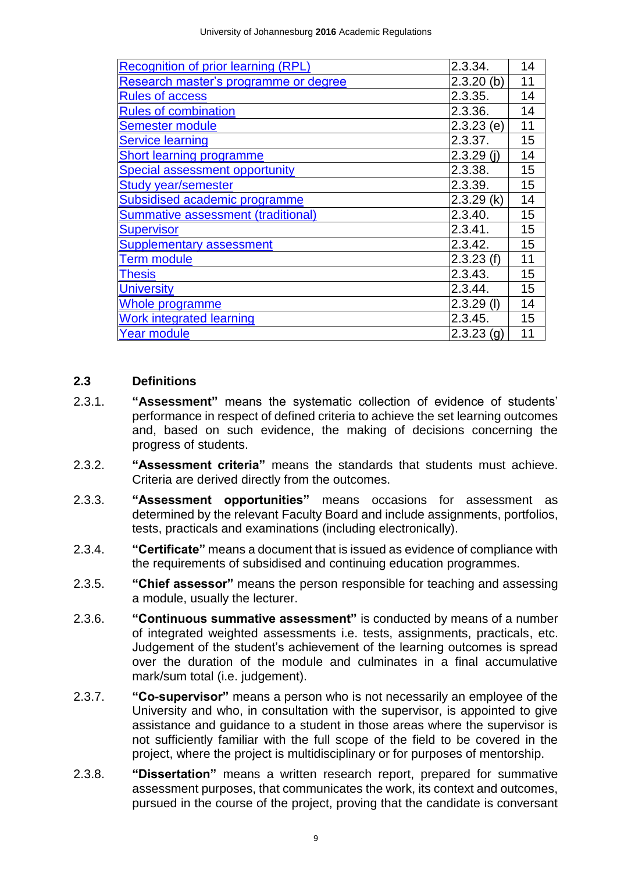| Recognition of prior learning (RPL)   | 2.3.34.      | 14 |
|---------------------------------------|--------------|----|
| Research master's programme or degree | $2.3.20$ (b) | 11 |
| <b>Rules of access</b>                | 2.3.35.      | 14 |
| <b>Rules of combination</b>           | 2.3.36.      | 14 |
| <b>Semester module</b>                | $2.3.23$ (e) | 11 |
| <b>Service learning</b>               | 2.3.37.      | 15 |
| <b>Short learning programme</b>       | $2.3.29$ (i) | 14 |
| <b>Special assessment opportunity</b> | 2.3.38.      | 15 |
| <b>Study year/semester</b>            | 2.3.39.      | 15 |
| Subsidised academic programme         | 2.3.29(k)    | 14 |
| Summative assessment (traditional)    | 2.3.40.      | 15 |
| <b>Supervisor</b>                     | 2.3.41.      | 15 |
| <b>Supplementary assessment</b>       | 2.3.42.      | 15 |
| <b>Term module</b>                    | 2.3.23(f)    | 11 |
| <b>Thesis</b>                         | 2.3.43.      | 15 |
| <b>University</b>                     | 2.3.44.      | 15 |
| Whole programme                       | 2.3.29(I)    | 14 |
| <b>Work integrated learning</b>       | 2.3.45.      | 15 |
| Year module                           | $2.3.23$ (g) | 11 |

#### <span id="page-9-0"></span>**2.3 Definitions**

- <span id="page-9-1"></span>2.3.1. **"Assessment"** means the systematic collection of evidence of students' performance in respect of defined criteria to achieve the set learning outcomes and, based on such evidence, the making of decisions concerning the progress of students.
- <span id="page-9-2"></span>2.3.2. **"Assessment criteria"** means the standards that students must achieve. Criteria are derived directly from the outcomes.
- <span id="page-9-3"></span>2.3.3. **"Assessment opportunities"** means occasions for assessment as determined by the relevant Faculty Board and include assignments, portfolios, tests, practicals and examinations (including electronically).
- <span id="page-9-4"></span>2.3.4. **"Certificate"** means a document that is issued as evidence of compliance with the requirements of subsidised and continuing education programmes.
- <span id="page-9-5"></span>2.3.5. **"Chief assessor"** means the person responsible for teaching and assessing a module, usually the lecturer.
- <span id="page-9-6"></span>2.3.6. **"Continuous summative assessment"** is conducted by means of a number of integrated weighted assessments i.e. tests, assignments, practicals, etc. Judgement of the student's achievement of the learning outcomes is spread over the duration of the module and culminates in a final accumulative mark/sum total (i.e. judgement).
- 2.3.7. **"Co-supervisor"** means a person who is not necessarily an employee of the University and who, in consultation with the supervisor, is appointed to give assistance and guidance to a student in those areas where the supervisor is not sufficiently familiar with the full scope of the field to be covered in the project, where the project is multidisciplinary or for purposes of mentorship.
- <span id="page-9-7"></span>2.3.8. **"Dissertation"** means a written research report, prepared for summative assessment purposes, that communicates the work, its context and outcomes, pursued in the course of the project, proving that the candidate is conversant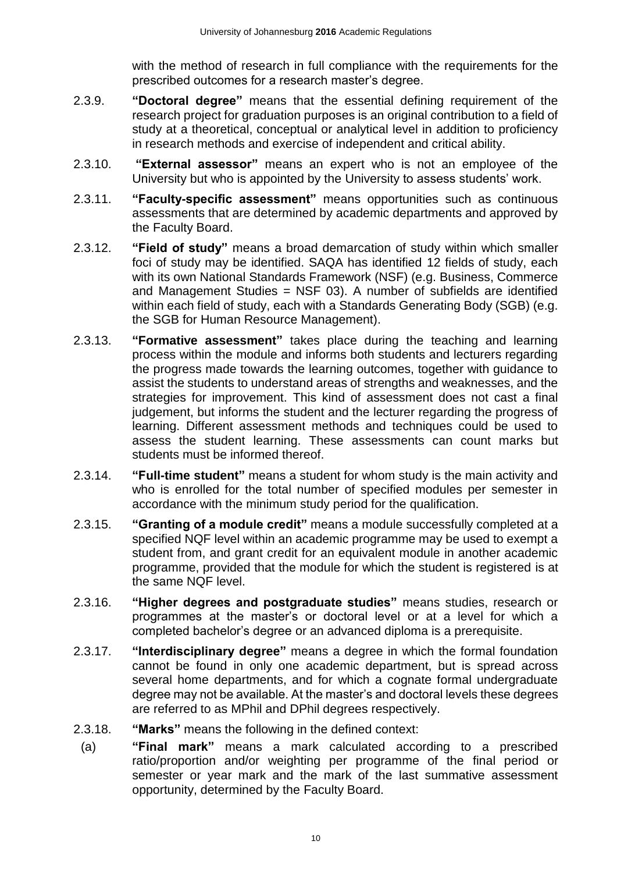<span id="page-10-0"></span>with the method of research in full compliance with the requirements for the prescribed outcomes for a research master's degree.

- 2.3.9. **"Doctoral degree"** means that the essential defining requirement of the research project for graduation purposes is an original contribution to a field of study at a theoretical, conceptual or analytical level in addition to proficiency in research methods and exercise of independent and critical ability.
- <span id="page-10-1"></span>2.3.10. **"External assessor"** means an expert who is not an employee of the University but who is appointed by the University to assess students' work.
- <span id="page-10-2"></span>2.3.11. **"Faculty-specific assessment"** means opportunities such as continuous assessments that are determined by academic departments and approved by the Faculty Board.
- <span id="page-10-3"></span>2.3.12. **"Field of study"** means a broad demarcation of study within which smaller foci of study may be identified. SAQA has identified 12 fields of study, each with its own National Standards Framework (NSF) (e.g. Business, Commerce and Management Studies = NSF 03). A number of subfields are identified within each field of study, each with a Standards Generating Body (SGB) (e.g. the SGB for Human Resource Management).
- <span id="page-10-5"></span>2.3.13. **"Formative assessment"** takes place during the teaching and learning process within the module and informs both students and lecturers regarding the progress made towards the learning outcomes, together with guidance to assist the students to understand areas of strengths and weaknesses, and the strategies for improvement. This kind of assessment does not cast a final judgement, but informs the student and the lecturer regarding the progress of learning. Different assessment methods and techniques could be used to assess the student learning. These assessments can count marks but students must be informed thereof.
- <span id="page-10-6"></span>2.3.14. **"Full-time student"** means a student for whom study is the main activity and who is enrolled for the total number of specified modules per semester in accordance with the minimum study period for the qualification.
- <span id="page-10-7"></span>2.3.15. **"Granting of a module credit"** means a module successfully completed at a specified NQF level within an academic programme may be used to exempt a student from, and grant credit for an equivalent module in another academic programme, provided that the module for which the student is registered is at the same NQF level.
- <span id="page-10-11"></span><span id="page-10-8"></span>2.3.16. **"Higher degrees and postgraduate studies"** means studies, research or programmes at the master's or doctoral level or at a level for which a completed bachelor's degree or an advanced diploma is a prerequisite.
- <span id="page-10-9"></span>2.3.17. **"Interdisciplinary degree"** means a degree in which the formal foundation cannot be found in only one academic department, but is spread across several home departments, and for which a cognate formal undergraduate degree may not be available. At the master's and doctoral levels these degrees are referred to as MPhil and DPhil degrees respectively.
- <span id="page-10-10"></span><span id="page-10-4"></span>2.3.18. **"Marks"** means the following in the defined context:
	- (a) **"Final mark"** means a mark calculated according to a prescribed ratio/proportion and/or weighting per programme of the final period or semester or year mark and the mark of the last summative assessment opportunity, determined by the Faculty Board.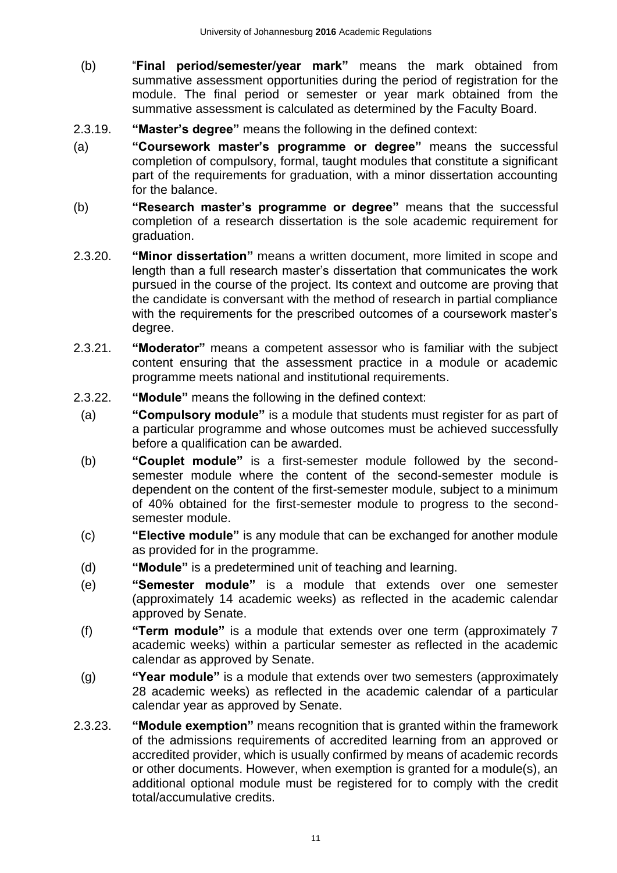- (b) "**Final period/semester/year mark"** means the mark obtained from summative assessment opportunities during the period of registration for the module. The final period or semester or year mark obtained from the summative assessment is calculated as determined by the Faculty Board.
- <span id="page-11-4"></span>2.3.19. **"Master's degree"** means the following in the defined context:
- <span id="page-11-2"></span>(a) **"Coursework master's programme or degree"** means the successful completion of compulsory, formal, taught modules that constitute a significant part of the requirements for graduation, with a minor dissertation accounting for the balance.
- <span id="page-11-9"></span>(b) **"Research master's programme or degree"** means that the successful completion of a research dissertation is the sole academic requirement for graduation.
- <span id="page-11-5"></span>2.3.20. **"Minor dissertation"** means a written document, more limited in scope and length than a full research master's dissertation that communicates the work pursued in the course of the project. Its context and outcome are proving that the candidate is conversant with the method of research in partial compliance with the requirements for the prescribed outcomes of a coursework master's degree.
- <span id="page-11-6"></span>2.3.21. **"Moderator"** means a competent assessor who is familiar with the subject content ensuring that the assessment practice in a module or academic programme meets national and institutional requirements.
- <span id="page-11-7"></span><span id="page-11-3"></span><span id="page-11-1"></span><span id="page-11-0"></span>2.3.22. **"Module"** means the following in the defined context:
	- (a) **"Compulsory module"** is a module that students must register for as part of a particular programme and whose outcomes must be achieved successfully before a qualification can be awarded.
	- (b) **"Couplet module"** is a first-semester module followed by the secondsemester module where the content of the second-semester module is dependent on the content of the first-semester module, subject to a minimum of 40% obtained for the first-semester module to progress to the secondsemester module.
	- (c) **"Elective module"** is any module that can be exchanged for another module as provided for in the programme.
	- (d) **"Module"** is a predetermined unit of teaching and learning.
	- (e) **"Semester module"** is a module that extends over one semester (approximately 14 academic weeks) as reflected in the academic calendar approved by Senate.
	- (f) **"Term module"** is a module that extends over one term (approximately 7 academic weeks) within a particular semester as reflected in the academic calendar as approved by Senate.
	- (g) **"Year module"** is a module that extends over two semesters (approximately 28 academic weeks) as reflected in the academic calendar of a particular calendar year as approved by Senate.
- <span id="page-11-12"></span><span id="page-11-11"></span><span id="page-11-10"></span><span id="page-11-8"></span>2.3.23. **"Module exemption"** means recognition that is granted within the framework of the admissions requirements of accredited learning from an approved or accredited provider, which is usually confirmed by means of academic records or other documents. However, when exemption is granted for a module(s), an additional optional module must be registered for to comply with the credit total/accumulative credits.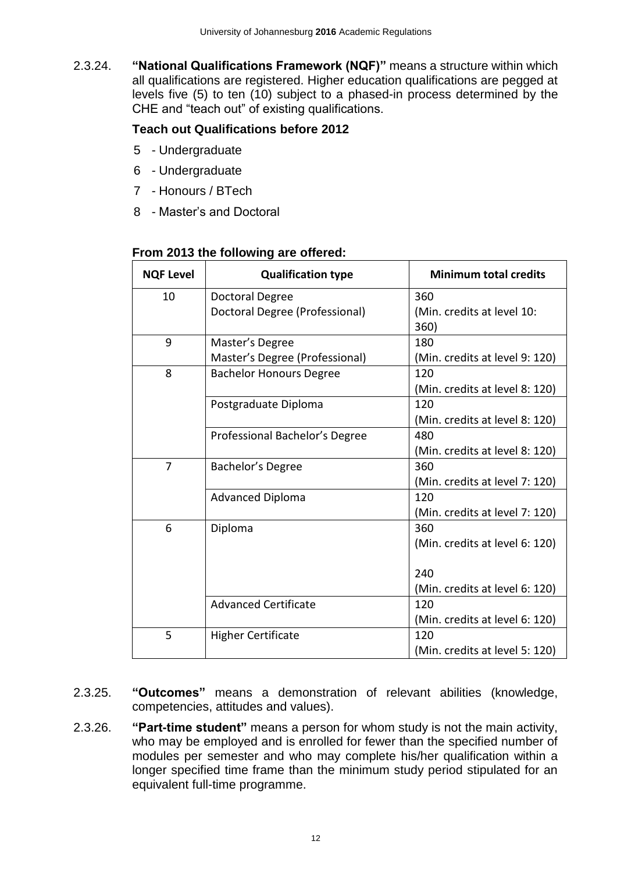<span id="page-12-0"></span>2.3.24. **"National Qualifications Framework (NQF)"** means a structure within which all qualifications are registered. Higher education qualifications are pegged at levels five (5) to ten (10) subject to a phased-in process determined by the CHE and "teach out" of existing qualifications.

## **Teach out Qualifications before 2012**

- 5 Undergraduate
- 6 Undergraduate
- 7 Honours / BTech
- 8 Master's and Doctoral

### **From 2013 the following are offered:**

| <b>NQF Level</b> | <b>Qualification type</b>      | <b>Minimum total credits</b>   |
|------------------|--------------------------------|--------------------------------|
| 10               | Doctoral Degree                | 360                            |
|                  | Doctoral Degree (Professional) | (Min. credits at level 10:     |
|                  |                                | 360)                           |
| 9                | Master's Degree                | 180                            |
|                  | Master's Degree (Professional) | (Min. credits at level 9: 120) |
| 8                | <b>Bachelor Honours Degree</b> | 120                            |
|                  |                                | (Min. credits at level 8: 120) |
|                  | Postgraduate Diploma           | 120                            |
|                  |                                | (Min. credits at level 8: 120) |
|                  | Professional Bachelor's Degree | 480                            |
|                  |                                | (Min. credits at level 8: 120) |
| $\overline{7}$   | Bachelor's Degree              | 360                            |
|                  |                                | (Min. credits at level 7: 120) |
|                  | <b>Advanced Diploma</b>        | 120                            |
|                  |                                | (Min. credits at level 7: 120) |
| 6                | Diploma                        | 360                            |
|                  |                                | (Min. credits at level 6: 120) |
|                  |                                |                                |
|                  |                                | 240                            |
|                  |                                | (Min. credits at level 6: 120) |
|                  | <b>Advanced Certificate</b>    | 120                            |
|                  |                                | (Min. credits at level 6: 120) |
| 5                | <b>Higher Certificate</b>      | 120                            |
|                  |                                | (Min. credits at level 5: 120) |

- <span id="page-12-1"></span>2.3.25. **"Outcomes"** means a demonstration of relevant abilities (knowledge, competencies, attitudes and values).
- <span id="page-12-2"></span>2.3.26. **"Part-time student"** means a person for whom study is not the main activity, who may be employed and is enrolled for fewer than the specified number of modules per semester and who may complete his/her qualification within a longer specified time frame than the minimum study period stipulated for an equivalent full-time programme.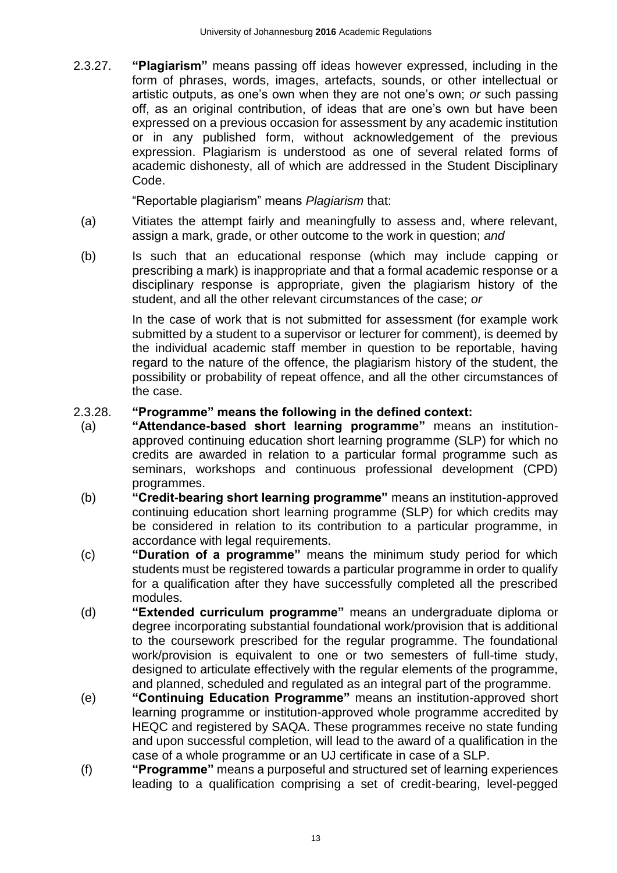2.3.27. **"Plagiarism"** means passing off ideas however expressed, including in the form of phrases, words, images, artefacts, sounds, or other intellectual or artistic outputs, as one's own when they are not one's own; *or* such passing off, as an original contribution, of ideas that are one's own but have been expressed on a previous occasion for assessment by any academic institution or in any published form, without acknowledgement of the previous expression. Plagiarism is understood as one of several related forms of academic dishonesty, all of which are addressed in the Student Disciplinary Code.

"Reportable plagiarism" means *Plagiarism* that:

- (a) Vitiates the attempt fairly and meaningfully to assess and, where relevant, assign a mark, grade, or other outcome to the work in question; *and*
- (b) Is such that an educational response (which may include capping or prescribing a mark) is inappropriate and that a formal academic response or a disciplinary response is appropriate, given the plagiarism history of the student, and all the other relevant circumstances of the case; *or*

In the case of work that is not submitted for assessment (for example work submitted by a student to a supervisor or lecturer for comment), is deemed by the individual academic staff member in question to be reportable, having regard to the nature of the offence, the plagiarism history of the student, the possibility or probability of repeat offence, and all the other circumstances of the case.

#### <span id="page-13-4"></span>2.3.28. **"Programme" means the following in the defined context:**

- <span id="page-13-0"></span>(a) **"Attendance-based short learning programme"** means an institutionapproved continuing education short learning programme (SLP) for which no credits are awarded in relation to a particular formal programme such as seminars, workshops and continuous professional development (CPD) programmes.
- <span id="page-13-1"></span>(b) **"Credit-bearing short learning programme"** means an institution-approved continuing education short learning programme (SLP) for which credits may be considered in relation to its contribution to a particular programme, in accordance with legal requirements.
- <span id="page-13-2"></span>(c) **"Duration of a programme"** means the minimum study period for which students must be registered towards a particular programme in order to qualify for a qualification after they have successfully completed all the prescribed modules.
- (d) **"Extended curriculum programme"** means an undergraduate diploma or degree incorporating substantial foundational work/provision that is additional to the coursework prescribed for the regular programme. The foundational work/provision is equivalent to one or two semesters of full-time study, designed to articulate effectively with the regular elements of the programme, and planned, scheduled and regulated as an integral part of the programme.
- <span id="page-13-3"></span>(e) **"Continuing Education Programme"** means an institution-approved short learning programme or institution-approved whole programme accredited by HEQC and registered by SAQA. These programmes receive no state funding and upon successful completion, will lead to the award of a qualification in the case of a whole programme or an UJ certificate in case of a SLP.
- (f) **"Programme"** means a purposeful and structured set of learning experiences leading to a qualification comprising a set of credit-bearing, level-pegged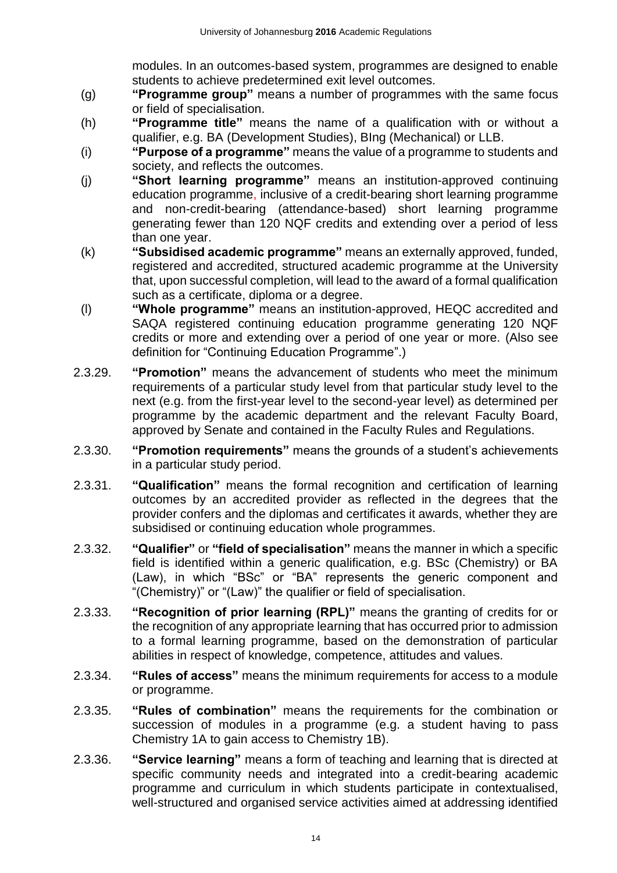<span id="page-14-1"></span>modules. In an outcomes-based system, programmes are designed to enable students to achieve predetermined exit level outcomes.

- (g) **"Programme group"** means a number of programmes with the same focus or field of specialisation.
- <span id="page-14-2"></span>(h) **"Programme title"** means the name of a qualification with or without a qualifier, e.g. BA (Development Studies), BIng (Mechanical) or LLB.
- <span id="page-14-5"></span>(i) **"Purpose of a programme"** means the value of a programme to students and society, and reflects the outcomes.
- <span id="page-14-12"></span>(j) **"Short learning programme"** means an institution-approved continuing education programme, inclusive of a credit-bearing short learning programme and non-credit-bearing (attendance-based) short learning programme generating fewer than 120 NQF credits and extending over a period of less than one year.
- <span id="page-14-13"></span>(k) **"Subsidised academic programme"** means an externally approved, funded, registered and accredited, structured academic programme at the University that, upon successful completion, will lead to the award of a formal qualification such as a certificate, diploma or a degree.
- (l) **"Whole programme"** means an institution-approved, HEQC accredited and SAQA registered continuing education programme generating 120 NQF credits or more and extending over a period of one year or more. (Also see definition for "Continuing Education Programme".)
- <span id="page-14-3"></span>2.3.29. **"Promotion"** means the advancement of students who meet the minimum requirements of a particular study level from that particular study level to the next (e.g. from the first-year level to the second-year level) as determined per programme by the academic department and the relevant Faculty Board, approved by Senate and contained in the Faculty Rules and Regulations.
- <span id="page-14-4"></span>2.3.30. **"Promotion requirements"** means the grounds of a student's achievements in a particular study period.
- <span id="page-14-6"></span>2.3.31. **"Qualification"** means the formal recognition and certification of learning outcomes by an accredited provider as reflected in the degrees that the provider confers and the diplomas and certificates it awards, whether they are subsidised or continuing education whole programmes.
- <span id="page-14-7"></span><span id="page-14-0"></span>2.3.32. **"Qualifier"** or **"field of specialisation"** means the manner in which a specific field is identified within a generic qualification, e.g. BSc (Chemistry) or BA (Law), in which "BSc" or "BA" represents the generic component and "(Chemistry)" or "(Law)" the qualifier or field of specialisation.
- <span id="page-14-8"></span>2.3.33. **"Recognition of prior learning (RPL)"** means the granting of credits for or the recognition of any appropriate learning that has occurred prior to admission to a formal learning programme, based on the demonstration of particular abilities in respect of knowledge, competence, attitudes and values.
- <span id="page-14-9"></span>2.3.34. **"Rules of access"** means the minimum requirements for access to a module or programme.
- <span id="page-14-10"></span>2.3.35. **"Rules of combination"** means the requirements for the combination or succession of modules in a programme (e.g. a student having to pass Chemistry 1A to gain access to Chemistry 1B).
- <span id="page-14-11"></span>2.3.36. **"Service learning"** means a form of teaching and learning that is directed at specific community needs and integrated into a credit-bearing academic programme and curriculum in which students participate in contextualised, well-structured and organised service activities aimed at addressing identified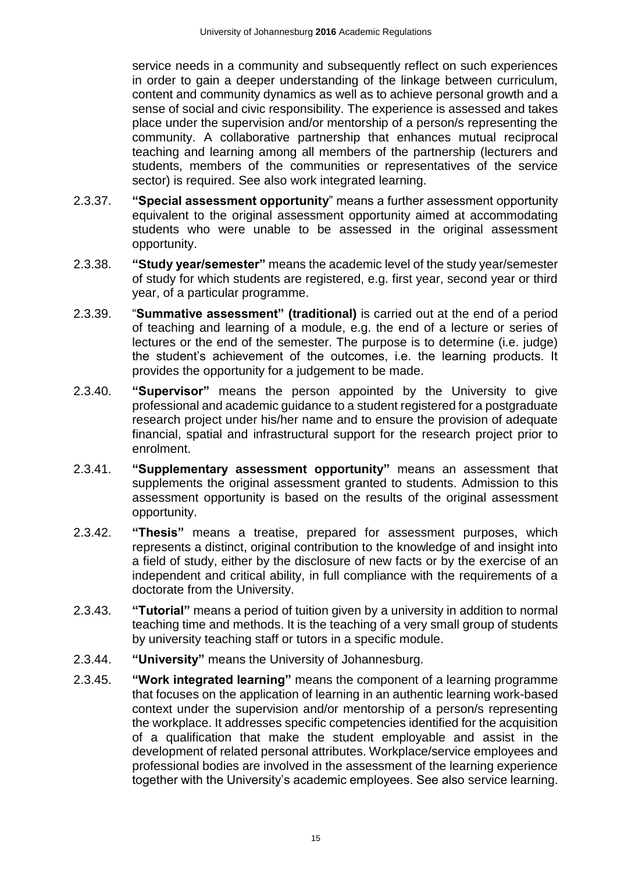service needs in a community and subsequently reflect on such experiences in order to gain a deeper understanding of the linkage between curriculum, content and community dynamics as well as to achieve personal growth and a sense of social and civic responsibility. The experience is assessed and takes place under the supervision and/or mentorship of a person/s representing the community. A collaborative partnership that enhances mutual reciprocal teaching and learning among all members of the partnership (lecturers and students, members of the communities or representatives of the service sector) is required. See also work integrated learning.

- <span id="page-15-0"></span>2.3.37. **"Special assessment opportunity**" means a further assessment opportunity equivalent to the original assessment opportunity aimed at accommodating students who were unable to be assessed in the original assessment opportunity.
- <span id="page-15-1"></span>2.3.38. **"Study year/semester"** means the academic level of the study year/semester of study for which students are registered, e.g. first year, second year or third year, of a particular programme.
- <span id="page-15-2"></span>2.3.39. "**Summative assessment" (traditional)** is carried out at the end of a period of teaching and learning of a module, e.g. the end of a lecture or series of lectures or the end of the semester. The purpose is to determine (i.e. judge) the student's achievement of the outcomes, i.e. the learning products. It provides the opportunity for a judgement to be made.
- <span id="page-15-3"></span>2.3.40. **"Supervisor"** means the person appointed by the University to give professional and academic guidance to a student registered for a postgraduate research project under his/her name and to ensure the provision of adequate financial, spatial and infrastructural support for the research project prior to enrolment.
- <span id="page-15-4"></span>2.3.41. **"Supplementary assessment opportunity"** means an assessment that supplements the original assessment granted to students. Admission to this assessment opportunity is based on the results of the original assessment opportunity.
- <span id="page-15-5"></span>2.3.42. **"Thesis"** means a treatise, prepared for assessment purposes, which represents a distinct, original contribution to the knowledge of and insight into a field of study, either by the disclosure of new facts or by the exercise of an independent and critical ability, in full compliance with the requirements of a doctorate from the University.
- 2.3.43. **"Tutorial"** means a period of tuition given by a university in addition to normal teaching time and methods. It is the teaching of a very small group of students by university teaching staff or tutors in a specific module.
- <span id="page-15-6"></span>2.3.44. **"University"** means the University of Johannesburg.
- <span id="page-15-7"></span>2.3.45. **"Work integrated learning"** means the component of a learning programme that focuses on the application of learning in an authentic learning work-based context under the supervision and/or mentorship of a person/s representing the workplace. It addresses specific competencies identified for the acquisition of a qualification that make the student employable and assist in the development of related personal attributes. Workplace/service employees and professional bodies are involved in the assessment of the learning experience together with the University's academic employees. See also service learning.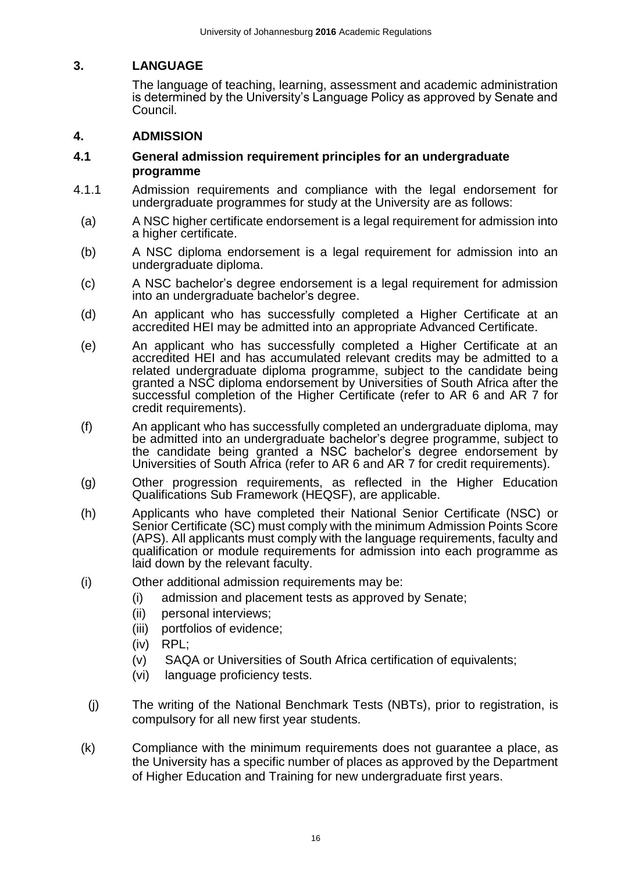## <span id="page-16-0"></span>**3. LANGUAGE**

The language of teaching, learning, assessment and academic administration is determined by the University's Language Policy as approved by Senate and Council.

## <span id="page-16-1"></span>**4. ADMISSION**

#### <span id="page-16-2"></span>**4.1 General admission requirement principles for an undergraduate programme**

- 4.1.1 Admission requirements and compliance with the legal endorsement for undergraduate programmes for study at the University are as follows:
	- (a) A NSC higher certificate endorsement is a legal requirement for admission into a higher certificate.
	- (b) A NSC diploma endorsement is a legal requirement for admission into an undergraduate diploma.
	- (c) A NSC bachelor's degree endorsement is a legal requirement for admission into an undergraduate bachelor's degree.
	- (d) An applicant who has successfully completed a Higher Certificate at an accredited HEI may be admitted into an appropriate Advanced Certificate.
	- (e) An applicant who has successfully completed a Higher Certificate at an accredited HEI and has accumulated relevant credits may be admitted to a related undergraduate diploma programme, subject to the candidate being granted a NSC diploma endorsement by Universities of South Africa after the successful completion of the Higher Certificate (refer to AR 6 and AR 7 for credit requirements).
	- (f) An applicant who has successfully completed an undergraduate diploma, may be admitted into an undergraduate bachelor's degree programme, subject to the candidate being granted a NSC bachelor's degree endorsement by Universities of South Africa (refer to AR 6 and AR 7 for credit requirements).
	- (g) Other progression requirements, as reflected in the Higher Education Qualifications Sub Framework (HEQSF), are applicable.
	- (h) Applicants who have completed their National Senior Certificate (NSC) or Senior Certificate (SC) must comply with the minimum Admission Points Score (APS). All applicants must comply with the language requirements, faculty and qualification or module requirements for admission into each programme as laid down by the relevant faculty.
	- (i) Other additional admission requirements may be:
		- (i) admission and placement tests as approved by Senate;
		- (ii) personal interviews;
		- (iii) portfolios of evidence;
		- (iv) RPL;
		- (v) SAQA or Universities of South Africa certification of equivalents;
		- (vi) language proficiency tests.
	- (j) The writing of the National Benchmark Tests (NBTs), prior to registration, is compulsory for all new first year students.
	- (k) Compliance with the minimum requirements does not guarantee a place, as the University has a specific number of places as approved by the Department of Higher Education and Training for new undergraduate first years.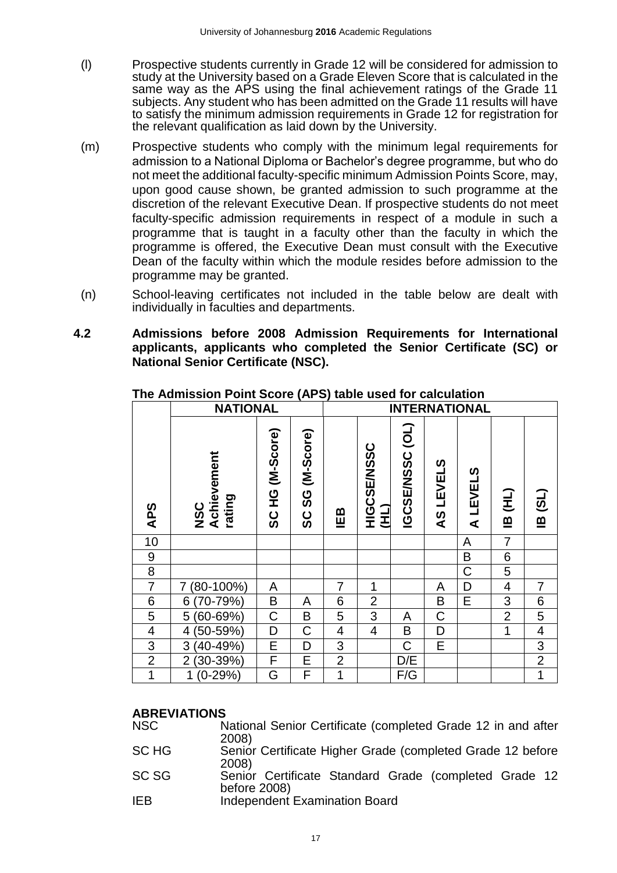- (l) Prospective students currently in Grade 12 will be considered for admission to study at the University based on a Grade Eleven Score that is calculated in the same way as the APS using the final achievement ratings of the Grade 11 subjects. Any student who has been admitted on the Grade 11 results will have to satisfy the minimum admission requirements in Grade 12 for registration for the relevant qualification as laid down by the University.
- (m) Prospective students who comply with the minimum legal requirements for admission to a National Diploma or Bachelor's degree programme, but who do not meet the additional faculty-specific minimum Admission Points Score, may, upon good cause shown, be granted admission to such programme at the discretion of the relevant Executive Dean. If prospective students do not meet faculty-specific admission requirements in respect of a module in such a programme that is taught in a faculty other than the faculty in which the programme is offered, the Executive Dean must consult with the Executive Dean of the faculty within which the module resides before admission to the programme may be granted.
- (n) School-leaving certificates not included in the table below are dealt with individually in faculties and departments.
- <span id="page-17-0"></span>**4.2 Admissions before 2008 Admission Requirements for International applicants, applicants who completed the Senior Certificate (SC) or National Senior Certificate (NSC).**

|                  | <b>NATIONAL</b>                     |                            |                         |                |                            |                 |             | <b>INTERNATIONAL</b> |                |                         |
|------------------|-------------------------------------|----------------------------|-------------------------|----------------|----------------------------|-----------------|-------------|----------------------|----------------|-------------------------|
| <b>APS</b>       | Achievement<br>rating<br><b>USC</b> | (M-Score)<br>오<br>エ<br>ပ္တ | (M-Score)<br>ပ္တ<br>ပ္တ | IEB            | <b>COSSIMISSOR</b><br>(HI) | IGCSE/NSSC (OL) | AS LEVELS   | A LEVELS             | IB (HL)        | <b>IB (SL)</b>          |
| 10               |                                     |                            |                         |                |                            |                 |             | A                    | $\overline{7}$ |                         |
| $\boldsymbol{9}$ |                                     |                            |                         |                |                            |                 |             | B                    | $\overline{6}$ |                         |
| 8                |                                     |                            |                         |                |                            |                 |             | C                    | 5              |                         |
| $\overline{7}$   | $(80-100\%)$<br>7                   | A                          |                         | $\overline{7}$ | 1                          |                 | A           | D                    | $\overline{4}$ | $\overline{7}$          |
| 6                | $(70-79%)$<br>6                     | B                          | A                       | 6              | $\overline{2}$             |                 | B           | E                    | 3              | 6                       |
| 5                | 5 (60-69%)                          | $\mathsf C$                | B                       | 5              | 3                          | Α               | $\mathsf C$ |                      | $\overline{2}$ | 5                       |
| 4                | $(50-59%)$<br>4                     | D                          | C                       | 4              | $\overline{4}$             | B               | D           |                      | 1              | $\overline{\mathbf{4}}$ |
| 3                | 3 (40-49%)                          | E                          | D                       | 3              |                            | $\mathsf C$     | E           |                      |                | 3                       |
| $\overline{2}$   | $(30-39%)$<br>$\overline{2}$        | F                          | E                       | $\overline{2}$ |                            | D/E             |             |                      |                | $\overline{2}$          |
| 1                | $(0-29%)$<br>1                      | G                          | F                       | 1              |                            | F/G             |             |                      |                | $\mathbf 1$             |

**The Admission Point Score (APS) table used for calculation**

#### **ABREVIATIONS**

| <b>NSC</b> | National Senior Certificate (completed Grade 12 in and after<br>2008) |
|------------|-----------------------------------------------------------------------|
| SC HG      | Senior Certificate Higher Grade (completed Grade 12 before            |
|            | 2008)                                                                 |
| SC SG      | Senior Certificate Standard Grade (completed Grade 12<br>before 2008) |
| <b>IEB</b> | <b>Independent Examination Board</b>                                  |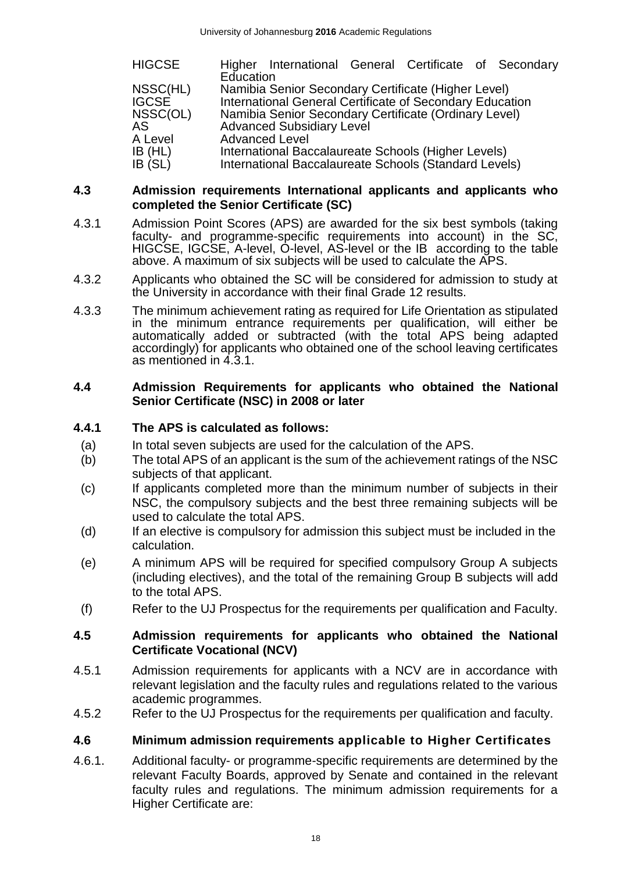| HIGCSE       | Higher International General Certificate of Secondary    |
|--------------|----------------------------------------------------------|
|              | Education                                                |
| NSSC(HL)     | Namibia Senior Secondary Certificate (Higher Level)      |
| <b>IGCSE</b> | International General Certificate of Secondary Education |
| NSSC(OL)     | Namibia Senior Secondary Certificate (Ordinary Level)    |
| AS           | <b>Advanced Subsidiary Level</b>                         |
| A Level      | <b>Advanced Level</b>                                    |
| IB (HL)      | International Baccalaureate Schools (Higher Levels)      |
| IB (SL)      | International Baccalaureate Schools (Standard Levels)    |

#### <span id="page-18-0"></span>**4.3 Admission requirements International applicants and applicants who completed the Senior Certificate (SC)**

- 4.3.1 Admission Point Scores (APS) are awarded for the six best symbols (taking faculty- and programme-specific requirements into account) in the SC, HIGCSE, IGCSE, A-level, O-level, AS-level or the IB according to the table above. A maximum of six subjects will be used to calculate the APS.
- 4.3.2 Applicants who obtained the SC will be considered for admission to study at the University in accordance with their final Grade 12 results.
- 4.3.3 The minimum achievement rating as required for Life Orientation as stipulated in the minimum entrance requirements per qualification, will either be automatically added or subtracted (with the total APS being adapted accordingly) for applicants who obtained one of the school leaving certificates as mentioned in 4.3.1.

#### <span id="page-18-1"></span>**4.4 Admission Requirements for applicants who obtained the National Senior Certificate (NSC) in 2008 or later**

### <span id="page-18-2"></span>**4.4.1 The APS is calculated as follows:**

- (a) In total seven subjects are used for the calculation of the APS.
- (b) The total APS of an applicant is the sum of the achievement ratings of the NSC subjects of that applicant.
- (c) If applicants completed more than the minimum number of subjects in their NSC, the compulsory subjects and the best three remaining subjects will be used to calculate the total APS.
- (d) If an elective is compulsory for admission this subject must be included in the calculation.
- (e) A minimum APS will be required for specified compulsory Group A subjects (including electives), and the total of the remaining Group B subjects will add to the total APS.
- (f) Refer to the UJ Prospectus for the requirements per qualification and Faculty.

#### <span id="page-18-3"></span>**4.5 Admission requirements for applicants who obtained the National Certificate Vocational (NCV)**

- 4.5.1 Admission requirements for applicants with a NCV are in accordance with relevant legislation and the faculty rules and regulations related to the various academic programmes.
- 4.5.2 Refer to the UJ Prospectus for the requirements per qualification and faculty.

#### <span id="page-18-4"></span>**4.6 Minimum admission requirements applicable to Higher Certificates**

4.6.1. Additional faculty- or programme-specific requirements are determined by the relevant Faculty Boards, approved by Senate and contained in the relevant faculty rules and regulations. The minimum admission requirements for a Higher Certificate are: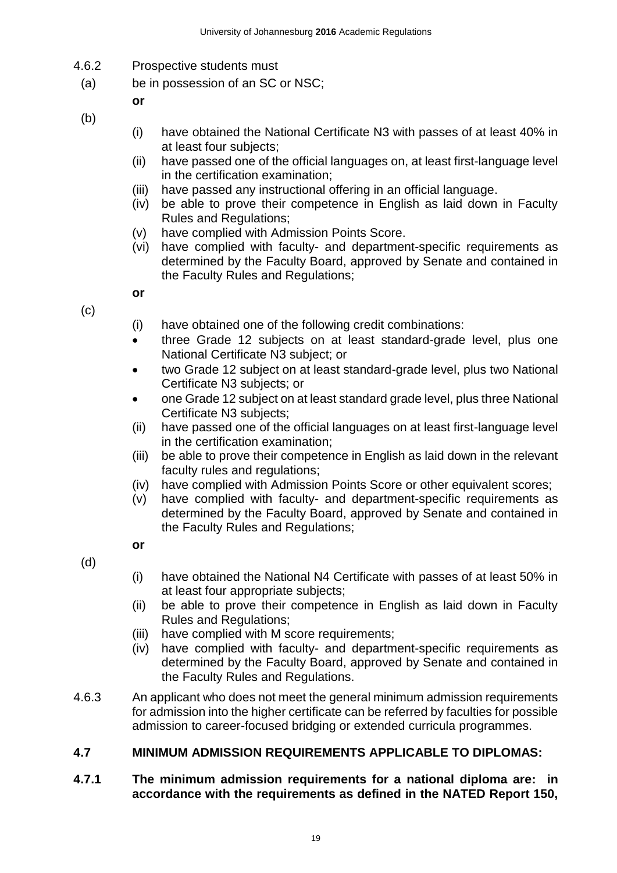- 4.6.2 Prospective students must
- (a) be in possession of an SC or NSC;

**or**

- (b)
- (i) have obtained the National Certificate N3 with passes of at least 40% in at least four subjects;
- (ii) have passed one of the official languages on, at least first-language level in the certification examination;
- (iii) have passed any instructional offering in an official language.
- (iv) be able to prove their competence in English as laid down in Faculty Rules and Regulations;
- (v) have complied with Admission Points Score.
- (vi) have complied with faculty- and department-specific requirements as determined by the Faculty Board, approved by Senate and contained in the Faculty Rules and Regulations;
- (c)

**or**

- (i) have obtained one of the following credit combinations:
- three Grade 12 subjects on at least standard-grade level, plus one National Certificate N3 subject; or
- two Grade 12 subject on at least standard-grade level, plus two National Certificate N3 subjects; or
- one Grade 12 subject on at least standard grade level, plus three National Certificate N3 subjects;
- (ii) have passed one of the official languages on at least first-language level in the certification examination;
- (iii) be able to prove their competence in English as laid down in the relevant faculty rules and regulations;
- (iv) have complied with Admission Points Score or other equivalent scores;
- (v) have complied with faculty- and department-specific requirements as determined by the Faculty Board, approved by Senate and contained in the Faculty Rules and Regulations;
- (d)

**or** 

- (i) have obtained the National N4 Certificate with passes of at least 50% in at least four appropriate subjects;
- (ii) be able to prove their competence in English as laid down in Faculty Rules and Regulations;
- (iii) have complied with M score requirements;
- (iv) have complied with faculty- and department-specific requirements as determined by the Faculty Board, approved by Senate and contained in the Faculty Rules and Regulations.
- 4.6.3 An applicant who does not meet the general minimum admission requirements for admission into the higher certificate can be referred by faculties for possible admission to career-focused bridging or extended curricula programmes.

## <span id="page-19-0"></span>**4.7 MINIMUM ADMISSION REQUIREMENTS APPLICABLE TO DIPLOMAS:**

### <span id="page-19-1"></span>**4.7.1 The minimum admission requirements for a national diploma are: in accordance with the requirements as defined in the NATED Report 150,**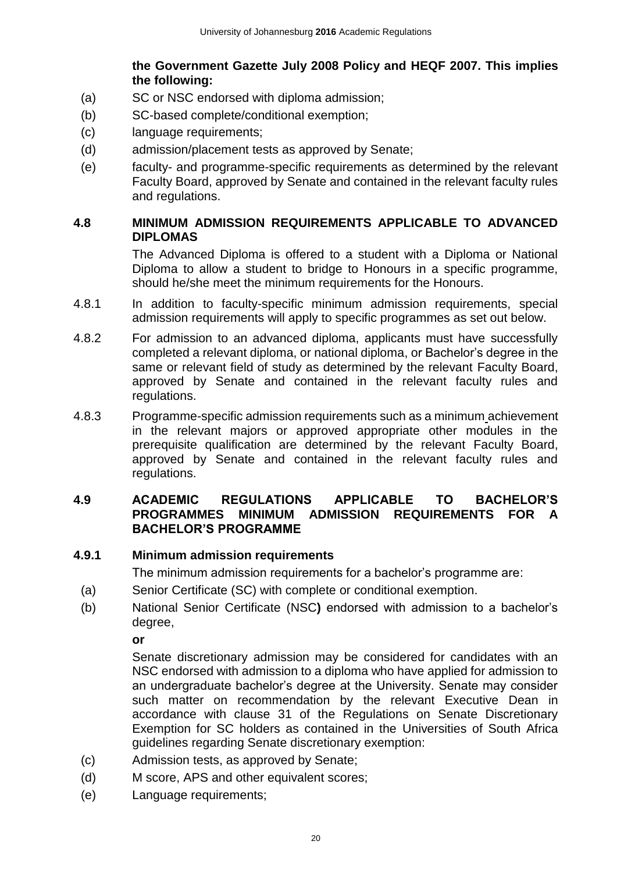## **the Government Gazette July 2008 Policy and HEQF 2007. This implies the following:**

- (a) SC or NSC endorsed with diploma admission;
- (b) SC-based complete/conditional exemption;
- (c) language requirements;
- (d) admission/placement tests as approved by Senate;
- (e) faculty- and programme-specific requirements as determined by the relevant Faculty Board, approved by Senate and contained in the relevant faculty rules and regulations.

### <span id="page-20-0"></span>**4.8 MINIMUM ADMISSION REQUIREMENTS APPLICABLE TO ADVANCED DIPLOMAS**

The Advanced Diploma is offered to a student with a Diploma or National Diploma to allow a student to bridge to Honours in a specific programme, should he/she meet the minimum requirements for the Honours.

- 4.8.1 In addition to faculty-specific minimum admission requirements, special admission requirements will apply to specific programmes as set out below.
- 4.8.2 For admission to an advanced diploma, applicants must have successfully completed a relevant diploma, or national diploma, or Bachelor's degree in the same or relevant field of study as determined by the relevant Faculty Board, approved by Senate and contained in the relevant faculty rules and regulations.
- 4.8.3 Programme-specific admission requirements such as a minimum achievement in the relevant majors or approved appropriate other modules in the prerequisite qualification are determined by the relevant Faculty Board, approved by Senate and contained in the relevant faculty rules and regulations.

#### <span id="page-20-1"></span>**4.9 ACADEMIC REGULATIONS APPLICABLE TO BACHELOR'S PROGRAMMES MINIMUM ADMISSION REQUIREMENTS FOR A BACHELOR'S PROGRAMME**

## <span id="page-20-2"></span>**4.9.1 Minimum admission requirements**

The minimum admission requirements for a bachelor's programme are:

- (a) Senior Certificate (SC) with complete or conditional exemption.
- (b) National Senior Certificate (NSC**)** endorsed with admission to a bachelor's degree,

**or** 

Senate discretionary admission may be considered for candidates with an NSC endorsed with admission to a diploma who have applied for admission to an undergraduate bachelor's degree at the University. Senate may consider such matter on recommendation by the relevant Executive Dean in accordance with clause 31 of the Regulations on Senate Discretionary Exemption for SC holders as contained in the Universities of South Africa guidelines regarding Senate discretionary exemption:

- (c) Admission tests, as approved by Senate;
- (d) M score, APS and other equivalent scores;
- (e) Language requirements;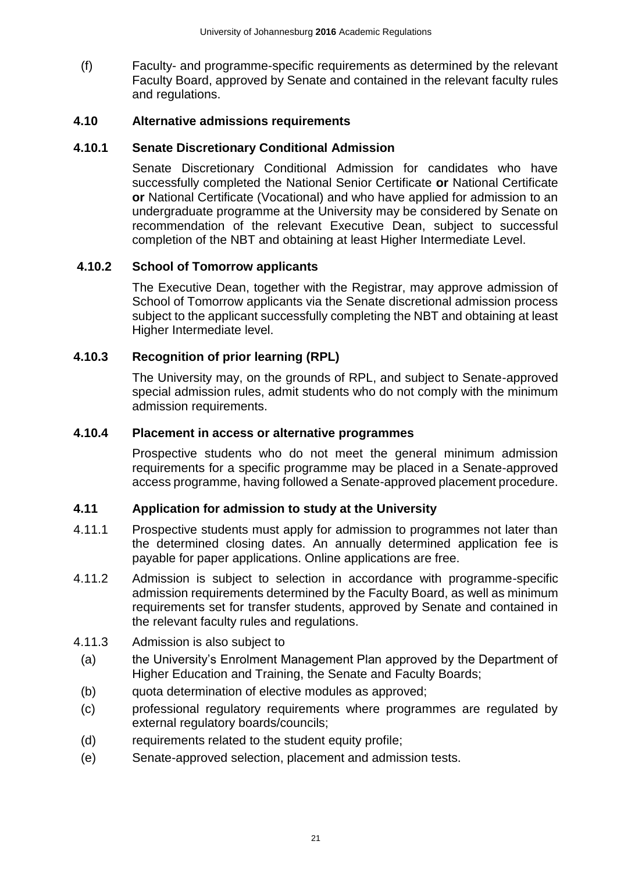(f) Faculty- and programme-specific requirements as determined by the relevant Faculty Board, approved by Senate and contained in the relevant faculty rules and regulations.

### <span id="page-21-0"></span>**4.10 Alternative admissions requirements**

#### <span id="page-21-1"></span>**4.10.1 Senate Discretionary Conditional Admission**

Senate Discretionary Conditional Admission for candidates who have successfully completed the National Senior Certificate **or** National Certificate **or** National Certificate (Vocational) and who have applied for admission to an undergraduate programme at the University may be considered by Senate on recommendation of the relevant Executive Dean, subject to successful completion of the NBT and obtaining at least Higher Intermediate Level.

### <span id="page-21-2"></span>**4.10.2 School of Tomorrow applicants**

The Executive Dean, together with the Registrar, may approve admission of School of Tomorrow applicants via the Senate discretional admission process subject to the applicant successfully completing the NBT and obtaining at least Higher Intermediate level.

### <span id="page-21-3"></span>**4.10.3 Recognition of prior learning (RPL)**

The University may, on the grounds of RPL, and subject to Senate-approved special admission rules, admit students who do not comply with the minimum admission requirements.

#### <span id="page-21-4"></span>**4.10.4 Placement in access or alternative programmes**

Prospective students who do not meet the general minimum admission requirements for a specific programme may be placed in a Senate-approved access programme, having followed a Senate-approved placement procedure.

#### <span id="page-21-5"></span>**4.11 Application for admission to study at the University**

- 4.11.1 Prospective students must apply for admission to programmes not later than the determined closing dates. An annually determined application fee is payable for paper applications. Online applications are free.
- 4.11.2 Admission is subject to selection in accordance with programme-specific admission requirements determined by the Faculty Board, as well as minimum requirements set for transfer students, approved by Senate and contained in the relevant faculty rules and regulations.
- 4.11.3 Admission is also subject to
	- (a) the University's Enrolment Management Plan approved by the Department of Higher Education and Training, the Senate and Faculty Boards;
	- (b) quota determination of elective modules as approved;
	- (c) professional regulatory requirements where programmes are regulated by external regulatory boards/councils;
	- (d) requirements related to the student equity profile;
	- (e) Senate-approved selection, placement and admission tests.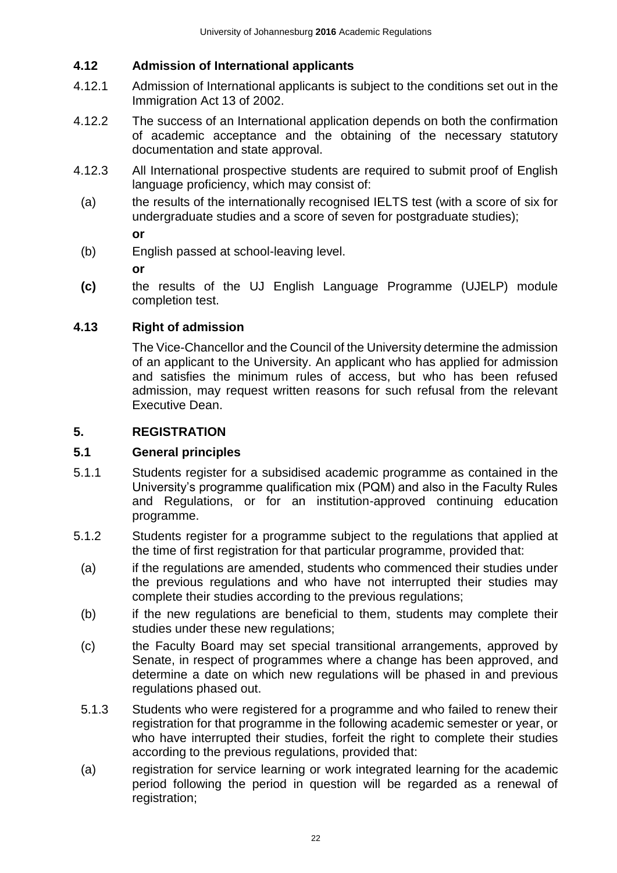## <span id="page-22-0"></span>**4.12 Admission of International applicants**

- 4.12.1 Admission of International applicants is subject to the conditions set out in the Immigration Act 13 of 2002.
- 4.12.2 The success of an International application depends on both the confirmation of academic acceptance and the obtaining of the necessary statutory documentation and state approval.
- 4.12.3 All International prospective students are required to submit proof of English language proficiency, which may consist of:
	- (a) the results of the internationally recognised IELTS test (with a score of six for undergraduate studies and a score of seven for postgraduate studies); **or**

(b) English passed at school-leaving level.

**or**

**(c)** the results of the UJ English Language Programme (UJELP) module completion test.

### <span id="page-22-1"></span>**4.13 Right of admission**

The Vice-Chancellor and the Council of the University determine the admission of an applicant to the University. An applicant who has applied for admission and satisfies the minimum rules of access, but who has been refused admission, may request written reasons for such refusal from the relevant Executive Dean.

### <span id="page-22-2"></span>**5. REGISTRATION**

#### <span id="page-22-3"></span>**5.1 General principles**

- 5.1.1 Students register for a subsidised academic programme as contained in the University's programme qualification mix (PQM) and also in the Faculty Rules and Regulations, or for an institution-approved continuing education programme.
- 5.1.2 Students register for a programme subject to the regulations that applied at the time of first registration for that particular programme, provided that:
	- (a) if the regulations are amended, students who commenced their studies under the previous regulations and who have not interrupted their studies may complete their studies according to the previous regulations;
	- (b) if the new regulations are beneficial to them, students may complete their studies under these new regulations;
	- (c) the Faculty Board may set special transitional arrangements, approved by Senate, in respect of programmes where a change has been approved, and determine a date on which new regulations will be phased in and previous regulations phased out.
	- 5.1.3 Students who were registered for a programme and who failed to renew their registration for that programme in the following academic semester or year, or who have interrupted their studies, forfeit the right to complete their studies according to the previous regulations, provided that:
	- (a) registration for service learning or work integrated learning for the academic period following the period in question will be regarded as a renewal of registration;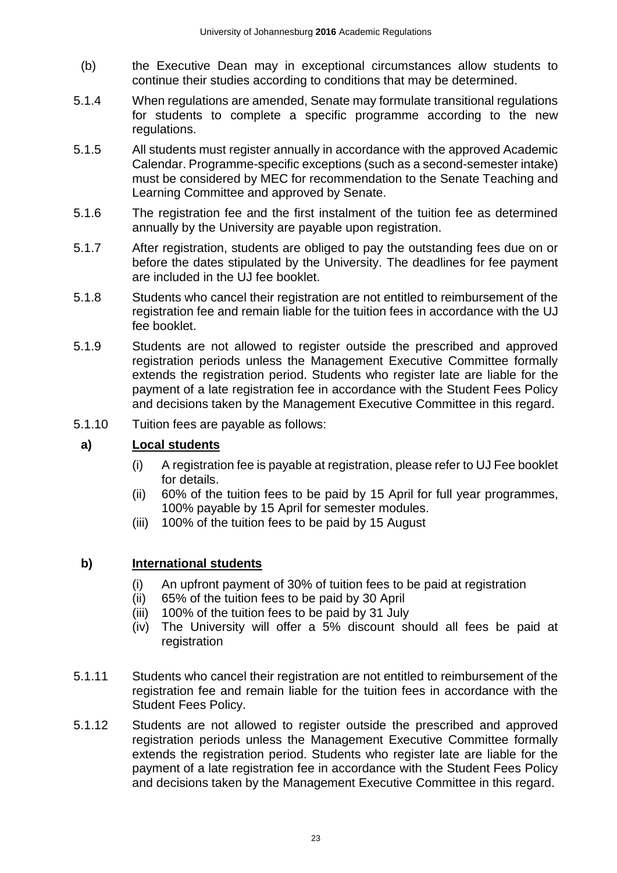- (b) the Executive Dean may in exceptional circumstances allow students to continue their studies according to conditions that may be determined.
- 5.1.4 When regulations are amended, Senate may formulate transitional regulations for students to complete a specific programme according to the new regulations.
- 5.1.5 All students must register annually in accordance with the approved Academic Calendar. Programme-specific exceptions (such as a second-semester intake) must be considered by MEC for recommendation to the Senate Teaching and Learning Committee and approved by Senate.
- 5.1.6 The registration fee and the first instalment of the tuition fee as determined annually by the University are payable upon registration.
- 5.1.7 After registration, students are obliged to pay the outstanding fees due on or before the dates stipulated by the University. The deadlines for fee payment are included in the UJ fee booklet.
- 5.1.8 Students who cancel their registration are not entitled to reimbursement of the registration fee and remain liable for the tuition fees in accordance with the UJ fee booklet.
- 5.1.9 Students are not allowed to register outside the prescribed and approved registration periods unless the Management Executive Committee formally extends the registration period. Students who register late are liable for the payment of a late registration fee in accordance with the Student Fees Policy and decisions taken by the Management Executive Committee in this regard.
- 5.1.10 Tuition fees are payable as follows:

## **a) Local students**

- (i) A registration fee is payable at registration, please refer to UJ Fee booklet for details.
- (ii) 60% of the tuition fees to be paid by 15 April for full year programmes, 100% payable by 15 April for semester modules.
- (iii) 100% of the tuition fees to be paid by 15 August

## **b) International students**

- (i) An upfront payment of 30% of tuition fees to be paid at registration
- (ii) 65% of the tuition fees to be paid by 30 April
- (iii) 100% of the tuition fees to be paid by 31 July
- (iv) The University will offer a 5% discount should all fees be paid at registration
- 5.1.11 Students who cancel their registration are not entitled to reimbursement of the registration fee and remain liable for the tuition fees in accordance with the Student Fees Policy.
- 5.1.12 Students are not allowed to register outside the prescribed and approved registration periods unless the Management Executive Committee formally extends the registration period. Students who register late are liable for the payment of a late registration fee in accordance with the Student Fees Policy and decisions taken by the Management Executive Committee in this regard.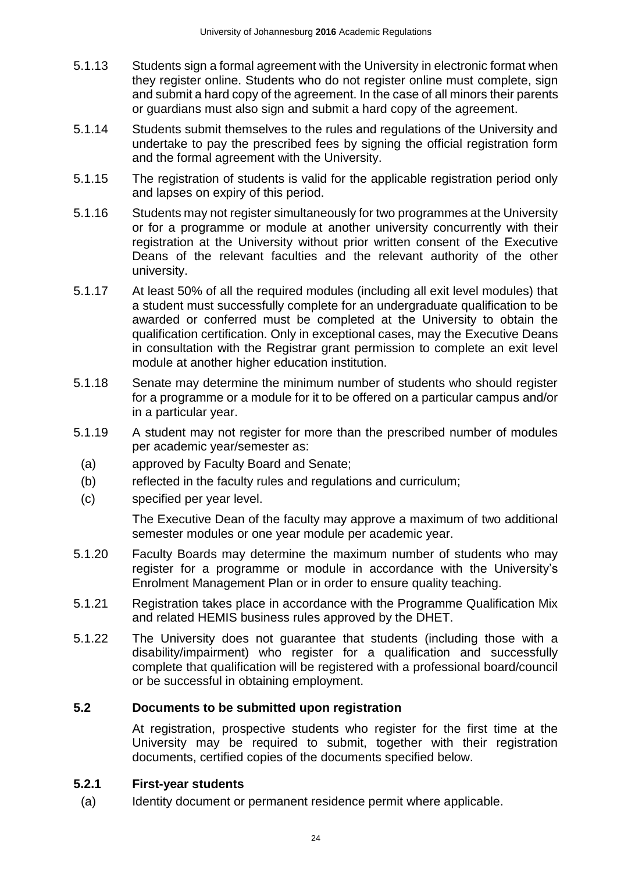- 5.1.13 Students sign a formal agreement with the University in electronic format when they register online. Students who do not register online must complete, sign and submit a hard copy of the agreement. In the case of all minors their parents or guardians must also sign and submit a hard copy of the agreement.
- 5.1.14 Students submit themselves to the rules and regulations of the University and undertake to pay the prescribed fees by signing the official registration form and the formal agreement with the University.
- 5.1.15 The registration of students is valid for the applicable registration period only and lapses on expiry of this period.
- 5.1.16 Students may not register simultaneously for two programmes at the University or for a programme or module at another university concurrently with their registration at the University without prior written consent of the Executive Deans of the relevant faculties and the relevant authority of the other university.
- 5.1.17 At least 50% of all the required modules (including all exit level modules) that a student must successfully complete for an undergraduate qualification to be awarded or conferred must be completed at the University to obtain the qualification certification. Only in exceptional cases, may the Executive Deans in consultation with the Registrar grant permission to complete an exit level module at another higher education institution.
- 5.1.18 Senate may determine the minimum number of students who should register for a programme or a module for it to be offered on a particular campus and/or in a particular year.
- 5.1.19 A student may not register for more than the prescribed number of modules per academic year/semester as:
	- (a) approved by Faculty Board and Senate;
	- (b) reflected in the faculty rules and regulations and curriculum;
- (c) specified per year level.

The Executive Dean of the faculty may approve a maximum of two additional semester modules or one year module per academic year.

- 5.1.20 Faculty Boards may determine the maximum number of students who may register for a programme or module in accordance with the University's Enrolment Management Plan or in order to ensure quality teaching.
- 5.1.21 Registration takes place in accordance with the Programme Qualification Mix and related HEMIS business rules approved by the DHET.
- 5.1.22 The University does not guarantee that students (including those with a disability/impairment) who register for a qualification and successfully complete that qualification will be registered with a professional board/council or be successful in obtaining employment.

#### <span id="page-24-0"></span>**5.2 Documents to be submitted upon registration**

At registration, prospective students who register for the first time at the University may be required to submit, together with their registration documents, certified copies of the documents specified below.

#### <span id="page-24-1"></span>**5.2.1 First-year students**

(a) Identity document or permanent residence permit where applicable.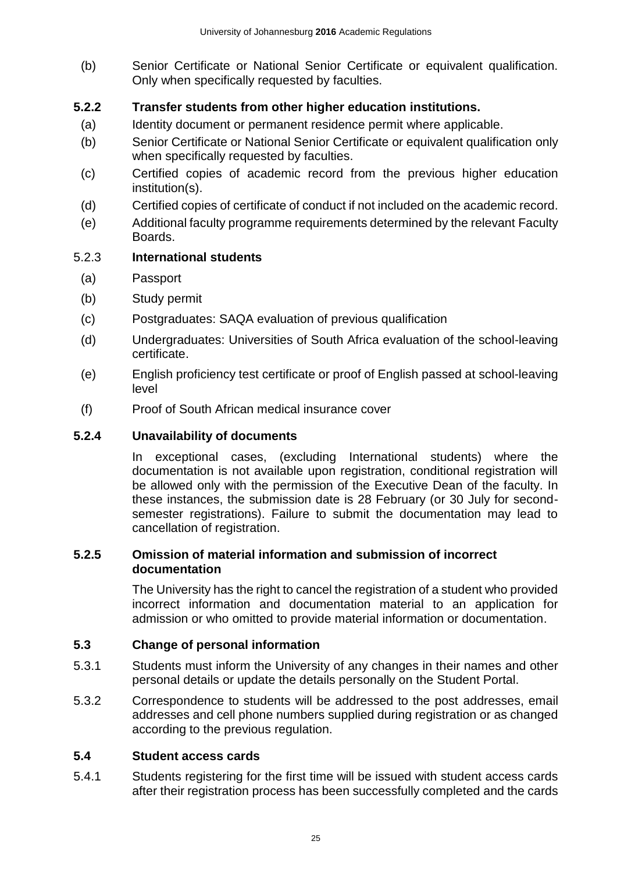(b) Senior Certificate or National Senior Certificate or equivalent qualification. Only when specifically requested by faculties.

## <span id="page-25-0"></span>**5.2.2 Transfer students from other higher education institutions.**

- (a) Identity document or permanent residence permit where applicable.
- (b) Senior Certificate or National Senior Certificate or equivalent qualification only when specifically requested by faculties.
- (c) Certified copies of academic record from the previous higher education institution(s).
- (d) Certified copies of certificate of conduct if not included on the academic record.
- (e) Additional faculty programme requirements determined by the relevant Faculty Boards.

### 5.2.3 **International students**

- (a) Passport
- (b) Study permit
- (c) Postgraduates: SAQA evaluation of previous qualification
- (d) Undergraduates: Universities of South Africa evaluation of the school-leaving certificate.
- (e) English proficiency test certificate or proof of English passed at school-leaving level
- (f) Proof of South African medical insurance cover

#### <span id="page-25-1"></span>**5.2.4 Unavailability of documents**

In exceptional cases, (excluding International students) where the documentation is not available upon registration, conditional registration will be allowed only with the permission of the Executive Dean of the faculty. In these instances, the submission date is 28 February (or 30 July for secondsemester registrations). Failure to submit the documentation may lead to cancellation of registration.

#### <span id="page-25-2"></span>**5.2.5 Omission of material information and submission of incorrect documentation**

The University has the right to cancel the registration of a student who provided incorrect information and documentation material to an application for admission or who omitted to provide material information or documentation.

## <span id="page-25-3"></span>**5.3 Change of personal information**

- 5.3.1 Students must inform the University of any changes in their names and other personal details or update the details personally on the Student Portal.
- 5.3.2 Correspondence to students will be addressed to the post addresses, email addresses and cell phone numbers supplied during registration or as changed according to the previous regulation.

## <span id="page-25-4"></span>**5.4 Student access cards**

5.4.1 Students registering for the first time will be issued with student access cards after their registration process has been successfully completed and the cards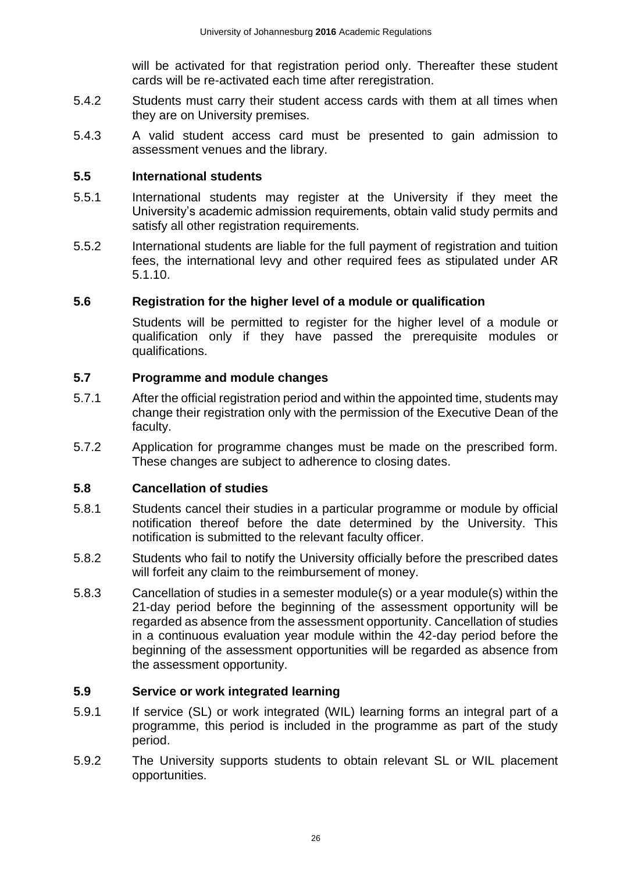will be activated for that registration period only. Thereafter these student cards will be re-activated each time after reregistration.

- 5.4.2 Students must carry their student access cards with them at all times when they are on University premises.
- 5.4.3 A valid student access card must be presented to gain admission to assessment venues and the library.

#### <span id="page-26-0"></span>**5.5 International students**

- 5.5.1 International students may register at the University if they meet the University's academic admission requirements, obtain valid study permits and satisfy all other registration requirements.
- 5.5.2 International students are liable for the full payment of registration and tuition fees, the international levy and other required fees as stipulated under AR 5.1.10.

### <span id="page-26-1"></span>**5.6 Registration for the higher level of a module or qualification**

Students will be permitted to register for the higher level of a module or qualification only if they have passed the prerequisite modules or qualifications.

### <span id="page-26-2"></span>**5.7 Programme and module changes**

- 5.7.1 After the official registration period and within the appointed time, students may change their registration only with the permission of the Executive Dean of the faculty.
- 5.7.2 Application for programme changes must be made on the prescribed form. These changes are subject to adherence to closing dates.

## <span id="page-26-3"></span>**5.8 Cancellation of studies**

- 5.8.1 Students cancel their studies in a particular programme or module by official notification thereof before the date determined by the University. This notification is submitted to the relevant faculty officer.
- 5.8.2 Students who fail to notify the University officially before the prescribed dates will forfeit any claim to the reimbursement of money.
- 5.8.3 Cancellation of studies in a semester module(s) or a year module(s) within the 21-day period before the beginning of the assessment opportunity will be regarded as absence from the assessment opportunity. Cancellation of studies in a continuous evaluation year module within the 42-day period before the beginning of the assessment opportunities will be regarded as absence from the assessment opportunity.

#### <span id="page-26-4"></span>**5.9 Service or work integrated learning**

- 5.9.1 If service (SL) or work integrated (WIL) learning forms an integral part of a programme, this period is included in the programme as part of the study period.
- 5.9.2 The University supports students to obtain relevant SL or WIL placement opportunities.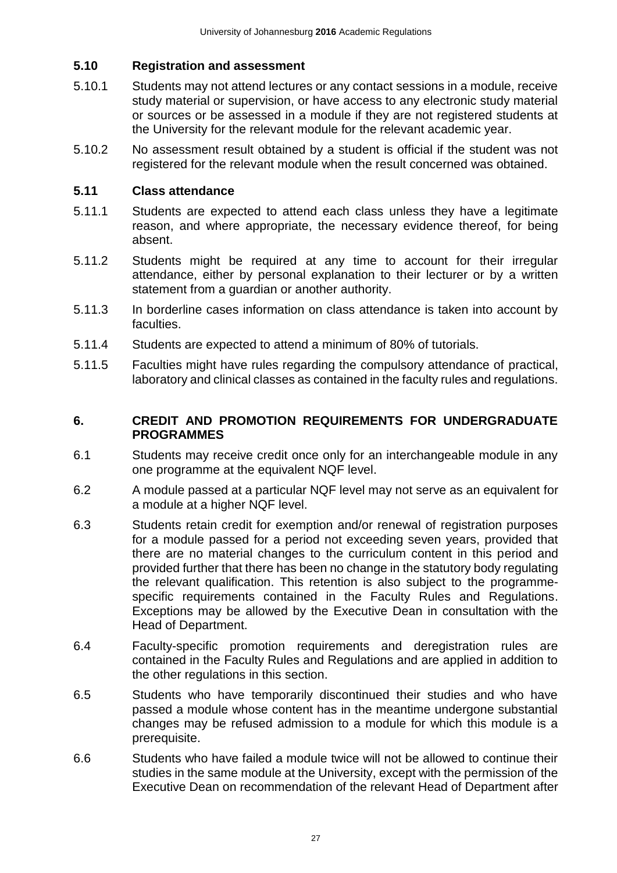### <span id="page-27-0"></span>**5.10 Registration and assessment**

- 5.10.1 Students may not attend lectures or any contact sessions in a module, receive study material or supervision, or have access to any electronic study material or sources or be assessed in a module if they are not registered students at the University for the relevant module for the relevant academic year.
- 5.10.2 No assessment result obtained by a student is official if the student was not registered for the relevant module when the result concerned was obtained.

#### <span id="page-27-1"></span>**5.11 Class attendance**

- 5.11.1 Students are expected to attend each class unless they have a legitimate reason, and where appropriate, the necessary evidence thereof, for being absent.
- 5.11.2 Students might be required at any time to account for their irregular attendance, either by personal explanation to their lecturer or by a written statement from a guardian or another authority.
- 5.11.3 In borderline cases information on class attendance is taken into account by faculties.
- 5.11.4 Students are expected to attend a minimum of 80% of tutorials.
- 5.11.5 Faculties might have rules regarding the compulsory attendance of practical, laboratory and clinical classes as contained in the faculty rules and regulations.

#### <span id="page-27-2"></span>**6. CREDIT AND PROMOTION REQUIREMENTS FOR UNDERGRADUATE PROGRAMMES**

- 6.1 Students may receive credit once only for an interchangeable module in any one programme at the equivalent NQF level.
- 6.2 A module passed at a particular NQF level may not serve as an equivalent for a module at a higher NQF level.
- 6.3 Students retain credit for exemption and/or renewal of registration purposes for a module passed for a period not exceeding seven years, provided that there are no material changes to the curriculum content in this period and provided further that there has been no change in the statutory body regulating the relevant qualification. This retention is also subject to the programmespecific requirements contained in the Faculty Rules and Regulations. Exceptions may be allowed by the Executive Dean in consultation with the Head of Department.
- 6.4 Faculty-specific promotion requirements and deregistration rules are contained in the Faculty Rules and Regulations and are applied in addition to the other regulations in this section.
- 6.5 Students who have temporarily discontinued their studies and who have passed a module whose content has in the meantime undergone substantial changes may be refused admission to a module for which this module is a prerequisite.
- 6.6 Students who have failed a module twice will not be allowed to continue their studies in the same module at the University, except with the permission of the Executive Dean on recommendation of the relevant Head of Department after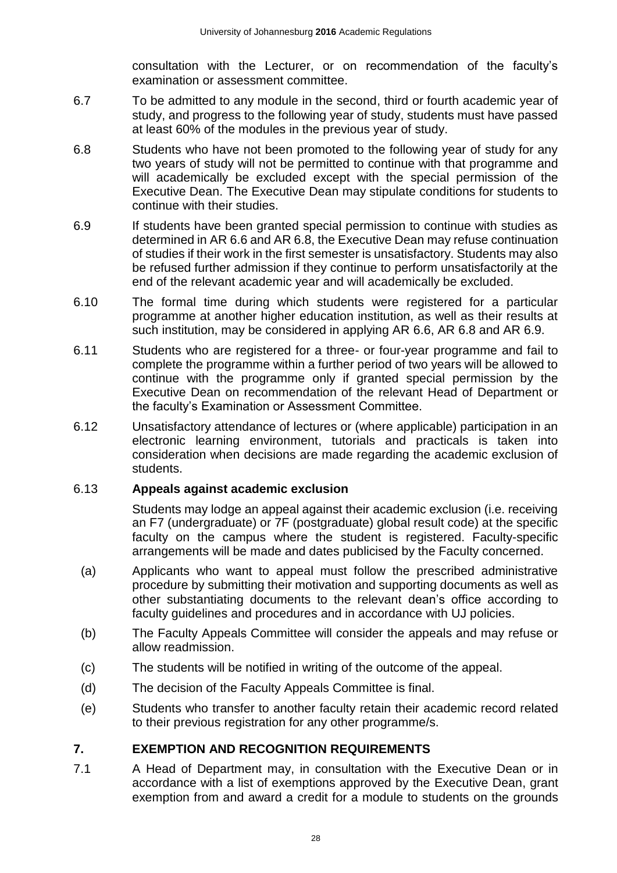consultation with the Lecturer, or on recommendation of the faculty's examination or assessment committee.

- 6.7 To be admitted to any module in the second, third or fourth academic year of study, and progress to the following year of study, students must have passed at least 60% of the modules in the previous year of study.
- 6.8 Students who have not been promoted to the following year of study for any two years of study will not be permitted to continue with that programme and will academically be excluded except with the special permission of the Executive Dean. The Executive Dean may stipulate conditions for students to continue with their studies.
- 6.9 If students have been granted special permission to continue with studies as determined in AR 6.6 and AR 6.8, the Executive Dean may refuse continuation of studies if their work in the first semester is unsatisfactory. Students may also be refused further admission if they continue to perform unsatisfactorily at the end of the relevant academic year and will academically be excluded.
- 6.10 The formal time during which students were registered for a particular programme at another higher education institution, as well as their results at such institution, may be considered in applying AR 6.6, AR 6.8 and AR 6.9.
- 6.11 Students who are registered for a three- or four-year programme and fail to complete the programme within a further period of two years will be allowed to continue with the programme only if granted special permission by the Executive Dean on recommendation of the relevant Head of Department or the faculty's Examination or Assessment Committee.
- 6.12 Unsatisfactory attendance of lectures or (where applicable) participation in an electronic learning environment, tutorials and practicals is taken into consideration when decisions are made regarding the academic exclusion of students.

#### 6.13 **Appeals against academic exclusion**

Students may lodge an appeal against their academic exclusion (i.e. receiving an F7 (undergraduate) or 7F (postgraduate) global result code) at the specific faculty on the campus where the student is registered. Faculty-specific arrangements will be made and dates publicised by the Faculty concerned.

- (a) Applicants who want to appeal must follow the prescribed administrative procedure by submitting their motivation and supporting documents as well as other substantiating documents to the relevant dean's office according to faculty guidelines and procedures and in accordance with UJ policies.
- (b) The Faculty Appeals Committee will consider the appeals and may refuse or allow readmission.
- (c) The students will be notified in writing of the outcome of the appeal.
- (d) The decision of the Faculty Appeals Committee is final.
- (e) Students who transfer to another faculty retain their academic record related to their previous registration for any other programme/s.

## <span id="page-28-0"></span>**7. EXEMPTION AND RECOGNITION REQUIREMENTS**

7.1 A Head of Department may, in consultation with the Executive Dean or in accordance with a list of exemptions approved by the Executive Dean, grant exemption from and award a credit for a module to students on the grounds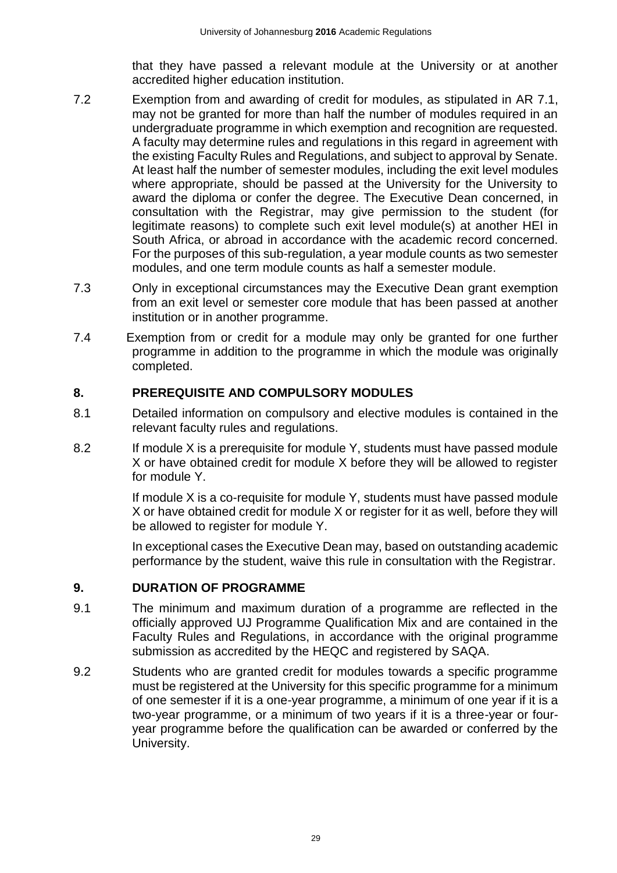that they have passed a relevant module at the University or at another accredited higher education institution.

- 7.2 Exemption from and awarding of credit for modules, as stipulated in AR 7.1, may not be granted for more than half the number of modules required in an undergraduate programme in which exemption and recognition are requested. A faculty may determine rules and regulations in this regard in agreement with the existing Faculty Rules and Regulations, and subject to approval by Senate. At least half the number of semester modules, including the exit level modules where appropriate, should be passed at the University for the University to award the diploma or confer the degree. The Executive Dean concerned, in consultation with the Registrar, may give permission to the student (for legitimate reasons) to complete such exit level module(s) at another HEI in South Africa, or abroad in accordance with the academic record concerned. For the purposes of this sub-regulation, a year module counts as two semester modules, and one term module counts as half a semester module.
- 7.3 Only in exceptional circumstances may the Executive Dean grant exemption from an exit level or semester core module that has been passed at another institution or in another programme.
- 7.4 Exemption from or credit for a module may only be granted for one further programme in addition to the programme in which the module was originally completed.

### <span id="page-29-0"></span>**8. PREREQUISITE AND COMPULSORY MODULES**

- 8.1 Detailed information on compulsory and elective modules is contained in the relevant faculty rules and regulations.
- 8.2 If module X is a prerequisite for module Y, students must have passed module X or have obtained credit for module X before they will be allowed to register for module Y.

If module X is a co-requisite for module Y, students must have passed module X or have obtained credit for module X or register for it as well, before they will be allowed to register for module Y.

In exceptional cases the Executive Dean may, based on outstanding academic performance by the student, waive this rule in consultation with the Registrar.

#### <span id="page-29-1"></span>**9. DURATION OF PROGRAMME**

- 9.1 The minimum and maximum duration of a programme are reflected in the officially approved UJ Programme Qualification Mix and are contained in the Faculty Rules and Regulations, in accordance with the original programme submission as accredited by the HEQC and registered by SAQA.
- 9.2 Students who are granted credit for modules towards a specific programme must be registered at the University for this specific programme for a minimum of one semester if it is a one-year programme, a minimum of one year if it is a two-year programme, or a minimum of two years if it is a three-year or fouryear programme before the qualification can be awarded or conferred by the University.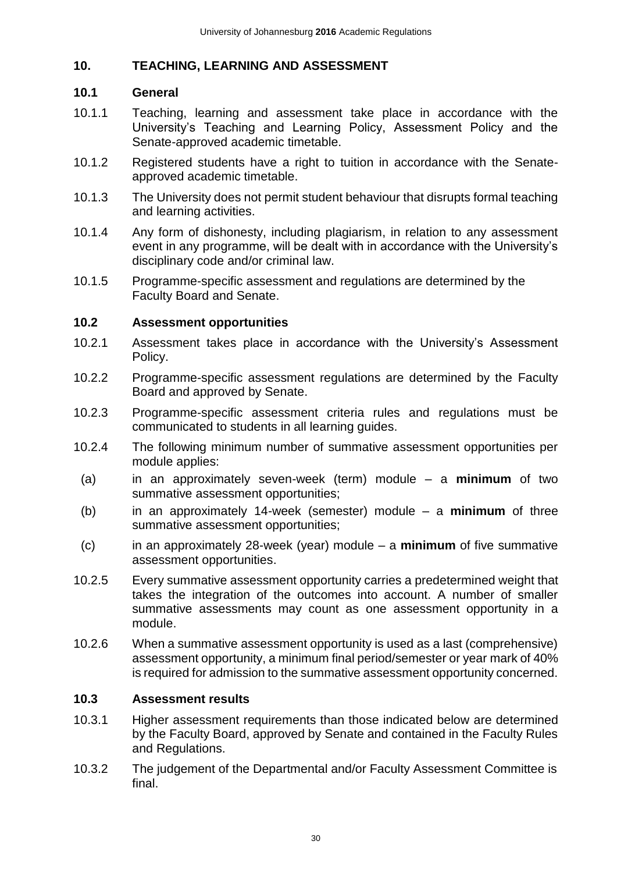## <span id="page-30-0"></span>**10. TEACHING, LEARNING AND ASSESSMENT**

#### <span id="page-30-1"></span>**10.1 General**

- 10.1.1 Teaching, learning and assessment take place in accordance with the University's Teaching and Learning Policy, Assessment Policy and the Senate-approved academic timetable.
- 10.1.2 Registered students have a right to tuition in accordance with the Senateapproved academic timetable.
- 10.1.3 The University does not permit student behaviour that disrupts formal teaching and learning activities.
- 10.1.4 Any form of dishonesty, including plagiarism, in relation to any assessment event in any programme, will be dealt with in accordance with the University's disciplinary code and/or criminal law.
- 10.1.5 Programme-specific assessment and regulations are determined by the Faculty Board and Senate.

### <span id="page-30-2"></span>**10.2 Assessment opportunities**

- 10.2.1 Assessment takes place in accordance with the University's Assessment Policy.
- 10.2.2 Programme-specific assessment regulations are determined by the Faculty Board and approved by Senate.
- 10.2.3 Programme-specific assessment criteria rules and regulations must be communicated to students in all learning guides.
- 10.2.4 The following minimum number of summative assessment opportunities per module applies:
- (a) in an approximately seven-week (term) module a **minimum** of two summative assessment opportunities;
- (b) in an approximately 14-week (semester) module a **minimum** of three summative assessment opportunities;
- (c) in an approximately 28-week (year) module a **minimum** of five summative assessment opportunities.
- 10.2.5 Every summative assessment opportunity carries a predetermined weight that takes the integration of the outcomes into account. A number of smaller summative assessments may count as one assessment opportunity in a module.
- 10.2.6 When a summative assessment opportunity is used as a last (comprehensive) assessment opportunity, a minimum final period/semester or year mark of 40% is required for admission to the summative assessment opportunity concerned.

## <span id="page-30-3"></span>**10.3 Assessment results**

- 10.3.1 Higher assessment requirements than those indicated below are determined by the Faculty Board, approved by Senate and contained in the Faculty Rules and Regulations.
- 10.3.2 The judgement of the Departmental and/or Faculty Assessment Committee is final.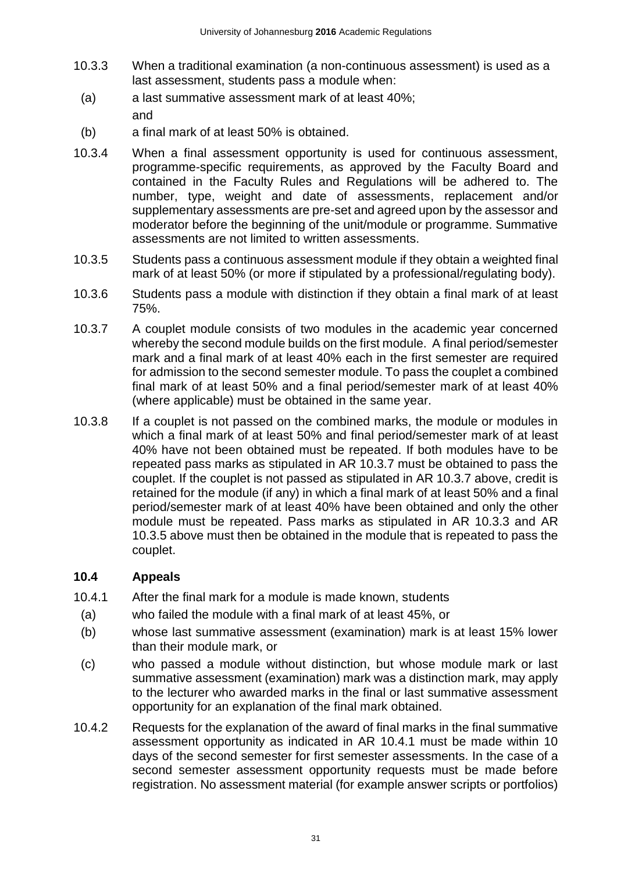- 10.3.3 When a traditional examination (a non-continuous assessment) is used as a last assessment, students pass a module when:
	- (a) a last summative assessment mark of at least 40%; and
	- (b) a final mark of at least 50% is obtained.
- 10.3.4 When a final assessment opportunity is used for continuous assessment, programme-specific requirements, as approved by the Faculty Board and contained in the Faculty Rules and Regulations will be adhered to. The number, type, weight and date of assessments, replacement and/or supplementary assessments are pre-set and agreed upon by the assessor and moderator before the beginning of the unit/module or programme. Summative assessments are not limited to written assessments.
- 10.3.5 Students pass a continuous assessment module if they obtain a weighted final mark of at least 50% (or more if stipulated by a professional/regulating body).
- 10.3.6 Students pass a module with distinction if they obtain a final mark of at least 75%.
- 10.3.7 A couplet module consists of two modules in the academic year concerned whereby the second module builds on the first module. A final period/semester mark and a final mark of at least 40% each in the first semester are required for admission to the second semester module. To pass the couplet a combined final mark of at least 50% and a final period/semester mark of at least 40% (where applicable) must be obtained in the same year.
- 10.3.8 If a couplet is not passed on the combined marks, the module or modules in which a final mark of at least 50% and final period/semester mark of at least 40% have not been obtained must be repeated. If both modules have to be repeated pass marks as stipulated in AR 10.3.7 must be obtained to pass the couplet. If the couplet is not passed as stipulated in AR 10.3.7 above, credit is retained for the module (if any) in which a final mark of at least 50% and a final period/semester mark of at least 40% have been obtained and only the other module must be repeated. Pass marks as stipulated in AR 10.3.3 and AR 10.3.5 above must then be obtained in the module that is repeated to pass the couplet.

## <span id="page-31-0"></span>**10.4 Appeals**

- 10.4.1 After the final mark for a module is made known, students
- (a) who failed the module with a final mark of at least 45%, or
- (b) whose last summative assessment (examination) mark is at least 15% lower than their module mark, or
- (c) who passed a module without distinction, but whose module mark or last summative assessment (examination) mark was a distinction mark, may apply to the lecturer who awarded marks in the final or last summative assessment opportunity for an explanation of the final mark obtained.
- 10.4.2 Requests for the explanation of the award of final marks in the final summative assessment opportunity as indicated in AR 10.4.1 must be made within 10 days of the second semester for first semester assessments. In the case of a second semester assessment opportunity requests must be made before registration. No assessment material (for example answer scripts or portfolios)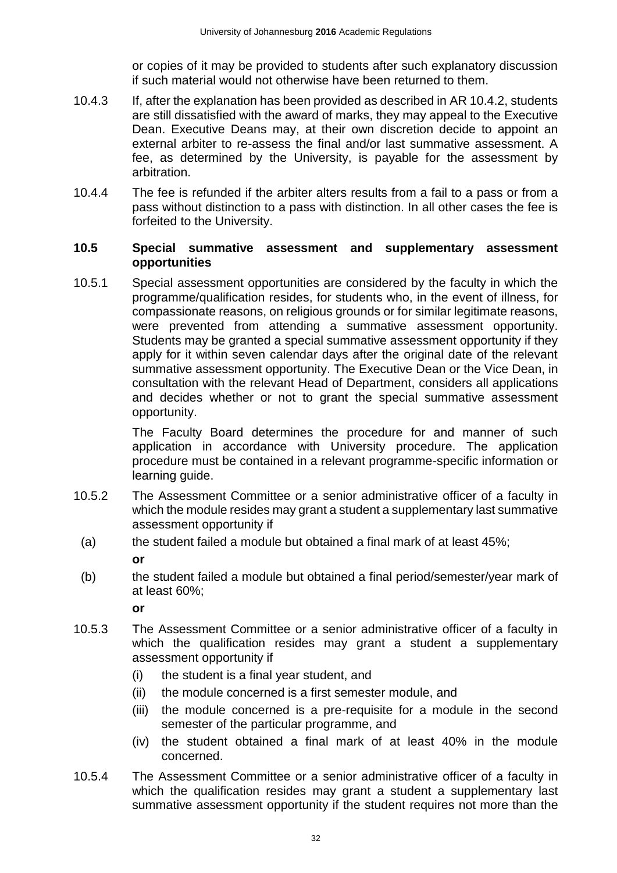or copies of it may be provided to students after such explanatory discussion if such material would not otherwise have been returned to them.

- 10.4.3 If, after the explanation has been provided as described in AR 10.4.2, students are still dissatisfied with the award of marks, they may appeal to the Executive Dean. Executive Deans may, at their own discretion decide to appoint an external arbiter to re-assess the final and/or last summative assessment. A fee, as determined by the University, is payable for the assessment by arbitration.
- 10.4.4 The fee is refunded if the arbiter alters results from a fail to a pass or from a pass without distinction to a pass with distinction. In all other cases the fee is forfeited to the University.

#### <span id="page-32-0"></span>**10.5 Special summative assessment and supplementary assessment opportunities**

10.5.1 Special assessment opportunities are considered by the faculty in which the programme/qualification resides, for students who, in the event of illness, for compassionate reasons, on religious grounds or for similar legitimate reasons, were prevented from attending a summative assessment opportunity. Students may be granted a special summative assessment opportunity if they apply for it within seven calendar days after the original date of the relevant summative assessment opportunity. The Executive Dean or the Vice Dean, in consultation with the relevant Head of Department, considers all applications and decides whether or not to grant the special summative assessment opportunity.

> The Faculty Board determines the procedure for and manner of such application in accordance with University procedure. The application procedure must be contained in a relevant programme-specific information or learning guide.

- 10.5.2 The Assessment Committee or a senior administrative officer of a faculty in which the module resides may grant a student a supplementary last summative assessment opportunity if
	- (a) the student failed a module but obtained a final mark of at least 45%;
		- **or**
	- (b) the student failed a module but obtained a final period/semester/year mark of at least 60%;

**or**

- 10.5.3 The Assessment Committee or a senior administrative officer of a faculty in which the qualification resides may grant a student a supplementary assessment opportunity if
	- (i) the student is a final year student, and
	- (ii) the module concerned is a first semester module, and
	- (iii) the module concerned is a pre-requisite for a module in the second semester of the particular programme, and
	- (iv) the student obtained a final mark of at least 40% in the module concerned.
- 10.5.4 The Assessment Committee or a senior administrative officer of a faculty in which the qualification resides may grant a student a supplementary last summative assessment opportunity if the student requires not more than the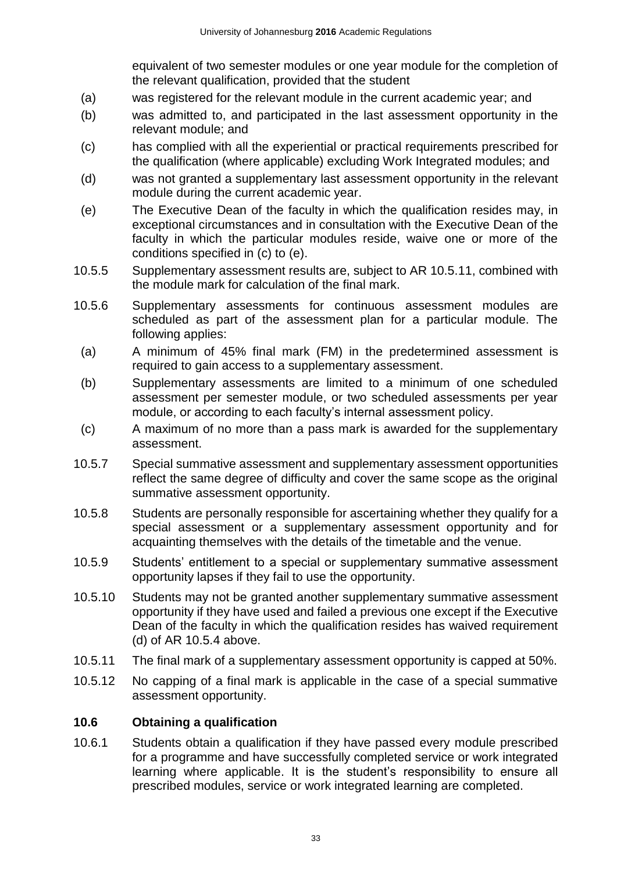equivalent of two semester modules or one year module for the completion of the relevant qualification, provided that the student

- (a) was registered for the relevant module in the current academic year; and
- (b) was admitted to, and participated in the last assessment opportunity in the relevant module; and
- (c) has complied with all the experiential or practical requirements prescribed for the qualification (where applicable) excluding Work Integrated modules; and
- (d) was not granted a supplementary last assessment opportunity in the relevant module during the current academic year.
- (e) The Executive Dean of the faculty in which the qualification resides may, in exceptional circumstances and in consultation with the Executive Dean of the faculty in which the particular modules reside, waive one or more of the conditions specified in (c) to (e).
- 10.5.5 Supplementary assessment results are, subject to AR 10.5.11, combined with the module mark for calculation of the final mark.
- 10.5.6 Supplementary assessments for continuous assessment modules are scheduled as part of the assessment plan for a particular module. The following applies:
	- (a) A minimum of 45% final mark (FM) in the predetermined assessment is required to gain access to a supplementary assessment.
	- (b) Supplementary assessments are limited to a minimum of one scheduled assessment per semester module, or two scheduled assessments per year module, or according to each faculty's internal assessment policy.
- (c) A maximum of no more than a pass mark is awarded for the supplementary assessment.
- 10.5.7 Special summative assessment and supplementary assessment opportunities reflect the same degree of difficulty and cover the same scope as the original summative assessment opportunity.
- 10.5.8 Students are personally responsible for ascertaining whether they qualify for a special assessment or a supplementary assessment opportunity and for acquainting themselves with the details of the timetable and the venue.
- 10.5.9 Students' entitlement to a special or supplementary summative assessment opportunity lapses if they fail to use the opportunity.
- 10.5.10 Students may not be granted another supplementary summative assessment opportunity if they have used and failed a previous one except if the Executive Dean of the faculty in which the qualification resides has waived requirement (d) of AR 10.5.4 above.
- 10.5.11 The final mark of a supplementary assessment opportunity is capped at 50%.
- 10.5.12 No capping of a final mark is applicable in the case of a special summative assessment opportunity.

#### <span id="page-33-0"></span>**10.6 Obtaining a qualification**

10.6.1 Students obtain a qualification if they have passed every module prescribed for a programme and have successfully completed service or work integrated learning where applicable. It is the student's responsibility to ensure all prescribed modules, service or work integrated learning are completed.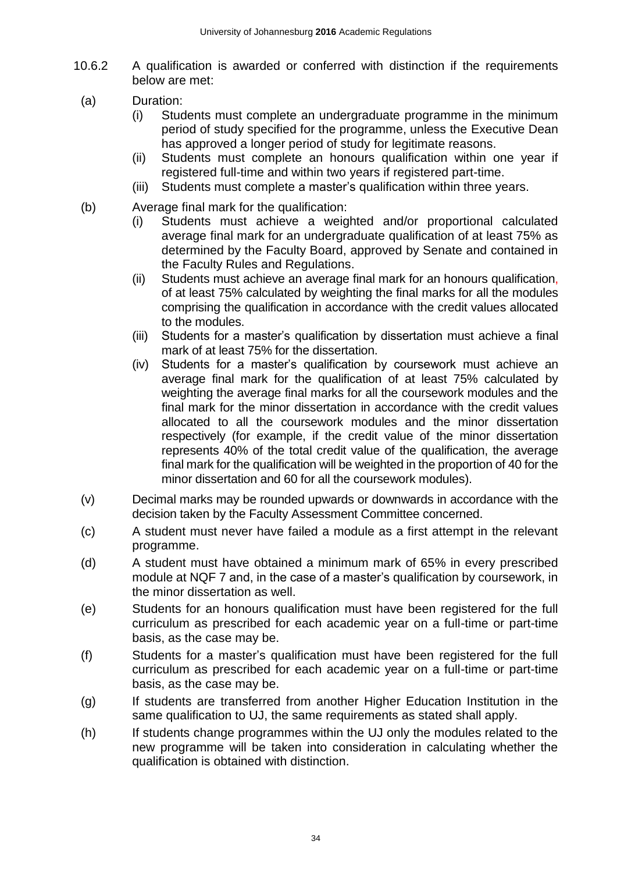- 10.6.2 A qualification is awarded or conferred with distinction if the requirements below are met:
	- (a) Duration:
		- (i) Students must complete an undergraduate programme in the minimum period of study specified for the programme, unless the Executive Dean has approved a longer period of study for legitimate reasons.
		- (ii) Students must complete an honours qualification within one year if registered full-time and within two years if registered part-time.
		- (iii) Students must complete a master's qualification within three years.
	- (b) Average final mark for the qualification:
		- (i) Students must achieve a weighted and/or proportional calculated average final mark for an undergraduate qualification of at least 75% as determined by the Faculty Board, approved by Senate and contained in the Faculty Rules and Regulations.
		- (ii) Students must achieve an average final mark for an honours qualification, of at least 75% calculated by weighting the final marks for all the modules comprising the qualification in accordance with the credit values allocated to the modules.
		- (iii) Students for a master's qualification by dissertation must achieve a final mark of at least 75% for the dissertation.
		- (iv) Students for a master's qualification by coursework must achieve an average final mark for the qualification of at least 75% calculated by weighting the average final marks for all the coursework modules and the final mark for the minor dissertation in accordance with the credit values allocated to all the coursework modules and the minor dissertation respectively (for example, if the credit value of the minor dissertation represents 40% of the total credit value of the qualification, the average final mark for the qualification will be weighted in the proportion of 40 for the minor dissertation and 60 for all the coursework modules).
	- (v) Decimal marks may be rounded upwards or downwards in accordance with the decision taken by the Faculty Assessment Committee concerned.
	- (c) A student must never have failed a module as a first attempt in the relevant programme.
	- (d) A student must have obtained a minimum mark of 65% in every prescribed module at NQF 7 and, in the case of a master's qualification by coursework, in the minor dissertation as well.
	- (e) Students for an honours qualification must have been registered for the full curriculum as prescribed for each academic year on a full-time or part-time basis, as the case may be.
	- (f) Students for a master's qualification must have been registered for the full curriculum as prescribed for each academic year on a full-time or part-time basis, as the case may be.
	- (g) If students are transferred from another Higher Education Institution in the same qualification to UJ, the same requirements as stated shall apply.
	- (h) If students change programmes within the UJ only the modules related to the new programme will be taken into consideration in calculating whether the qualification is obtained with distinction.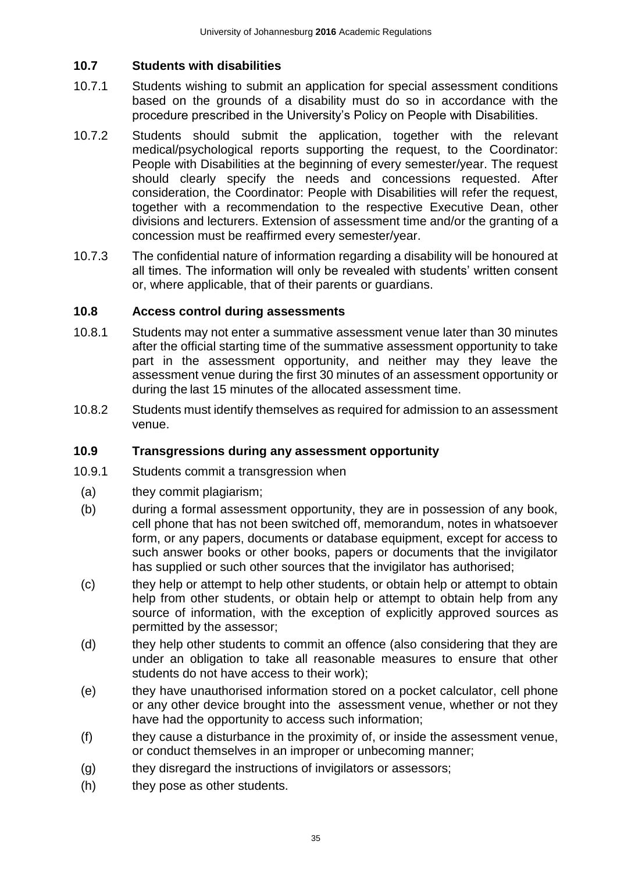## <span id="page-35-0"></span>**10.7 Students with disabilities**

- 10.7.1 Students wishing to submit an application for special assessment conditions based on the grounds of a disability must do so in accordance with the procedure prescribed in the University's Policy on People with Disabilities.
- 10.7.2 Students should submit the application, together with the relevant medical/psychological reports supporting the request, to the Coordinator: People with Disabilities at the beginning of every semester/year. The request should clearly specify the needs and concessions requested. After consideration, the Coordinator: People with Disabilities will refer the request, together with a recommendation to the respective Executive Dean, other divisions and lecturers. Extension of assessment time and/or the granting of a concession must be reaffirmed every semester/year.
- 10.7.3 The confidential nature of information regarding a disability will be honoured at all times. The information will only be revealed with students' written consent or, where applicable, that of their parents or guardians.

#### <span id="page-35-1"></span>**10.8 Access control during assessments**

- 10.8.1 Students may not enter a summative assessment venue later than 30 minutes after the official starting time of the summative assessment opportunity to take part in the assessment opportunity, and neither may they leave the assessment venue during the first 30 minutes of an assessment opportunity or during the last 15 minutes of the allocated assessment time.
- 10.8.2 Students must identify themselves as required for admission to an assessment venue.

## <span id="page-35-2"></span>**10.9 Transgressions during any assessment opportunity**

- 10.9.1 Students commit a transgression when
	- (a) they commit plagiarism;
	- (b) during a formal assessment opportunity, they are in possession of any book, cell phone that has not been switched off, memorandum, notes in whatsoever form, or any papers, documents or database equipment, except for access to such answer books or other books, papers or documents that the invigilator has supplied or such other sources that the invigilator has authorised;
	- (c) they help or attempt to help other students, or obtain help or attempt to obtain help from other students, or obtain help or attempt to obtain help from any source of information, with the exception of explicitly approved sources as permitted by the assessor;
	- (d) they help other students to commit an offence (also considering that they are under an obligation to take all reasonable measures to ensure that other students do not have access to their work);
	- (e) they have unauthorised information stored on a pocket calculator, cell phone or any other device brought into the assessment venue, whether or not they have had the opportunity to access such information;
	- (f) they cause a disturbance in the proximity of, or inside the assessment venue, or conduct themselves in an improper or unbecoming manner;
	- (g) they disregard the instructions of invigilators or assessors;
	- (h) they pose as other students.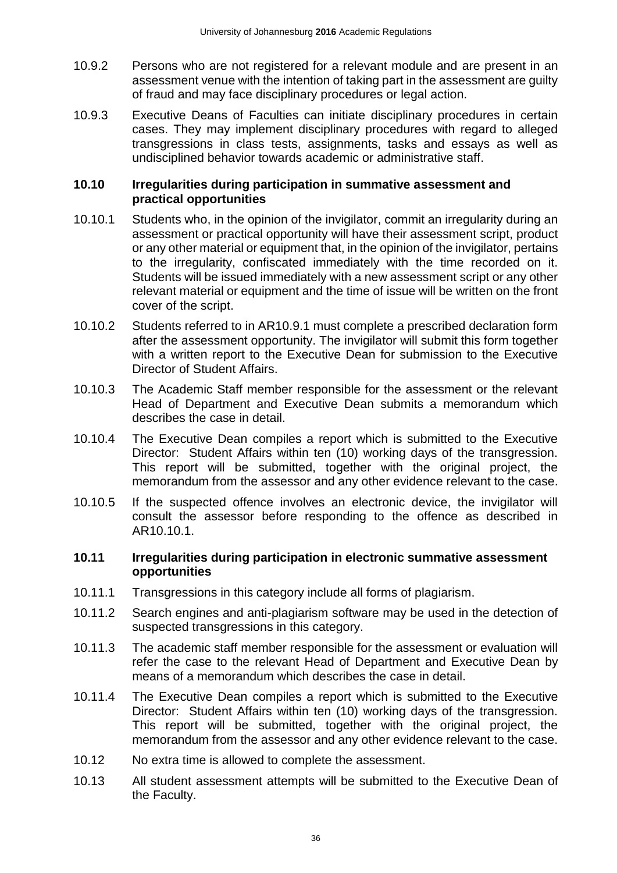- 10.9.2 Persons who are not registered for a relevant module and are present in an assessment venue with the intention of taking part in the assessment are guilty of fraud and may face disciplinary procedures or legal action.
- 10.9.3 Executive Deans of Faculties can initiate disciplinary procedures in certain cases. They may implement disciplinary procedures with regard to alleged transgressions in class tests, assignments, tasks and essays as well as undisciplined behavior towards academic or administrative staff.

#### <span id="page-36-0"></span>**10.10 Irregularities during participation in summative assessment and practical opportunities**

- 10.10.1 Students who, in the opinion of the invigilator, commit an irregularity during an assessment or practical opportunity will have their assessment script, product or any other material or equipment that, in the opinion of the invigilator, pertains to the irregularity, confiscated immediately with the time recorded on it. Students will be issued immediately with a new assessment script or any other relevant material or equipment and the time of issue will be written on the front cover of the script.
- 10.10.2 Students referred to in AR10.9.1 must complete a prescribed declaration form after the assessment opportunity. The invigilator will submit this form together with a written report to the Executive Dean for submission to the Executive Director of Student Affairs.
- 10.10.3 The Academic Staff member responsible for the assessment or the relevant Head of Department and Executive Dean submits a memorandum which describes the case in detail.
- 10.10.4 The Executive Dean compiles a report which is submitted to the Executive Director: Student Affairs within ten (10) working days of the transgression. This report will be submitted, together with the original project, the memorandum from the assessor and any other evidence relevant to the case.
- 10.10.5 If the suspected offence involves an electronic device, the invigilator will consult the assessor before responding to the offence as described in AR10.10.1.

#### <span id="page-36-1"></span>**10.11 Irregularities during participation in electronic summative assessment opportunities**

- 10.11.1 Transgressions in this category include all forms of plagiarism.
- 10.11.2 Search engines and anti-plagiarism software may be used in the detection of suspected transgressions in this category.
- 10.11.3 The academic staff member responsible for the assessment or evaluation will refer the case to the relevant Head of Department and Executive Dean by means of a memorandum which describes the case in detail.
- 10.11.4 The Executive Dean compiles a report which is submitted to the Executive Director: Student Affairs within ten (10) working days of the transgression. This report will be submitted, together with the original project, the memorandum from the assessor and any other evidence relevant to the case.
- 10.12 No extra time is allowed to complete the assessment.
- 10.13 All student assessment attempts will be submitted to the Executive Dean of the Faculty.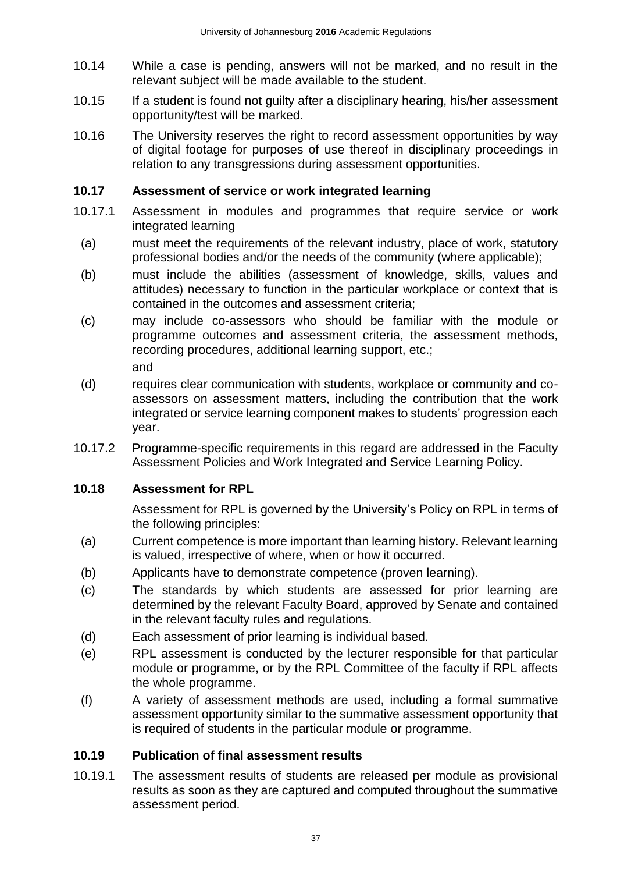- 10.14 While a case is pending, answers will not be marked, and no result in the relevant subject will be made available to the student.
- 10.15 If a student is found not guilty after a disciplinary hearing, his/her assessment opportunity/test will be marked.
- 10.16 The University reserves the right to record assessment opportunities by way of digital footage for purposes of use thereof in disciplinary proceedings in relation to any transgressions during assessment opportunities.

### <span id="page-37-0"></span>**10.17 Assessment of service or work integrated learning**

- 10.17.1 Assessment in modules and programmes that require service or work integrated learning
	- (a) must meet the requirements of the relevant industry, place of work, statutory professional bodies and/or the needs of the community (where applicable);
	- (b) must include the abilities (assessment of knowledge, skills, values and attitudes) necessary to function in the particular workplace or context that is contained in the outcomes and assessment criteria;
	- (c) may include co-assessors who should be familiar with the module or programme outcomes and assessment criteria, the assessment methods, recording procedures, additional learning support, etc.;

and

- (d) requires clear communication with students, workplace or community and coassessors on assessment matters, including the contribution that the work integrated or service learning component makes to students' progression each year.
- 10.17.2 Programme-specific requirements in this regard are addressed in the Faculty Assessment Policies and Work Integrated and Service Learning Policy.

#### <span id="page-37-1"></span>**10.18 Assessment for RPL**

Assessment for RPL is governed by the University's Policy on RPL in terms of the following principles:

- (a) Current competence is more important than learning history. Relevant learning is valued, irrespective of where, when or how it occurred.
- (b) Applicants have to demonstrate competence (proven learning).
- (c) The standards by which students are assessed for prior learning are determined by the relevant Faculty Board, approved by Senate and contained in the relevant faculty rules and regulations.
- (d) Each assessment of prior learning is individual based.
- (e) RPL assessment is conducted by the lecturer responsible for that particular module or programme, or by the RPL Committee of the faculty if RPL affects the whole programme.
- (f) A variety of assessment methods are used, including a formal summative assessment opportunity similar to the summative assessment opportunity that is required of students in the particular module or programme.

## <span id="page-37-2"></span>**10.19 Publication of final assessment results**

10.19.1 The assessment results of students are released per module as provisional results as soon as they are captured and computed throughout the summative assessment period.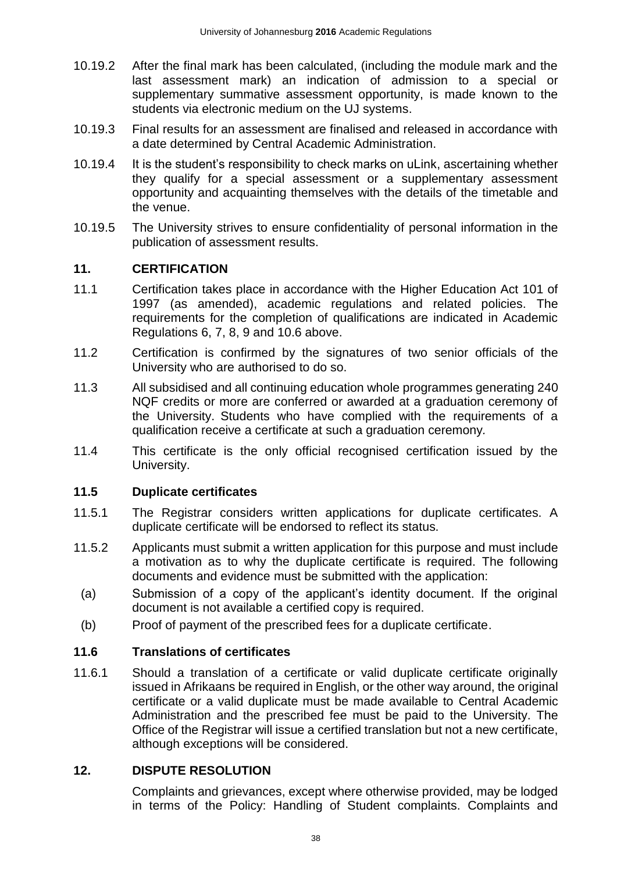- 10.19.2 After the final mark has been calculated, (including the module mark and the last assessment mark) an indication of admission to a special or supplementary summative assessment opportunity, is made known to the students via electronic medium on the UJ systems.
- 10.19.3 Final results for an assessment are finalised and released in accordance with a date determined by Central Academic Administration.
- 10.19.4 It is the student's responsibility to check marks on uLink, ascertaining whether they qualify for a special assessment or a supplementary assessment opportunity and acquainting themselves with the details of the timetable and the venue.
- 10.19.5 The University strives to ensure confidentiality of personal information in the publication of assessment results.

### <span id="page-38-0"></span>**11. CERTIFICATION**

- 11.1 Certification takes place in accordance with the Higher Education Act 101 of 1997 (as amended), academic regulations and related policies. The requirements for the completion of qualifications are indicated in Academic Regulations 6, 7, 8, 9 and 10.6 above.
- 11.2 Certification is confirmed by the signatures of two senior officials of the University who are authorised to do so.
- 11.3 All subsidised and all continuing education whole programmes generating 240 NQF credits or more are conferred or awarded at a graduation ceremony of the University. Students who have complied with the requirements of a qualification receive a certificate at such a graduation ceremony*.*
- 11.4 This certificate is the only official recognised certification issued by the University.

#### <span id="page-38-1"></span>**11.5 Duplicate certificates**

- 11.5.1 The Registrar considers written applications for duplicate certificates. A duplicate certificate will be endorsed to reflect its status.
- 11.5.2 Applicants must submit a written application for this purpose and must include a motivation as to why the duplicate certificate is required. The following documents and evidence must be submitted with the application:
- (a) Submission of a copy of the applicant's identity document. If the original document is not available a certified copy is required.
- (b) Proof of payment of the prescribed fees for a duplicate certificate.

#### <span id="page-38-2"></span>**11.6 Translations of certificates**

11.6.1 Should a translation of a certificate or valid duplicate certificate originally issued in Afrikaans be required in English, or the other way around, the original certificate or a valid duplicate must be made available to Central Academic Administration and the prescribed fee must be paid to the University. The Office of the Registrar will issue a certified translation but not a new certificate, although exceptions will be considered.

## <span id="page-38-3"></span>**12. DISPUTE RESOLUTION**

Complaints and grievances, except where otherwise provided, may be lodged in terms of the Policy: Handling of Student complaints. Complaints and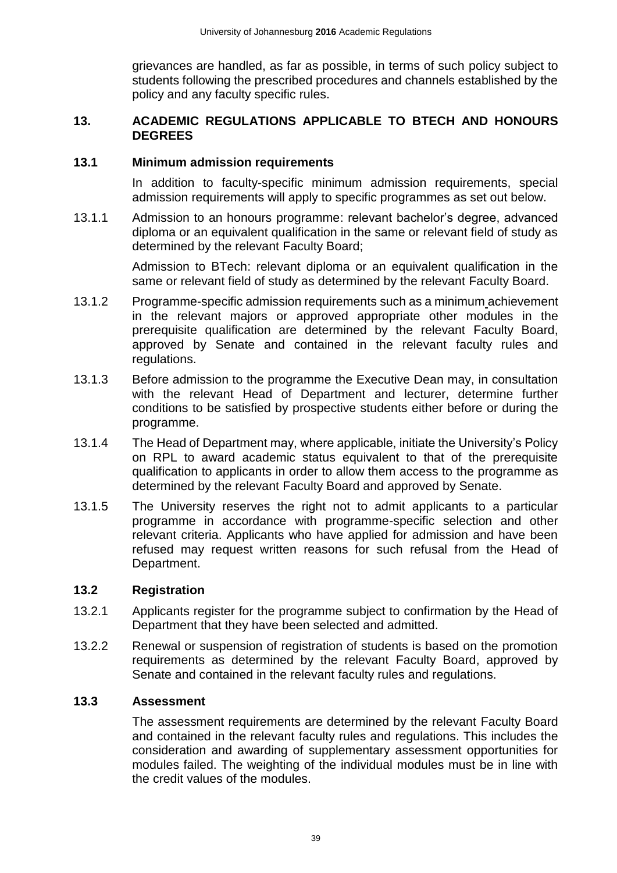grievances are handled, as far as possible, in terms of such policy subject to students following the prescribed procedures and channels established by the policy and any faculty specific rules.

#### <span id="page-39-0"></span>**13. ACADEMIC REGULATIONS APPLICABLE TO BTECH AND HONOURS DEGREES**

#### <span id="page-39-1"></span>**13.1 Minimum admission requirements**

In addition to faculty-specific minimum admission requirements, special admission requirements will apply to specific programmes as set out below.

13.1.1 Admission to an honours programme: relevant bachelor's degree, advanced diploma or an equivalent qualification in the same or relevant field of study as determined by the relevant Faculty Board;

> Admission to BTech: relevant diploma or an equivalent qualification in the same or relevant field of study as determined by the relevant Faculty Board.

- 13.1.2 Programme-specific admission requirements such as a minimum achievement in the relevant majors or approved appropriate other modules in the prerequisite qualification are determined by the relevant Faculty Board, approved by Senate and contained in the relevant faculty rules and regulations.
- 13.1.3 Before admission to the programme the Executive Dean may, in consultation with the relevant Head of Department and lecturer, determine further conditions to be satisfied by prospective students either before or during the programme.
- 13.1.4 The Head of Department may, where applicable, initiate the University's Policy on RPL to award academic status equivalent to that of the prerequisite qualification to applicants in order to allow them access to the programme as determined by the relevant Faculty Board and approved by Senate.
- 13.1.5 The University reserves the right not to admit applicants to a particular programme in accordance with programme-specific selection and other relevant criteria. Applicants who have applied for admission and have been refused may request written reasons for such refusal from the Head of Department.

#### <span id="page-39-2"></span>**13.2 Registration**

- 13.2.1 Applicants register for the programme subject to confirmation by the Head of Department that they have been selected and admitted.
- 13.2.2 Renewal or suspension of registration of students is based on the promotion requirements as determined by the relevant Faculty Board, approved by Senate and contained in the relevant faculty rules and regulations.

#### <span id="page-39-3"></span>**13.3 Assessment**

The assessment requirements are determined by the relevant Faculty Board and contained in the relevant faculty rules and regulations. This includes the consideration and awarding of supplementary assessment opportunities for modules failed. The weighting of the individual modules must be in line with the credit values of the modules.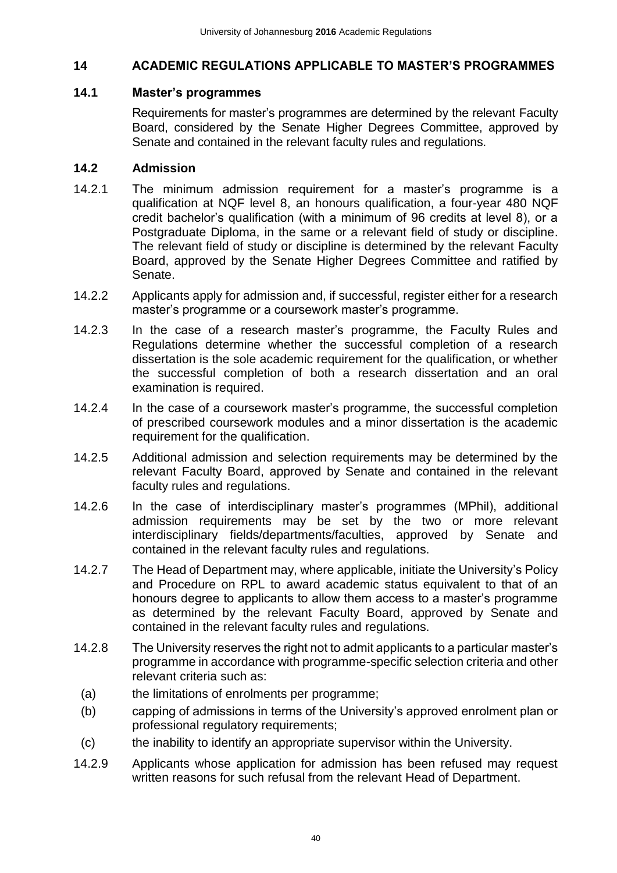## <span id="page-40-0"></span>**14 ACADEMIC REGULATIONS APPLICABLE TO MASTER'S PROGRAMMES**

#### <span id="page-40-1"></span>**14.1 Master's programmes**

Requirements for master's programmes are determined by the relevant Faculty Board, considered by the Senate Higher Degrees Committee, approved by Senate and contained in the relevant faculty rules and regulations.

#### <span id="page-40-2"></span>**14.2 Admission**

- 14.2.1 The minimum admission requirement for a master's programme is a qualification at NQF level 8, an honours qualification, a four-year 480 NQF credit bachelor's qualification (with a minimum of 96 credits at level 8), or a Postgraduate Diploma, in the same or a relevant field of study or discipline. The relevant field of study or discipline is determined by the relevant Faculty Board, approved by the Senate Higher Degrees Committee and ratified by Senate.
- 14.2.2 Applicants apply for admission and, if successful, register either for a research master's programme or a coursework master's programme.
- 14.2.3 In the case of a research master's programme, the Faculty Rules and Regulations determine whether the successful completion of a research dissertation is the sole academic requirement for the qualification, or whether the successful completion of both a research dissertation and an oral examination is required.
- 14.2.4 In the case of a coursework master's programme, the successful completion of prescribed coursework modules and a minor dissertation is the academic requirement for the qualification.
- 14.2.5 Additional admission and selection requirements may be determined by the relevant Faculty Board, approved by Senate and contained in the relevant faculty rules and regulations.
- 14.2.6 In the case of interdisciplinary master's programmes (MPhil), additional admission requirements may be set by the two or more relevant interdisciplinary fields/departments/faculties, approved by Senate and contained in the relevant faculty rules and regulations.
- 14.2.7 The Head of Department may, where applicable, initiate the University's Policy and Procedure on RPL to award academic status equivalent to that of an honours degree to applicants to allow them access to a master's programme as determined by the relevant Faculty Board, approved by Senate and contained in the relevant faculty rules and regulations.
- 14.2.8 The University reserves the right not to admit applicants to a particular master's programme in accordance with programme-specific selection criteria and other relevant criteria such as:
	- (a) the limitations of enrolments per programme;
	- (b) capping of admissions in terms of the University's approved enrolment plan or professional regulatory requirements;
- (c) the inability to identify an appropriate supervisor within the University.
- 14.2.9 Applicants whose application for admission has been refused may request written reasons for such refusal from the relevant Head of Department.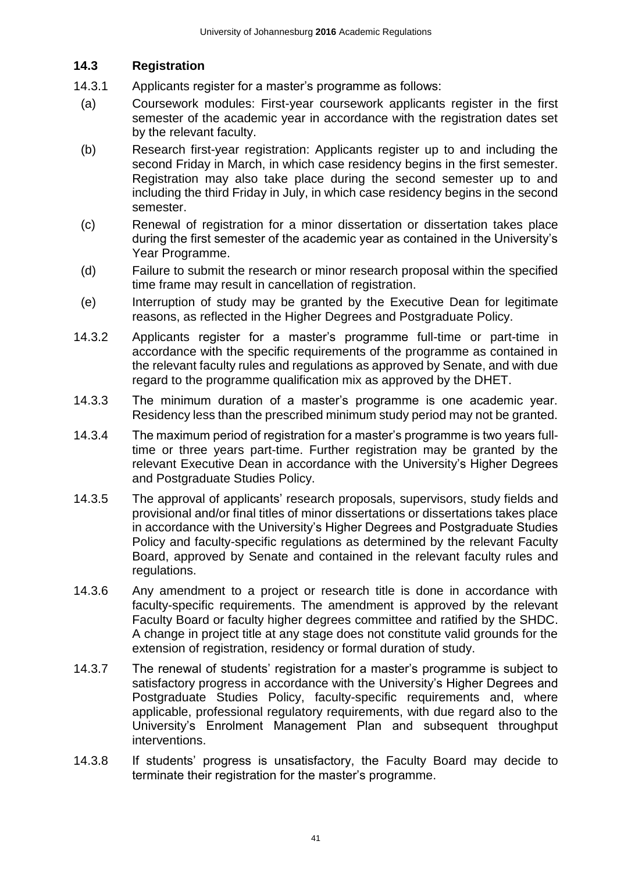## <span id="page-41-0"></span>**14.3 Registration**

- 14.3.1 Applicants register for a master's programme as follows:
- (a) Coursework modules: First-year coursework applicants register in the first semester of the academic year in accordance with the registration dates set by the relevant faculty.
- (b) Research first-year registration: Applicants register up to and including the second Friday in March, in which case residency begins in the first semester. Registration may also take place during the second semester up to and including the third Friday in July, in which case residency begins in the second semester.
- (c) Renewal of registration for a minor dissertation or dissertation takes place during the first semester of the academic year as contained in the University's Year Programme.
- (d) Failure to submit the research or minor research proposal within the specified time frame may result in cancellation of registration.
- (e) Interruption of study may be granted by the Executive Dean for legitimate reasons, as reflected in the Higher Degrees and Postgraduate Policy.
- 14.3.2 Applicants register for a master's programme full-time or part-time in accordance with the specific requirements of the programme as contained in the relevant faculty rules and regulations as approved by Senate, and with due regard to the programme qualification mix as approved by the DHET.
- 14.3.3 The minimum duration of a master's programme is one academic year. Residency less than the prescribed minimum study period may not be granted.
- 14.3.4 The maximum period of registration for a master's programme is two years fulltime or three years part-time. Further registration may be granted by the relevant Executive Dean in accordance with the University's Higher Degrees and Postgraduate Studies Policy.
- 14.3.5 The approval of applicants' research proposals, supervisors, study fields and provisional and/or final titles of minor dissertations or dissertations takes place in accordance with the University's Higher Degrees and Postgraduate Studies Policy and faculty-specific regulations as determined by the relevant Faculty Board, approved by Senate and contained in the relevant faculty rules and regulations.
- 14.3.6 Any amendment to a project or research title is done in accordance with faculty-specific requirements. The amendment is approved by the relevant Faculty Board or faculty higher degrees committee and ratified by the SHDC. A change in project title at any stage does not constitute valid grounds for the extension of registration, residency or formal duration of study.
- 14.3.7 The renewal of students' registration for a master's programme is subject to satisfactory progress in accordance with the University's Higher Degrees and Postgraduate Studies Policy, faculty-specific requirements and, where applicable, professional regulatory requirements, with due regard also to the University's Enrolment Management Plan and subsequent throughput interventions.
- 14.3.8 If students' progress is unsatisfactory, the Faculty Board may decide to terminate their registration for the master's programme.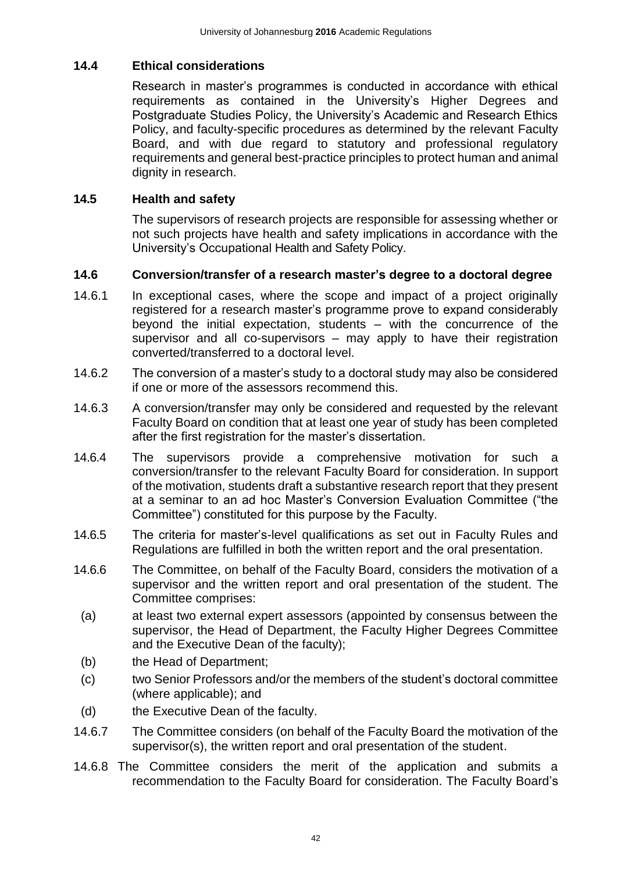### <span id="page-42-0"></span>**14.4 Ethical considerations**

Research in master's programmes is conducted in accordance with ethical requirements as contained in the University's Higher Degrees and Postgraduate Studies Policy, the University's Academic and Research Ethics Policy, and faculty-specific procedures as determined by the relevant Faculty Board, and with due regard to statutory and professional regulatory requirements and general best-practice principles to protect human and animal dignity in research.

### <span id="page-42-1"></span>**14.5 Health and safety**

The supervisors of research projects are responsible for assessing whether or not such projects have health and safety implications in accordance with the University's Occupational Health and Safety Policy.

#### <span id="page-42-2"></span>**14.6 Conversion/transfer of a research master's degree to a doctoral degree**

- 14.6.1 In exceptional cases, where the scope and impact of a project originally registered for a research master's programme prove to expand considerably beyond the initial expectation, students – with the concurrence of the supervisor and all co-supervisors – may apply to have their registration converted/transferred to a doctoral level.
- 14.6.2 The conversion of a master's study to a doctoral study may also be considered if one or more of the assessors recommend this.
- 14.6.3 A conversion/transfer may only be considered and requested by the relevant Faculty Board on condition that at least one year of study has been completed after the first registration for the master's dissertation.
- 14.6.4 The supervisors provide a comprehensive motivation for such a conversion/transfer to the relevant Faculty Board for consideration. In support of the motivation, students draft a substantive research report that they present at a seminar to an ad hoc Master's Conversion Evaluation Committee ("the Committee") constituted for this purpose by the Faculty.
- 14.6.5 The criteria for master's-level qualifications as set out in Faculty Rules and Regulations are fulfilled in both the written report and the oral presentation.
- 14.6.6 The Committee, on behalf of the Faculty Board, considers the motivation of a supervisor and the written report and oral presentation of the student. The Committee comprises:
- (a) at least two external expert assessors (appointed by consensus between the supervisor, the Head of Department, the Faculty Higher Degrees Committee and the Executive Dean of the faculty);
- (b) the Head of Department;
- (c) two Senior Professors and/or the members of the student's doctoral committee (where applicable); and
- (d) the Executive Dean of the faculty.
- 14.6.7 The Committee considers (on behalf of the Faculty Board the motivation of the supervisor(s), the written report and oral presentation of the student.
- 14.6.8 The Committee considers the merit of the application and submits a recommendation to the Faculty Board for consideration. The Faculty Board's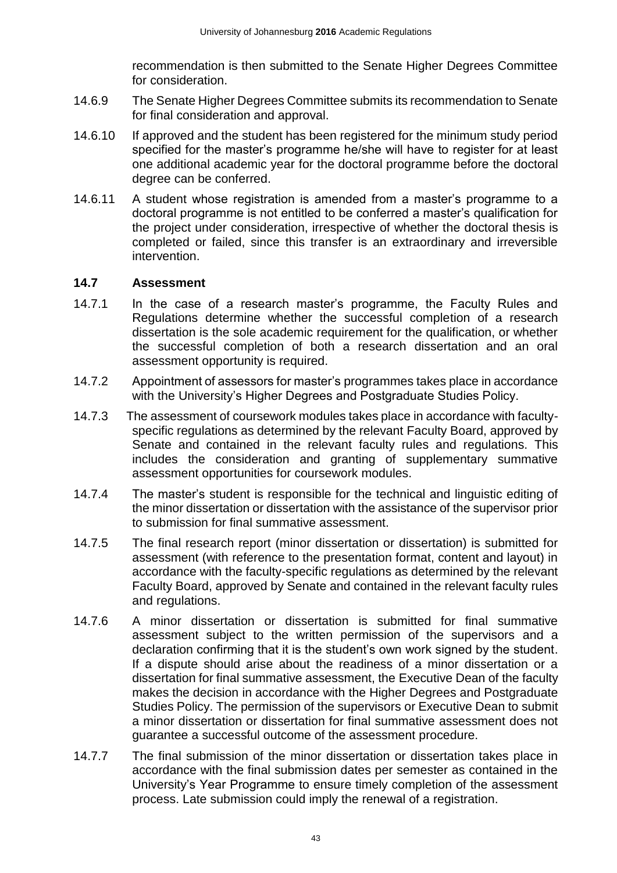recommendation is then submitted to the Senate Higher Degrees Committee for consideration.

- 14.6.9 The Senate Higher Degrees Committee submits its recommendation to Senate for final consideration and approval.
- 14.6.10 If approved and the student has been registered for the minimum study period specified for the master's programme he/she will have to register for at least one additional academic year for the doctoral programme before the doctoral degree can be conferred.
- 14.6.11 A student whose registration is amended from a master's programme to a doctoral programme is not entitled to be conferred a master's qualification for the project under consideration, irrespective of whether the doctoral thesis is completed or failed, since this transfer is an extraordinary and irreversible intervention.

#### <span id="page-43-0"></span>**14.7 Assessment**

- 14.7.1 In the case of a research master's programme, the Faculty Rules and Regulations determine whether the successful completion of a research dissertation is the sole academic requirement for the qualification, or whether the successful completion of both a research dissertation and an oral assessment opportunity is required.
- 14.7.2 Appointment of assessors for master's programmes takes place in accordance with the University's Higher Degrees and Postgraduate Studies Policy.
- 14.7.3 The assessment of coursework modules takes place in accordance with facultyspecific regulations as determined by the relevant Faculty Board, approved by Senate and contained in the relevant faculty rules and regulations. This includes the consideration and granting of supplementary summative assessment opportunities for coursework modules.
- 14.7.4 The master's student is responsible for the technical and linguistic editing of the minor dissertation or dissertation with the assistance of the supervisor prior to submission for final summative assessment.
- 14.7.5 The final research report (minor dissertation or dissertation) is submitted for assessment (with reference to the presentation format, content and layout) in accordance with the faculty-specific regulations as determined by the relevant Faculty Board, approved by Senate and contained in the relevant faculty rules and regulations.
- 14.7.6 A minor dissertation or dissertation is submitted for final summative assessment subject to the written permission of the supervisors and a declaration confirming that it is the student's own work signed by the student. If a dispute should arise about the readiness of a minor dissertation or a dissertation for final summative assessment, the Executive Dean of the faculty makes the decision in accordance with the Higher Degrees and Postgraduate Studies Policy. The permission of the supervisors or Executive Dean to submit a minor dissertation or dissertation for final summative assessment does not guarantee a successful outcome of the assessment procedure.
- 14.7.7 The final submission of the minor dissertation or dissertation takes place in accordance with the final submission dates per semester as contained in the University's Year Programme to ensure timely completion of the assessment process. Late submission could imply the renewal of a registration.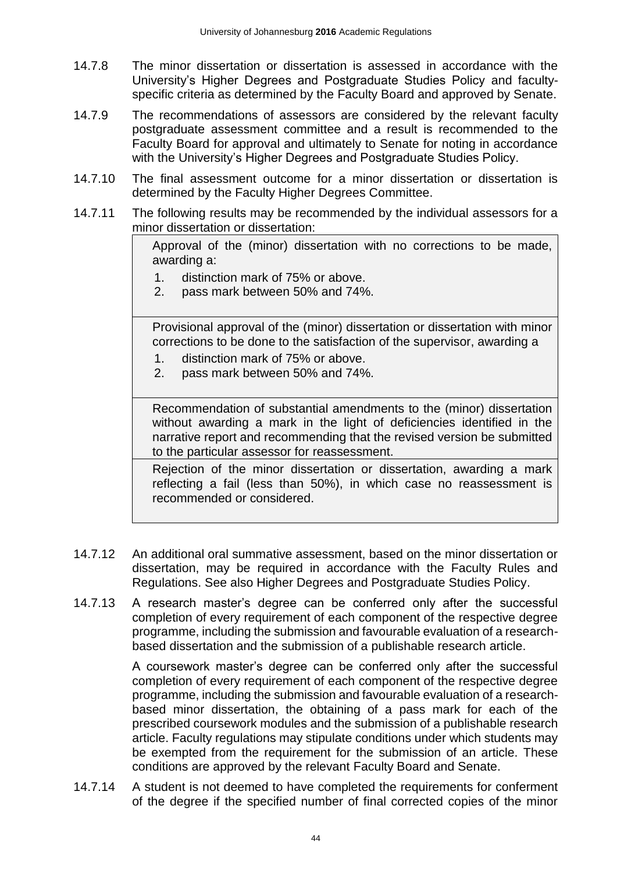- 14.7.8 The minor dissertation or dissertation is assessed in accordance with the University's Higher Degrees and Postgraduate Studies Policy and facultyspecific criteria as determined by the Faculty Board and approved by Senate.
- 14.7.9 The recommendations of assessors are considered by the relevant faculty postgraduate assessment committee and a result is recommended to the Faculty Board for approval and ultimately to Senate for noting in accordance with the University's Higher Degrees and Postgraduate Studies Policy.
- 14.7.10 The final assessment outcome for a minor dissertation or dissertation is determined by the Faculty Higher Degrees Committee.
- 14.7.11 The following results may be recommended by the individual assessors for a minor dissertation or dissertation:

Approval of the (minor) dissertation with no corrections to be made, awarding a:

- 1. distinction mark of 75% or above.
- 2. pass mark between 50% and 74%.

Provisional approval of the (minor) dissertation or dissertation with minor corrections to be done to the satisfaction of the supervisor, awarding a

- 1. distinction mark of 75% or above.
- 2. pass mark between 50% and 74%.

Recommendation of substantial amendments to the (minor) dissertation without awarding a mark in the light of deficiencies identified in the narrative report and recommending that the revised version be submitted to the particular assessor for reassessment.

Rejection of the minor dissertation or dissertation, awarding a mark reflecting a fail (less than 50%), in which case no reassessment is recommended or considered.

- 14.7.12 An additional oral summative assessment, based on the minor dissertation or dissertation, may be required in accordance with the Faculty Rules and Regulations. See also Higher Degrees and Postgraduate Studies Policy.
- 14.7.13 A research master's degree can be conferred only after the successful completion of every requirement of each component of the respective degree programme, including the submission and favourable evaluation of a researchbased dissertation and the submission of a publishable research article.

A coursework master's degree can be conferred only after the successful completion of every requirement of each component of the respective degree programme, including the submission and favourable evaluation of a researchbased minor dissertation, the obtaining of a pass mark for each of the prescribed coursework modules and the submission of a publishable research article. Faculty regulations may stipulate conditions under which students may be exempted from the requirement for the submission of an article. These conditions are approved by the relevant Faculty Board and Senate.

14.7.14 A student is not deemed to have completed the requirements for conferment of the degree if the specified number of final corrected copies of the minor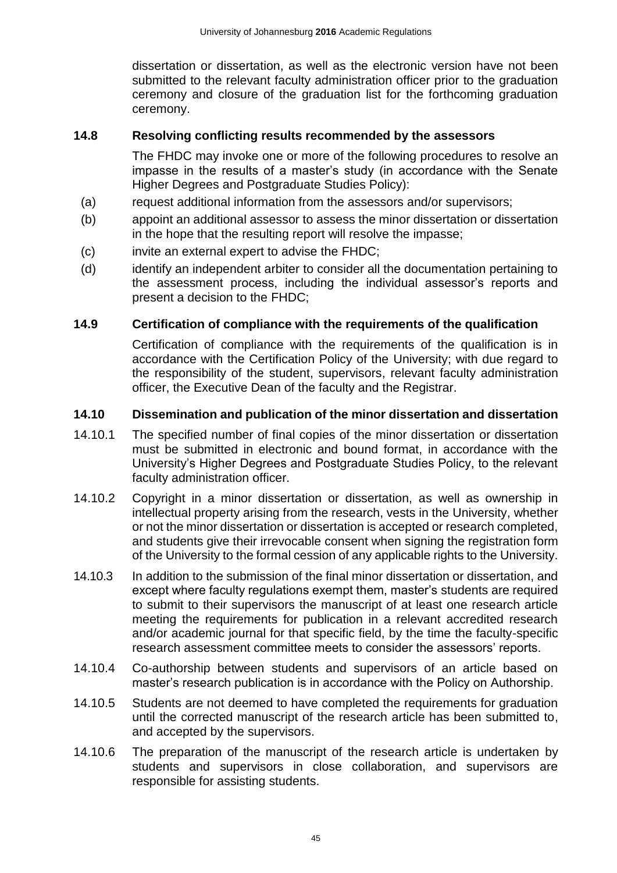dissertation or dissertation, as well as the electronic version have not been submitted to the relevant faculty administration officer prior to the graduation ceremony and closure of the graduation list for the forthcoming graduation ceremony.

#### <span id="page-45-0"></span>**14.8 Resolving conflicting results recommended by the assessors**

The FHDC may invoke one or more of the following procedures to resolve an impasse in the results of a master's study (in accordance with the Senate Higher Degrees and Postgraduate Studies Policy):

- (a) request additional information from the assessors and/or supervisors;
- (b) appoint an additional assessor to assess the minor dissertation or dissertation in the hope that the resulting report will resolve the impasse;
- (c) invite an external expert to advise the FHDC;
- (d) identify an independent arbiter to consider all the documentation pertaining to the assessment process, including the individual assessor's reports and present a decision to the FHDC;

#### <span id="page-45-1"></span>**14.9 Certification of compliance with the requirements of the qualification**

Certification of compliance with the requirements of the qualification is in accordance with the Certification Policy of the University; with due regard to the responsibility of the student, supervisors, relevant faculty administration officer, the Executive Dean of the faculty and the Registrar.

#### <span id="page-45-2"></span>**14.10 Dissemination and publication of the minor dissertation and dissertation**

- 14.10.1 The specified number of final copies of the minor dissertation or dissertation must be submitted in electronic and bound format, in accordance with the University's Higher Degrees and Postgraduate Studies Policy, to the relevant faculty administration officer.
- 14.10.2 Copyright in a minor dissertation or dissertation, as well as ownership in intellectual property arising from the research, vests in the University, whether or not the minor dissertation or dissertation is accepted or research completed, and students give their irrevocable consent when signing the registration form of the University to the formal cession of any applicable rights to the University.
- 14.10.3 In addition to the submission of the final minor dissertation or dissertation, and except where faculty regulations exempt them, master's students are required to submit to their supervisors the manuscript of at least one research article meeting the requirements for publication in a relevant accredited research and/or academic journal for that specific field, by the time the faculty-specific research assessment committee meets to consider the assessors' reports.
- 14.10.4 Co-authorship between students and supervisors of an article based on master's research publication is in accordance with the Policy on Authorship.
- 14.10.5 Students are not deemed to have completed the requirements for graduation until the corrected manuscript of the research article has been submitted to, and accepted by the supervisors.
- 14.10.6 The preparation of the manuscript of the research article is undertaken by students and supervisors in close collaboration, and supervisors are responsible for assisting students.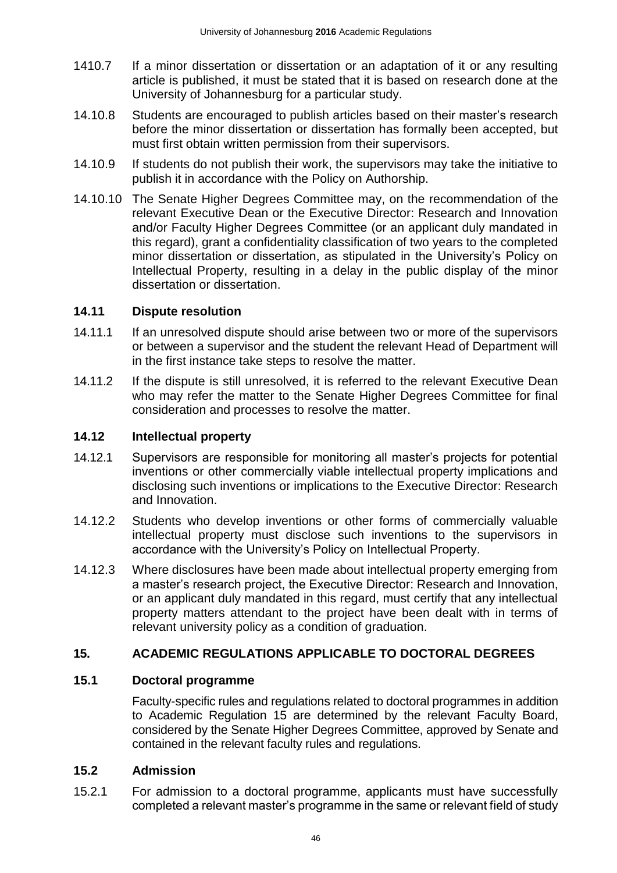- 1410.7 If a minor dissertation or dissertation or an adaptation of it or any resulting article is published, it must be stated that it is based on research done at the University of Johannesburg for a particular study.
- 14.10.8 Students are encouraged to publish articles based on their master's research before the minor dissertation or dissertation has formally been accepted, but must first obtain written permission from their supervisors.
- 14.10.9 If students do not publish their work, the supervisors may take the initiative to publish it in accordance with the Policy on Authorship.
- 14.10.10 The Senate Higher Degrees Committee may, on the recommendation of the relevant Executive Dean or the Executive Director: Research and Innovation and/or Faculty Higher Degrees Committee (or an applicant duly mandated in this regard), grant a confidentiality classification of two years to the completed minor dissertation or dissertation, as stipulated in the University's Policy on Intellectual Property, resulting in a delay in the public display of the minor dissertation or dissertation.

### <span id="page-46-0"></span>**14.11 Dispute resolution**

- 14.11.1 If an unresolved dispute should arise between two or more of the supervisors or between a supervisor and the student the relevant Head of Department will in the first instance take steps to resolve the matter.
- 14.11.2 If the dispute is still unresolved, it is referred to the relevant Executive Dean who may refer the matter to the Senate Higher Degrees Committee for final consideration and processes to resolve the matter.

## <span id="page-46-1"></span>**14.12 Intellectual property**

- 14.12.1 Supervisors are responsible for monitoring all master's projects for potential inventions or other commercially viable intellectual property implications and disclosing such inventions or implications to the Executive Director: Research and Innovation.
- 14.12.2 Students who develop inventions or other forms of commercially valuable intellectual property must disclose such inventions to the supervisors in accordance with the University's Policy on Intellectual Property.
- 14.12.3 Where disclosures have been made about intellectual property emerging from a master's research project, the Executive Director: Research and Innovation, or an applicant duly mandated in this regard, must certify that any intellectual property matters attendant to the project have been dealt with in terms of relevant university policy as a condition of graduation.

## <span id="page-46-2"></span>**15. ACADEMIC REGULATIONS APPLICABLE TO DOCTORAL DEGREES**

#### <span id="page-46-3"></span>**15.1 Doctoral programme**

Faculty-specific rules and regulations related to doctoral programmes in addition to Academic Regulation 15 are determined by the relevant Faculty Board, considered by the Senate Higher Degrees Committee, approved by Senate and contained in the relevant faculty rules and regulations.

#### <span id="page-46-4"></span>**15.2 Admission**

15.2.1 For admission to a doctoral programme, applicants must have successfully completed a relevant master's programme in the same or relevant field of study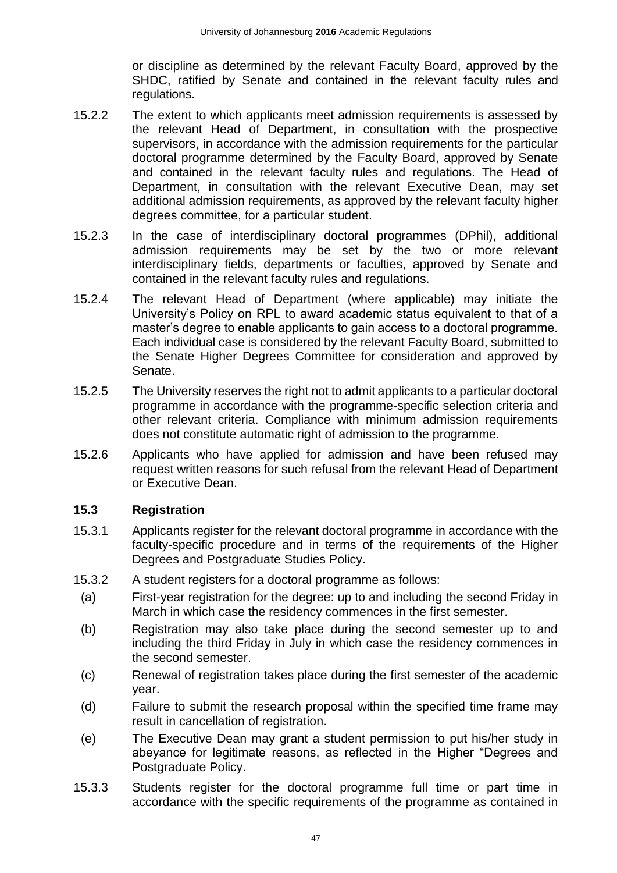or discipline as determined by the relevant Faculty Board, approved by the SHDC, ratified by Senate and contained in the relevant faculty rules and regulations.

- 15.2.2 The extent to which applicants meet admission requirements is assessed by the relevant Head of Department, in consultation with the prospective supervisors, in accordance with the admission requirements for the particular doctoral programme determined by the Faculty Board, approved by Senate and contained in the relevant faculty rules and regulations. The Head of Department, in consultation with the relevant Executive Dean, may set additional admission requirements, as approved by the relevant faculty higher degrees committee, for a particular student.
- 15.2.3 In the case of interdisciplinary doctoral programmes (DPhil), additional admission requirements may be set by the two or more relevant interdisciplinary fields, departments or faculties, approved by Senate and contained in the relevant faculty rules and regulations.
- 15.2.4 The relevant Head of Department (where applicable) may initiate the University's Policy on RPL to award academic status equivalent to that of a master's degree to enable applicants to gain access to a doctoral programme. Each individual case is considered by the relevant Faculty Board, submitted to the Senate Higher Degrees Committee for consideration and approved by Senate.
- 15.2.5 The University reserves the right not to admit applicants to a particular doctoral programme in accordance with the programme-specific selection criteria and other relevant criteria. Compliance with minimum admission requirements does not constitute automatic right of admission to the programme.
- 15.2.6 Applicants who have applied for admission and have been refused may request written reasons for such refusal from the relevant Head of Department or Executive Dean.

#### <span id="page-47-0"></span>**15.3 Registration**

- 15.3.1 Applicants register for the relevant doctoral programme in accordance with the faculty-specific procedure and in terms of the requirements of the Higher Degrees and Postgraduate Studies Policy.
- 15.3.2 A student registers for a doctoral programme as follows:
- (a) First-year registration for the degree: up to and including the second Friday in March in which case the residency commences in the first semester.
- (b) Registration may also take place during the second semester up to and including the third Friday in July in which case the residency commences in the second semester.
- (c) Renewal of registration takes place during the first semester of the academic year.
- (d) Failure to submit the research proposal within the specified time frame may result in cancellation of registration.
- (e) The Executive Dean may grant a student permission to put his/her study in abeyance for legitimate reasons, as reflected in the Higher "Degrees and Postgraduate Policy.
- 15.3.3 Students register for the doctoral programme full time or part time in accordance with the specific requirements of the programme as contained in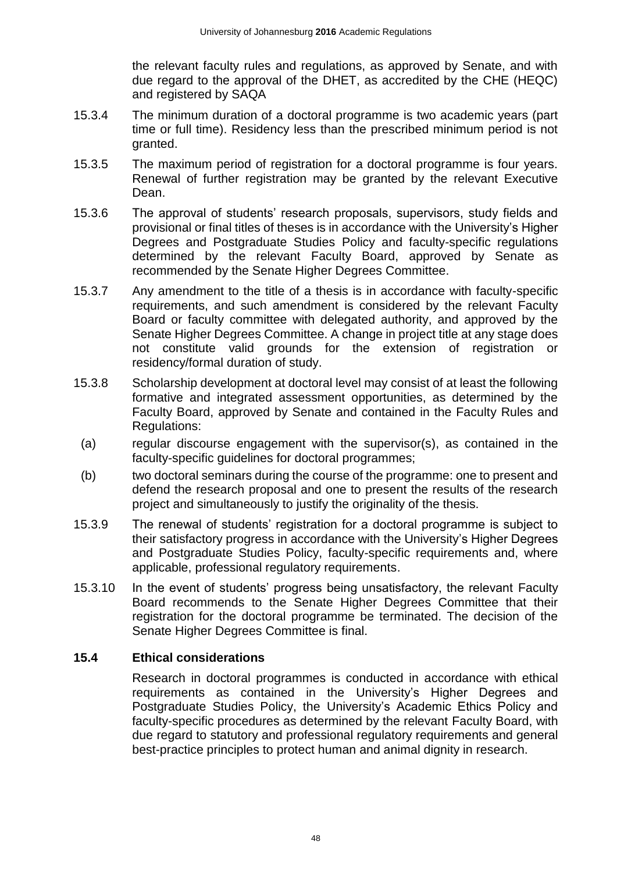the relevant faculty rules and regulations, as approved by Senate, and with due regard to the approval of the DHET, as accredited by the CHE (HEQC) and registered by SAQA

- 15.3.4 The minimum duration of a doctoral programme is two academic years (part time or full time). Residency less than the prescribed minimum period is not granted.
- 15.3.5 The maximum period of registration for a doctoral programme is four years. Renewal of further registration may be granted by the relevant Executive Dean.
- 15.3.6 The approval of students' research proposals, supervisors, study fields and provisional or final titles of theses is in accordance with the University's Higher Degrees and Postgraduate Studies Policy and faculty-specific regulations determined by the relevant Faculty Board, approved by Senate as recommended by the Senate Higher Degrees Committee.
- 15.3.7 Any amendment to the title of a thesis is in accordance with faculty-specific requirements, and such amendment is considered by the relevant Faculty Board or faculty committee with delegated authority, and approved by the Senate Higher Degrees Committee. A change in project title at any stage does not constitute valid grounds for the extension of registration or residency/formal duration of study.
- 15.3.8 Scholarship development at doctoral level may consist of at least the following formative and integrated assessment opportunities, as determined by the Faculty Board, approved by Senate and contained in the Faculty Rules and Regulations:
- (a) regular discourse engagement with the supervisor(s), as contained in the faculty-specific guidelines for doctoral programmes;
- (b) two doctoral seminars during the course of the programme: one to present and defend the research proposal and one to present the results of the research project and simultaneously to justify the originality of the thesis.
- 15.3.9 The renewal of students' registration for a doctoral programme is subject to their satisfactory progress in accordance with the University's Higher Degrees and Postgraduate Studies Policy, faculty-specific requirements and, where applicable, professional regulatory requirements.
- 15.3.10 In the event of students' progress being unsatisfactory, the relevant Faculty Board recommends to the Senate Higher Degrees Committee that their registration for the doctoral programme be terminated. The decision of the Senate Higher Degrees Committee is final.

#### <span id="page-48-0"></span>**15.4 Ethical considerations**

Research in doctoral programmes is conducted in accordance with ethical requirements as contained in the University's Higher Degrees and Postgraduate Studies Policy, the University's Academic Ethics Policy and faculty-specific procedures as determined by the relevant Faculty Board, with due regard to statutory and professional regulatory requirements and general best-practice principles to protect human and animal dignity in research.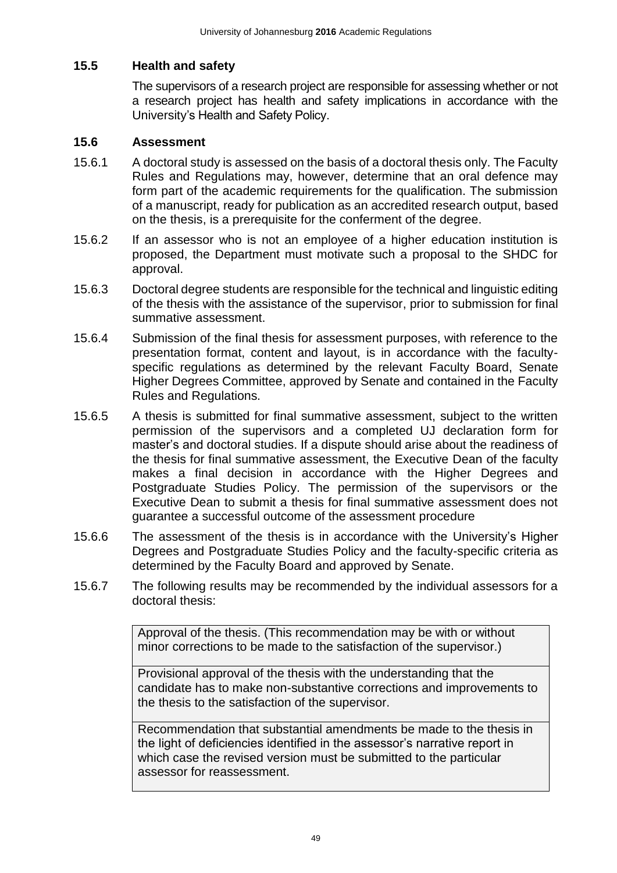## <span id="page-49-0"></span>**15.5 Health and safety**

The supervisors of a research project are responsible for assessing whether or not a research project has health and safety implications in accordance with the University's Health and Safety Policy.

#### <span id="page-49-1"></span>**15.6 Assessment**

- 15.6.1 A doctoral study is assessed on the basis of a doctoral thesis only. The Faculty Rules and Regulations may, however, determine that an oral defence may form part of the academic requirements for the qualification. The submission of a manuscript, ready for publication as an accredited research output, based on the thesis, is a prerequisite for the conferment of the degree.
- 15.6.2 If an assessor who is not an employee of a higher education institution is proposed, the Department must motivate such a proposal to the SHDC for approval.
- 15.6.3 Doctoral degree students are responsible for the technical and linguistic editing of the thesis with the assistance of the supervisor, prior to submission for final summative assessment.
- 15.6.4 Submission of the final thesis for assessment purposes, with reference to the presentation format, content and layout, is in accordance with the facultyspecific regulations as determined by the relevant Faculty Board, Senate Higher Degrees Committee, approved by Senate and contained in the Faculty Rules and Regulations.
- 15.6.5 A thesis is submitted for final summative assessment, subject to the written permission of the supervisors and a completed UJ declaration form for master's and doctoral studies. If a dispute should arise about the readiness of the thesis for final summative assessment, the Executive Dean of the faculty makes a final decision in accordance with the Higher Degrees and Postgraduate Studies Policy. The permission of the supervisors or the Executive Dean to submit a thesis for final summative assessment does not guarantee a successful outcome of the assessment procedure
- 15.6.6 The assessment of the thesis is in accordance with the University's Higher Degrees and Postgraduate Studies Policy and the faculty-specific criteria as determined by the Faculty Board and approved by Senate.
- 15.6.7 The following results may be recommended by the individual assessors for a doctoral thesis:

Approval of the thesis. (This recommendation may be with or without minor corrections to be made to the satisfaction of the supervisor.)

Provisional approval of the thesis with the understanding that the candidate has to make non-substantive corrections and improvements to the thesis to the satisfaction of the supervisor.

Recommendation that substantial amendments be made to the thesis in the light of deficiencies identified in the assessor's narrative report in which case the revised version must be submitted to the particular assessor for reassessment.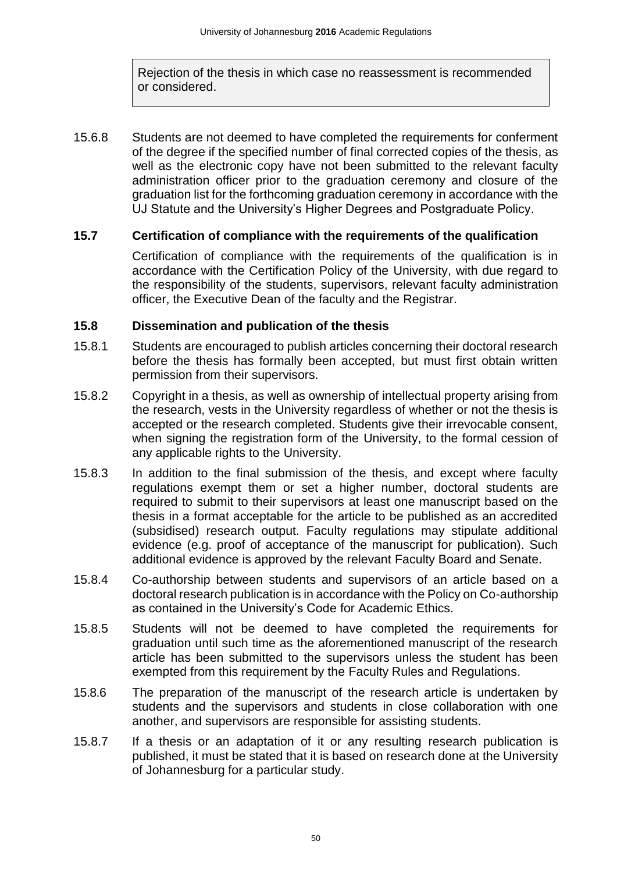Rejection of the thesis in which case no reassessment is recommended or considered.

15.6.8 Students are not deemed to have completed the requirements for conferment of the degree if the specified number of final corrected copies of the thesis, as well as the electronic copy have not been submitted to the relevant faculty administration officer prior to the graduation ceremony and closure of the graduation list for the forthcoming graduation ceremony in accordance with the UJ Statute and the University's Higher Degrees and Postgraduate Policy.

#### <span id="page-50-0"></span>**15.7 Certification of compliance with the requirements of the qualification**

Certification of compliance with the requirements of the qualification is in accordance with the Certification Policy of the University, with due regard to the responsibility of the students, supervisors, relevant faculty administration officer, the Executive Dean of the faculty and the Registrar.

#### <span id="page-50-1"></span>**15.8 Dissemination and publication of the thesis**

- 15.8.1 Students are encouraged to publish articles concerning their doctoral research before the thesis has formally been accepted, but must first obtain written permission from their supervisors.
- 15.8.2 Copyright in a thesis, as well as ownership of intellectual property arising from the research, vests in the University regardless of whether or not the thesis is accepted or the research completed. Students give their irrevocable consent, when signing the registration form of the University, to the formal cession of any applicable rights to the University.
- 15.8.3 In addition to the final submission of the thesis, and except where faculty regulations exempt them or set a higher number, doctoral students are required to submit to their supervisors at least one manuscript based on the thesis in a format acceptable for the article to be published as an accredited (subsidised) research output. Faculty regulations may stipulate additional evidence (e.g. proof of acceptance of the manuscript for publication). Such additional evidence is approved by the relevant Faculty Board and Senate.
- 15.8.4 Co-authorship between students and supervisors of an article based on a doctoral research publication is in accordance with the Policy on Co-authorship as contained in the University's Code for Academic Ethics.
- 15.8.5 Students will not be deemed to have completed the requirements for graduation until such time as the aforementioned manuscript of the research article has been submitted to the supervisors unless the student has been exempted from this requirement by the Faculty Rules and Regulations.
- 15.8.6 The preparation of the manuscript of the research article is undertaken by students and the supervisors and students in close collaboration with one another, and supervisors are responsible for assisting students.
- 15.8.7 If a thesis or an adaptation of it or any resulting research publication is published, it must be stated that it is based on research done at the University of Johannesburg for a particular study.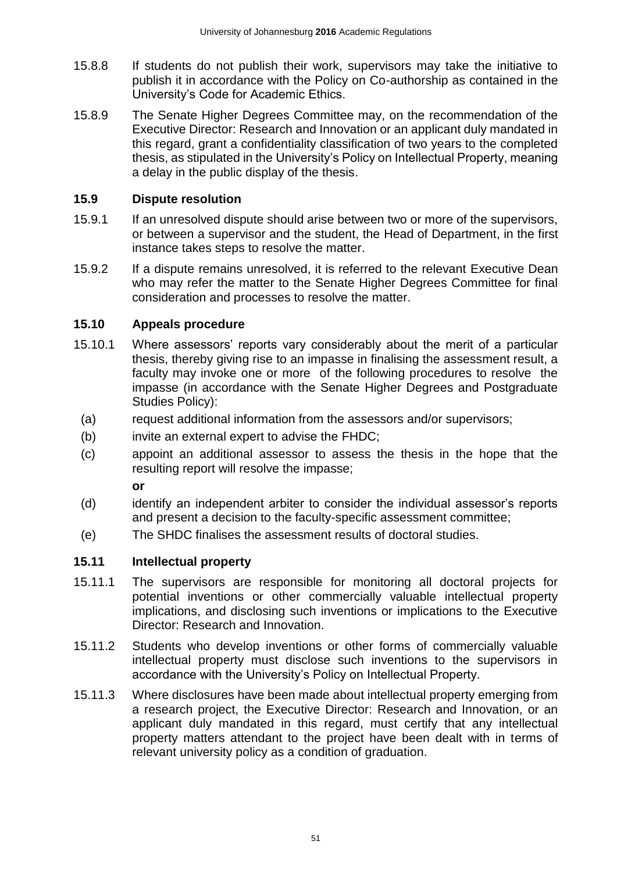- 15.8.8 If students do not publish their work, supervisors may take the initiative to publish it in accordance with the Policy on Co-authorship as contained in the University's Code for Academic Ethics.
- 15.8.9 The Senate Higher Degrees Committee may, on the recommendation of the Executive Director: Research and Innovation or an applicant duly mandated in this regard, grant a confidentiality classification of two years to the completed thesis, as stipulated in the University's Policy on Intellectual Property, meaning a delay in the public display of the thesis.

### <span id="page-51-0"></span>**15.9 Dispute resolution**

- 15.9.1 If an unresolved dispute should arise between two or more of the supervisors, or between a supervisor and the student, the Head of Department, in the first instance takes steps to resolve the matter.
- 15.9.2 If a dispute remains unresolved, it is referred to the relevant Executive Dean who may refer the matter to the Senate Higher Degrees Committee for final consideration and processes to resolve the matter.

### <span id="page-51-1"></span>**15.10 Appeals procedure**

- 15.10.1 Where assessors' reports vary considerably about the merit of a particular thesis, thereby giving rise to an impasse in finalising the assessment result, a faculty may invoke one or more of the following procedures to resolve the impasse (in accordance with the Senate Higher Degrees and Postgraduate Studies Policy):
	- (a) request additional information from the assessors and/or supervisors;
	- (b) invite an external expert to advise the FHDC;
	- (c) appoint an additional assessor to assess the thesis in the hope that the resulting report will resolve the impasse;

**or**

- (d) identify an independent arbiter to consider the individual assessor's reports and present a decision to the faculty-specific assessment committee;
- (e) The SHDC finalises the assessment results of doctoral studies.

## <span id="page-51-2"></span>**15.11 Intellectual property**

- 15.11.1 The supervisors are responsible for monitoring all doctoral projects for potential inventions or other commercially valuable intellectual property implications, and disclosing such inventions or implications to the Executive Director: Research and Innovation.
- 15.11.2 Students who develop inventions or other forms of commercially valuable intellectual property must disclose such inventions to the supervisors in accordance with the University's Policy on Intellectual Property.
- 15.11.3 Where disclosures have been made about intellectual property emerging from a research project, the Executive Director: Research and Innovation, or an applicant duly mandated in this regard, must certify that any intellectual property matters attendant to the project have been dealt with in terms of relevant university policy as a condition of graduation.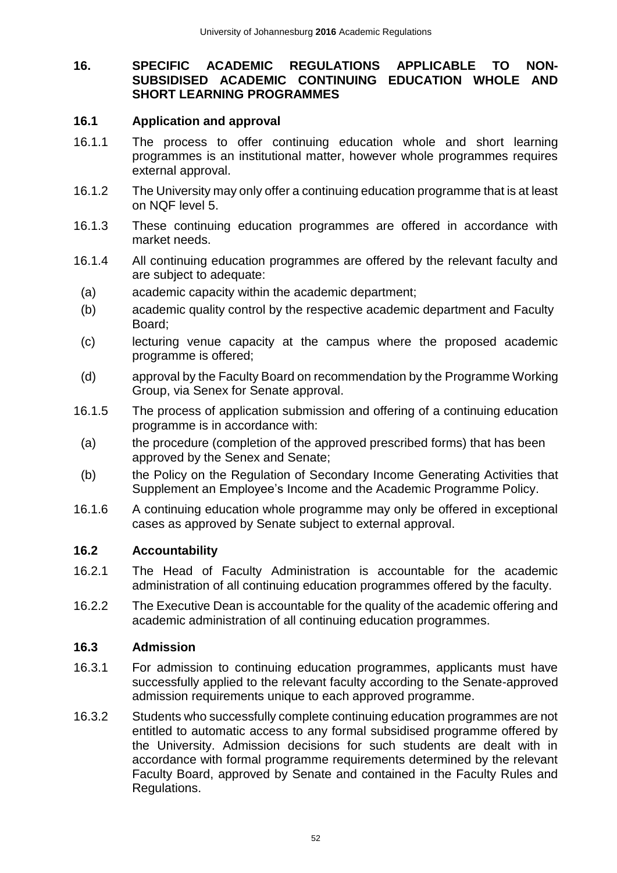#### <span id="page-52-0"></span>**16. SPECIFIC ACADEMIC REGULATIONS APPLICABLE TO NON-SUBSIDISED ACADEMIC CONTINUING EDUCATION WHOLE AND SHORT LEARNING PROGRAMMES**

#### <span id="page-52-1"></span>**16.1 Application and approval**

- 16.1.1 The process to offer continuing education whole and short learning programmes is an institutional matter, however whole programmes requires external approval.
- 16.1.2 The University may only offer a continuing education programme that is at least on NQF level 5.
- 16.1.3 These continuing education programmes are offered in accordance with market needs.
- 16.1.4 All continuing education programmes are offered by the relevant faculty and are subject to adequate:
	- (a) academic capacity within the academic department;
	- (b) academic quality control by the respective academic department and Faculty Board;
	- (c) lecturing venue capacity at the campus where the proposed academic programme is offered;
	- (d) approval by the Faculty Board on recommendation by the Programme Working Group, via Senex for Senate approval.
- 16.1.5 The process of application submission and offering of a continuing education programme is in accordance with:
- (a) the procedure (completion of the approved prescribed forms) that has been approved by the Senex and Senate;
- (b) the Policy on the Regulation of Secondary Income Generating Activities that Supplement an Employee's Income and the Academic Programme Policy.
- 16.1.6 A continuing education whole programme may only be offered in exceptional cases as approved by Senate subject to external approval.

#### <span id="page-52-2"></span>**16.2 Accountability**

- 16.2.1 The Head of Faculty Administration is accountable for the academic administration of all continuing education programmes offered by the faculty.
- 16.2.2 The Executive Dean is accountable for the quality of the academic offering and academic administration of all continuing education programmes.

#### <span id="page-52-3"></span>**16.3 Admission**

- 16.3.1 For admission to continuing education programmes, applicants must have successfully applied to the relevant faculty according to the Senate-approved admission requirements unique to each approved programme.
- 16.3.2 Students who successfully complete continuing education programmes are not entitled to automatic access to any formal subsidised programme offered by the University. Admission decisions for such students are dealt with in accordance with formal programme requirements determined by the relevant Faculty Board, approved by Senate and contained in the Faculty Rules and Regulations.